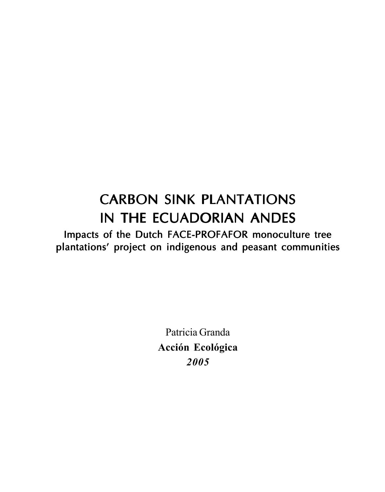# **CARBON SINK PLANTATIONS** IN THE ECUADORIAN ANDES

Impacts of the Dutch FACE-PROFAFOR monoculture tree plantations' project on indigenous and peasant communities

> Patricia Granda Acción Ecológica 2005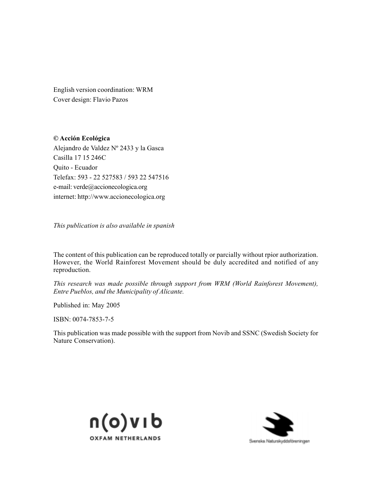English version coordination: WRM Cover design: Flavio Pazos

© Acción Ecológica Alejandro de Valdez Nº 2433 y la Gasca Casilla 17 15 246C Quito - Ecuador Telefax: 593 - 22 527583 / 593 22 547516 e-mail: verde@accionecologica.org internet: http://www.accionecologica.org

This publication is also available in spanish

The content of this publication can be reproduced totally or parcially without rpior authorization. However, the World Rainforest Movement should be duly accredited and notified of any reproduction.

This research was made possible through support from WRM (World Rainforest Movement), Entre Pueblos, and the Municipality of Alicante.

Published in: May 2005

ISBN: 0074-7853-7-5

This publication was made possible with the support from Novib and SSNC (Swedish Society for Nature Conservation).



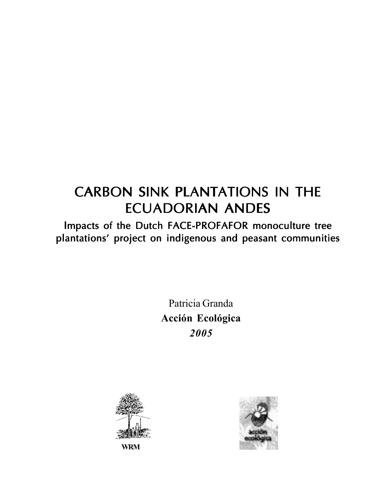# CARBON SINK PLANTATIONS IN THE **ECUADORIAN ANDES**

Impacts of the Dutch FACE-PROFAFOR monoculture tree plantations' project on indigenous and peasant communities

> Patricia Granda Acción Ecológica 2005



WRM

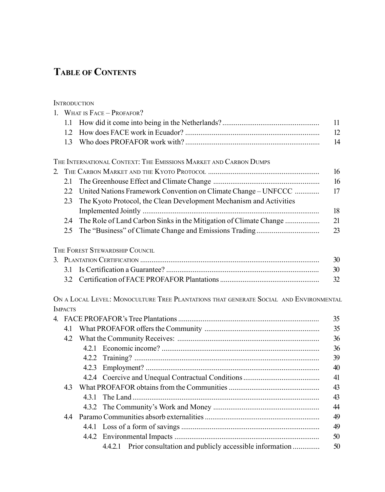# TABLE OF CONTENTS

|             |                | <b>INTRODUCTION</b>                                                                   |    |  |  |  |  |
|-------------|----------------|---------------------------------------------------------------------------------------|----|--|--|--|--|
|             |                | 1. WHAT IS FACE - PROFAFOR?                                                           |    |  |  |  |  |
|             | 1.1            |                                                                                       |    |  |  |  |  |
|             | 1.2            |                                                                                       | 12 |  |  |  |  |
|             | 1.3            |                                                                                       | 14 |  |  |  |  |
|             |                | THE INTERNATIONAL CONTEXT: THE EMISSIONS MARKET AND CARBON DUMPS                      |    |  |  |  |  |
| $2^{\circ}$ |                |                                                                                       |    |  |  |  |  |
|             | 2.1            |                                                                                       | 16 |  |  |  |  |
|             | 22             | United Nations Framework Convention on Climate Change - UNFCCC                        | 17 |  |  |  |  |
|             | 2.3            | The Kyoto Protocol, the Clean Development Mechanism and Activities                    |    |  |  |  |  |
|             |                |                                                                                       | 18 |  |  |  |  |
|             | 2.4            | The Role of Land Carbon Sinks in the Mitigation of Climate Change                     | 21 |  |  |  |  |
|             | 2.5            |                                                                                       | 23 |  |  |  |  |
|             |                | THE FOREST STEWARDSHIP COUNCIL                                                        |    |  |  |  |  |
|             | 30             |                                                                                       |    |  |  |  |  |
|             |                |                                                                                       | 30 |  |  |  |  |
|             |                |                                                                                       | 32 |  |  |  |  |
|             |                | ON A LOCAL LEVEL: MONOCULTURE TREE PLANTATIONS THAT GENERATE SOCIAL AND ENVIRONMENTAL |    |  |  |  |  |
|             | <b>IMPACTS</b> |                                                                                       |    |  |  |  |  |
|             |                |                                                                                       | 35 |  |  |  |  |
|             | 4.1            | 35                                                                                    |    |  |  |  |  |
|             | 4.2            |                                                                                       | 36 |  |  |  |  |
|             |                |                                                                                       | 36 |  |  |  |  |
|             |                |                                                                                       | 39 |  |  |  |  |
|             |                |                                                                                       | 40 |  |  |  |  |
|             |                |                                                                                       | 41 |  |  |  |  |
|             | 4.3            |                                                                                       | 43 |  |  |  |  |
|             |                |                                                                                       | 43 |  |  |  |  |
|             |                |                                                                                       | 44 |  |  |  |  |
|             | 44             | 49                                                                                    |    |  |  |  |  |
|             |                |                                                                                       | 49 |  |  |  |  |
|             |                |                                                                                       | 50 |  |  |  |  |
|             |                | 4.4.2.1 Prior consultation and publicly accessible information                        | 50 |  |  |  |  |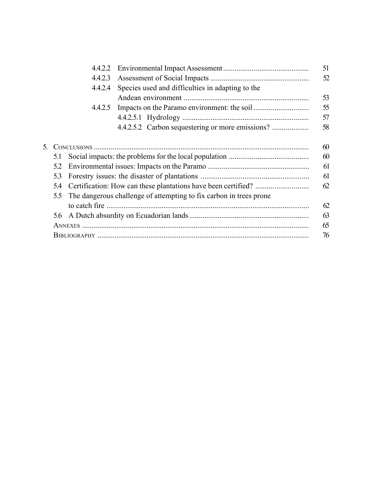|                                                                           | 4.4.2.2 |                                                  | 51 |  |  |
|---------------------------------------------------------------------------|---------|--------------------------------------------------|----|--|--|
|                                                                           | 4.4.2.3 |                                                  | 52 |  |  |
|                                                                           | 4.4.2.4 | Species used and difficulties in adapting to the |    |  |  |
|                                                                           |         |                                                  | 53 |  |  |
|                                                                           | 4.4.2.5 |                                                  | 55 |  |  |
|                                                                           |         |                                                  | 57 |  |  |
|                                                                           |         | 4.4.2.5.2 Carbon sequestering or more emissions? | 58 |  |  |
|                                                                           |         |                                                  |    |  |  |
| 5.                                                                        |         |                                                  | 60 |  |  |
| 5.1                                                                       |         |                                                  |    |  |  |
|                                                                           |         | 61                                               |    |  |  |
|                                                                           | 5.3     |                                                  | 61 |  |  |
| 5.4                                                                       |         |                                                  |    |  |  |
| The dangerous challenge of attempting to fix carbon in trees prone<br>5.5 |         |                                                  |    |  |  |
|                                                                           |         |                                                  | 62 |  |  |
|                                                                           | 5.6     |                                                  | 63 |  |  |
|                                                                           |         |                                                  |    |  |  |
|                                                                           |         |                                                  | 76 |  |  |
|                                                                           |         |                                                  |    |  |  |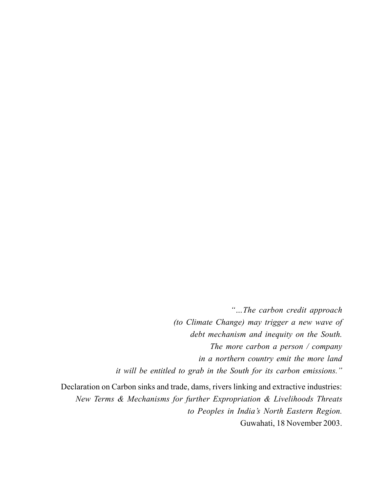"...The carbon credit approach (to Climate Change) may trigger a new wave of debt mechanism and inequity on the South. The more carbon a person / company in a northern country emit the more land it will be entitled to grab in the South for its carbon emissions."

Declaration on Carbon sinks and trade, dams, rivers linking and extractive industries: New Terms & Mechanisms for further Expropriation & Livelihoods Threats to Peoples in India's North Eastern Region. Guwahati, 18 November 2003.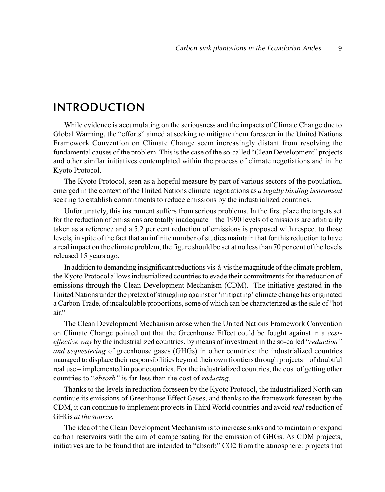# INTRODUCTION

While evidence is accumulating on the seriousness and the impacts of Climate Change due to Global Warming, the "efforts" aimed at seeking to mitigate them foreseen in the United Nations Framework Convention on Climate Change seem increasingly distant from resolving the fundamental causes of the problem. This is the case of the so-called "Clean Development" projects and other similar initiatives contemplated within the process of climate negotiations and in the Kyoto Protocol.

The Kyoto Protocol, seen as a hopeful measure by part of various sectors of the population, emerged in the context of the United Nations climate negotiations as a legally binding instrument seeking to establish commitments to reduce emissions by the industrialized countries.

Unfortunately, this instrument suffers from serious problems. In the first place the targets set for the reduction of emissions are totally inadequate – the 1990 levels of emissions are arbitrarily taken as a reference and a 5.2 per cent reduction of emissions is proposed with respect to those levels, in spite of the fact that an infinite number of studies maintain that for this reduction to have a real impact on the climate problem, the figure should be set at no less than 70 per cent of the levels released 15 years ago.

In addition to demanding insignificant reductions vis- $\dot{a}$ -vis the magnitude of the climate problem, the Kyoto Protocol allows industrialized countries to evade their commitments for the reduction of emissions through the Clean Development Mechanism (CDM). The initiative gestated in the United Nations under the pretext of struggling against or 'mitigating' climate change has originated a Carbon Trade, of incalculable proportions, some of which can be characterized as the sale of "hot air"

The Clean Development Mechanism arose when the United Nations Framework Convention on Climate Change pointed out that the Greenhouse Effect could be fought against in a costeffective way by the industrialized countries, by means of investment in the so-called "reduction" and sequestering of greenhouse gases (GHGs) in other countries: the industrialized countries managed to displace their responsibilities beyond their own frontiers through projects – of doubtful real use – implemented in poor countries. For the industrialized countries, the cost of getting other countries to "*absorb*" is far less than the cost of *reducing*.

Thanks to the levels in reduction foreseen by the Kyoto Protocol, the industrialized North can continue its emissions of Greenhouse Effect Gases, and thanks to the framework foreseen by the CDM, it can continue to implement projects in Third World countries and avoid *real* reduction of GHGs at the source.

The idea of the Clean Development Mechanism is to increase sinks and to maintain or expand carbon reservoirs with the aim of compensating for the emission of GHGs. As CDM projects, initiatives are to be found that are intended to "absorb" CO2 from the atmosphere: projects that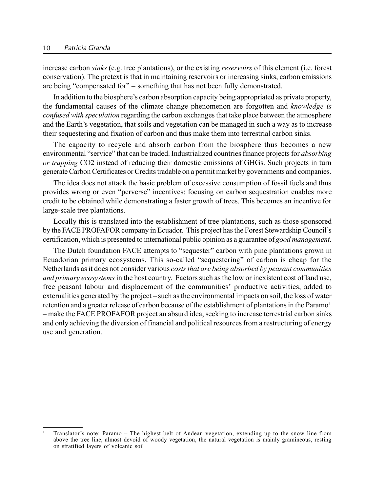increase carbon *sinks* (e.g. tree plantations), or the existing *reservoirs* of this element (i.e. forest conservation). The pretext is that in maintaining reservoirs or increasing sinks, carbon emissions are being "compensated for" – something that has not been fully demonstrated.

In addition to the biosphere's carbon absorption capacity being appropriated as private property, the fundamental causes of the climate change phenomenon are forgotten and knowledge is confused with speculation regarding the carbon exchanges that take place between the atmosphere and the Earth's vegetation, that soils and vegetation can be managed in such a way as to increase their sequestering and fixation of carbon and thus make them into terrestrial carbon sinks.

The capacity to recycle and absorb carbon from the biosphere thus becomes a new environmental "service" that can be traded. Industrialized countries finance projects for absorbing or trapping CO2 instead of reducing their domestic emissions of GHGs. Such projects in turn generate Carbon Certificates or Credits tradable on a permit market by governments and companies.

The idea does not attack the basic problem of excessive consumption of fossil fuels and thus provides wrong or even "perverse" incentives: focusing on carbon sequestration enables more credit to be obtained while demonstrating a faster growth of trees. This becomes an incentive for large-scale tree plantations.

Locally this is translated into the establishment of tree plantations, such as those sponsored by the FACE PROFAFOR company in Ecuador. This project has the Forest Stewardship Councilís certification, which is presented to international public opinion as a guarantee of good management.

The Dutch foundation FACE attempts to "sequester" carbon with pine plantations grown in Ecuadorian primary ecosystems. This so-called "sequestering" of carbon is cheap for the Netherlands as it does not consider various costs that are being absorbed by peasant communities and primary ecosystems in the host country. Factors such as the low or inexistent cost of land use, free peasant labour and displacement of the communities' productive activities, added to externalities generated by the project – such as the environmental impacts on soil, the loss of water retention and a greater release of carbon because of the establishment of plantations in the Paramo<sup>1</sup> – make the FACE PROFAFOR project an absurd idea, seeking to increase terrestrial carbon sinks and only achieving the diversion of financial and political resources from a restructuring of energy use and generation.

Translator's note: Paramo - The highest belt of Andean vegetation, extending up to the snow line from above the tree line, almost devoid of woody vegetation, the natural vegetation is mainly gramineous, resting on stratified layers of volcanic soil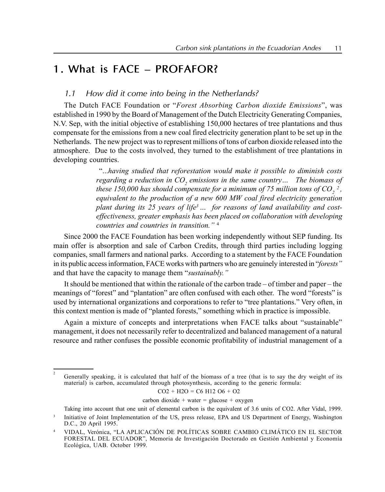# 1. What is FACE - PROFAFOR?

## 1.1 How did it come into being in the Netherlands?

The Dutch FACE Foundation or "Forest Absorbing Carbon dioxide Emissions", was established in 1990 by the Board of Management of the Dutch Electricity Generating Companies, N.V. Sep, with the initial objective of establishing 150,000 hectares of tree plantations and thus compensate for the emissions from a new coal fired electricity generation plant to be set up in the Netherlands. The new project was to represent millions of tons of carbon dioxide released into the atmosphere. Due to the costs involved, they turned to the establishment of tree plantations in developing countries.

> ì...having studied that reforestation would make it possible to diminish costs regarding a reduction in  $CO$ , emissions in the same country... The biomass of these 150,000 has should compensate for a minimum of 75 million tons of  $CO^{-2}$ , equivalent to the production of a new 600 MW coal fired electricity generation plant during its 25 years of life<sup>3</sup>  $\ldots$  for reasons of land availability and costeffectiveness, greater emphasis has been placed on collaboration with developing countries and countries in transition." $4$

Since 2000 the FACE Foundation has been working independently without SEP funding. Its main offer is absorption and sale of Carbon Credits, through third parties including logging companies, small farmers and national parks. According to a statement by the FACE Foundation in its public access information, FACE works with partners who are genuinely interested in "forests" and that have the capacity to manage them "sustainably."

It should be mentioned that within the rationale of the carbon trade  $-$  of timber and paper  $-$  the meanings of "forest" and "plantation" are often confused with each other. The word "forests" is used by international organizations and corporations to refer to "tree plantations." Very often, in this context mention is made of "planted forests," something which in practice is impossible.

Again a mixture of concepts and interpretations when FACE talks about "sustainable" management, it does not necessarily refer to decentralized and balanced management of a natural resource and rather confuses the possible economic profitability of industrial management of a

 $CO2 + H2O = C6 H12 O6 + O2$ 

 $carbon dioxide + water = glucose + oxygen$ 

Taking into account that one unit of elemental carbon is the equivalent of 3.6 units of CO2. After Vidal, 1999.

 $\overline{2}$ Generally speaking, it is calculated that half of the biomass of a tree (that is to say the dry weight of its material) is carbon, accumulated through photosynthesis, according to the generic formula:

<sup>&</sup>lt;sup>3</sup> Initiative of Joint Implementation of the US, press release, EPA and US Department of Energy, Washington D.C., 20 April 1995.

VIDAL, Verónica, "LA APLICACIÓN DE POLÍTICAS SOBRE CAMBIO CLIMÁTICO EN EL SECTOR FORESTAL DEL ECUADOR", Memoria de Investigación Doctorado en Gestión Ambiental y Economía Ecológica, UAB. October 1999.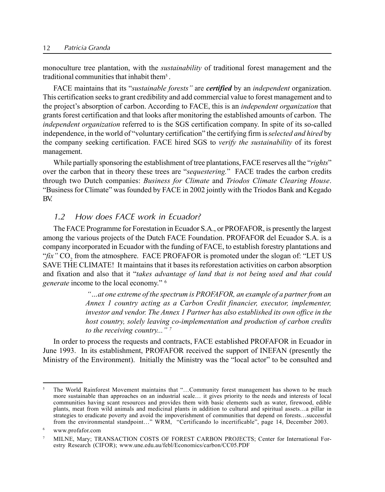monoculture tree plantation, with the *sustainability* of traditional forest management and the traditional communities that inhabit them5 .

FACE maintains that its "*sustainable forests*" are *certified* by an *independent* organization. This certification seeks to grant credibility and add commercial value to forest management and to the project's absorption of carbon. According to FACE, this is an *independent organization* that grants forest certification and that looks after monitoring the established amounts of carbon. The independent organization referred to is the SGS certification company. In spite of its so-called independence, in the world of "voluntary certification" the certifying firm is *selected and hired* by the company seeking certification. FACE hired SGS to *verify the sustainability* of its forest management.

While partially sponsoring the establishment of tree plantations, FACE reserves all the "rights" over the carbon that in theory these trees are "*sequestering.*" FACE trades the carbon credits through two Dutch companies: Business for Climate and Triodos Climate Clearing House. ìBusiness for Climateî was founded by FACE in 2002 jointly with the Triodos Bank and Kegado BV.

### 1.2 How does FACE work in Ecuador?

The FACE Programme for Forestation in Ecuador S.A., or PROFAFOR, is presently the largest among the various projects of the Dutch FACE Foundation. PROFAFOR del Ecuador S.A. is a company incorporated in Ecuador with the funding of FACE, to establish forestry plantations and  $\hat{f}$ ix" CO<sub>2</sub> from the atmosphere. FACE PROFAFOR is promoted under the slogan of: "LET US SAVE THE CLIMATE! It maintains that it bases its reforestation activities on carbon absorption and fixation and also that it "takes advantage of land that is not being used and that could generate income to the local economy." <sup>6</sup>

> $\ldots$  at one extreme of the spectrum is PROFAFOR, an example of a partner from an Annex 1 country acting as a Carbon Credit financier, executor, implementer, investor and vendor. The Annex 1 Partner has also established its own office in the host country, solely leaving co-implementation and production of carbon credits to the receiving country..."<sup>7</sup>

In order to process the requests and contracts, FACE established PROFAFOR in Ecuador in June 1993. In its establishment, PROFAFOR received the support of INEFAN (presently the Ministry of the Environment). Initially the Ministry was the "local actor" to be consulted and

<sup>&</sup>lt;sup>5</sup> The World Rainforest Movement maintains that  $\frac{1}{\sqrt{2}}$ . Community forest management has shown to be much more sustainable than approaches on an industrial scale... it gives priority to the needs and interests of local communities having scant resources and provides them with basic elements such as water, firewood, edible plants, meat from wild animals and medicinal plants in addition to cultural and spiritual assets...a pillar in strategies to eradicate poverty and avoid the impoverishment of communities that depend on forests...successful from the environmental standpoint..." WRM, "Certificando lo incertificable", page 14, December 2003.

<sup>6</sup> www.profafor.com

<sup>7</sup> MILNE, Mary; TRANSACTION COSTS OF FOREST CARBON PROJECTS; Center for International Forestry Research (CIFOR); www.une.edu.au/febl/Economics/carbon/CC05.PDF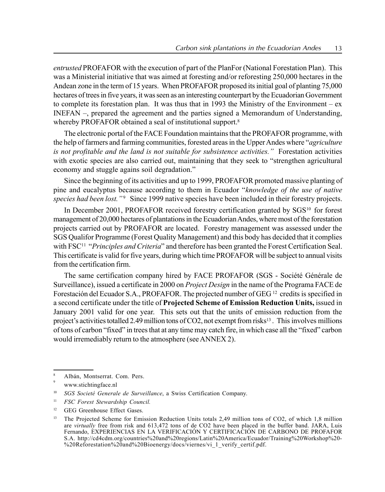entrusted PROFAFOR with the execution of part of the PlanFor (National Forestation Plan). This was a Ministerial initiative that was aimed at foresting and/or reforesting 250,000 hectares in the Andean zone in the term of 15 years. When PROFAFOR proposed its initial goal of planting 75,000 hectares of trees in five years, it was seen as an interesting counterpart by the Ecuadorian Government to complete its forestation plan. It was thus that in 1993 the Ministry of the Environment  $-\mathbf{ex}$ INEFAN  $-$ , prepared the agreement and the parties signed a Memorandum of Understanding, whereby PROFAFOR obtained a seal of institutional support.<sup>8</sup>

The electronic portal of the FACE Foundation maintains that the PROFAFOR programme, with the help of farmers and farming communities, forested areas in the Upper Andes where "agriculture" is not profitable and the land is not suitable for subsistence activities." Forestation activities with exotic species are also carried out, maintaining that they seek to "strengthen agricultural economy and stuggle agains soil degradation.<sup>"</sup>

Since the beginning of its activities and up to 1999, PROFAFOR promoted massive planting of pine and eucalyptus because according to them in Ecuador "knowledge of the use of native species had been lost."<sup>9</sup> Since 1999 native species have been included in their forestry projects.

In December 2001, PROFAFOR received forestry certification granted by SGS<sup>10</sup> for forest management of 20,000 hectares of plantations in the Ecuadorian Andes, where most of the forestation projects carried out by PROFAFOR are located. Forestry management was assessed under the SGS Qualifor Programme (Forest Quality Management) and this body has decided that it complies with FSC<sup>11</sup> "Principles and Criteria" and therefore has been granted the Forest Certification Seal. This certificate is valid for five years, during which time PROFAFOR will be subject to annual visits from the certification firm.

The same certification company hired by FACE PROFAFOR (SGS - Société Générale de Surveillance), issued a certificate in 2000 on *Project Design* in the name of the Programa FACE de Forestación del Ecuador S.A., PROFAFOR. The projected number of GEG <sup>12</sup> credits is specified in a second certificate under the title of Projected Scheme of Emission Reduction Units, issued in January 2001 valid for one year. This sets out that the units of emission reduction from the project's activities totalled 2.49 million tons of CO2, not exempt from risks<sup>13</sup>. This involves millions of tons of carbon "fixed" in trees that at any time may catch fire, in which case all the "fixed" carbon would irremediably return to the atmosphere (see ANNEX 2).

Albán, Montserrat. Com. Pers.

<sup>9</sup> www.stichtingface.nl

<sup>&</sup>lt;sup>10</sup> SGS Societé Generale de Surveillance, a Swiss Certification Company.

<sup>11</sup> FSC Forest Stewardship Council.

<sup>&</sup>lt;sup>12</sup> GEG Greenhouse Effect Gases.

<sup>&</sup>lt;sup>13</sup> The Projected Scheme for Emission Reduction Units totals 2,49 million tons of CO2, of which 1,8 million are virtually free from risk and 613,472 tons of de CO2 have been placed in the buffer band. JARA, Luis Fernando, EXPERIENCIAS EN LA VERIFICACIÓN Y CERTIFICACIÓN DE CARBONO DE PROFÁFOR S.A. http://cd4cdm.org/countries%20and%20regions/Latin%20America/Ecuador/Training%20Workshop%20- %20Reforestation%20and%20Bioenergy/docs/viernes/vi\_1\_verify\_certif.pdf.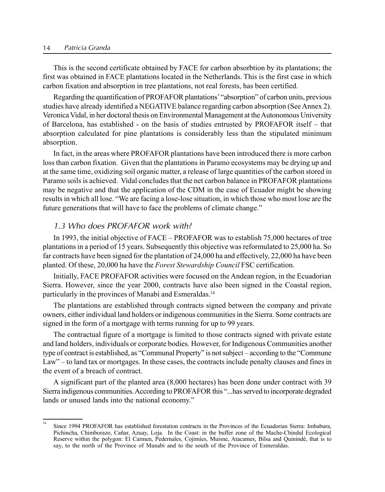#### 14 Patricia Granda

This is the second certificate obtained by FACE for carbon absorbtion by its plantations; the first was obtained in FACE plantations located in the Netherlands. This is the first case in which carbon fixation and absorption in tree plantations, not real forests, has been certified.

Regarding the quantification of PROFAFOR plantations<sup>*'*</sup> "absorption" of carbon units, previous studies have already identified a NEGATIVE balance regarding carbon absorption (See Annex 2). Veronica Vidal, in her doctoral thesis on Environmental Management at theAutonomous University of Barcelona, has established - on the basis of studies entrusted by PROFAFOR itself - that absorption calculated for pine plantations is considerably less than the stipulated minimum absorption.

In fact, in the areas where PROFAFOR plantations have been introduced there is more carbon loss than carbon fixation. Given that the plantations in Paramo ecosystems may be drying up and at the same time, oxidizing soil organic matter, a release of large quantities of the carbon stored in Paramo soils is achieved. Vidal concludes that the net carbon balance in PROFAFOR plantations may be negative and that the application of the CDM in the case of Ecuador might be showing results in which all lose. "We are facing a lose-lose situation, in which those who most lose are the future generations that will have to face the problems of climate change."

## 1.3 Who does PROFAFOR work with?

In 1993, the initial objective of  $FACE - PROFAFOR$  was to establish 75,000 hectares of tree plantations in a period of 15 years. Subsequently this objective was reformulated to 25,000 ha. So far contracts have been signed for the plantation of 24,000 ha and effectively, 22,000 ha have been planted. Of these, 20,000 ha have the Forest Stewardship Council FSC certification.

Initially, FACE PROFAFOR activities were focused on the Andean region, in the Ecuadorian Sierra. However, since the year 2000, contracts have also been signed in the Coastal region, particularly in the provinces of Manabi and Esmeraldas.14

The plantations are established through contracts signed between the company and private owners, either individual land holders or indigenous communities in the Sierra. Some contracts are signed in the form of a mortgage with terms running for up to 99 years.

The contractual figure of a mortgage is limited to those contracts signed with private estate and land holders, individuals or corporate bodies. However, for Indigenous Communities another type of contract is established, as "Communal Property" is not subject – according to the "Commune" Law" – to land tax or mortgages. In these cases, the contracts include penalty clauses and fines in the event of a breach of contract.

A significant part of the planted area (8,000 hectares) has been done under contract with 39 Sierra indigenous communities. According to PROFAFOR this "...has served to incorporate degraded lands or unused lands into the national economy."

 $\frac{14}{14}$  Since 1994 PROFAFOR has established forestation contracts in the Provinces of the Ecuadorian Sierra: Imbabura, Pichincha, Chimborazo, Cañar, Azuay, Loja. In the Coast: in the buffer zone of the Mache-Chindul Ecological Reserve within the polygon: El Carmen, Pedernales, Cojimíes, Muisne, Atacames, Bilsa and Quinindé, that is to say, to the north of the Province of Manabi and to the south of the Province of Esmeraldas.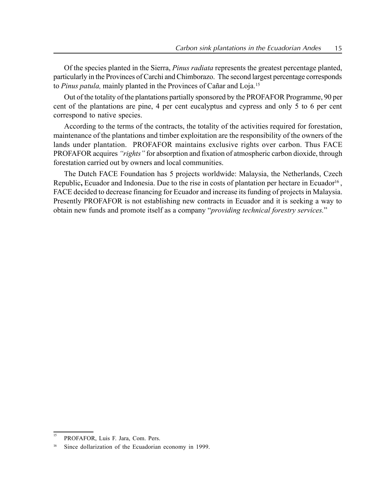Of the species planted in the Sierra, Pinus radiata represents the greatest percentage planted, particularly in the Provinces of Carchi and Chimborazo. The second largest percentage corresponds to Pinus patula, mainly planted in the Provinces of Cañar and Loja.<sup>15</sup>

Out of the totality of the plantations partially sponsored by the PROFAFOR Programme, 90 per cent of the plantations are pine, 4 per cent eucalyptus and cypress and only 5 to 6 per cent correspond to native species.

According to the terms of the contracts, the totality of the activities required for forestation, maintenance of the plantations and timber exploitation are the responsibility of the owners of the lands under plantation. PROFAFOR maintains exclusive rights over carbon. Thus FACE PROFAFOR acquires "rights" for absorption and fixation of atmospheric carbon dioxide, through forestation carried out by owners and local communities.

The Dutch FACE Foundation has 5 projects worldwide: Malaysia, the Netherlands, Czech Republic, Ecuador and Indonesia. Due to the rise in costs of plantation per hectare in Ecuador<sup>16</sup>, FACE decided to decrease financing for Ecuador and increase its funding of projects in Malaysia. Presently PROFAFOR is not establishing new contracts in Ecuador and it is seeking a way to obtain new funds and promote itself as a company "providing technical forestry services."

<sup>&</sup>lt;sup>15</sup> PROFAFOR, Luis F. Jara, Com. Pers.

Since dollarization of the Ecuadorian economy in 1999.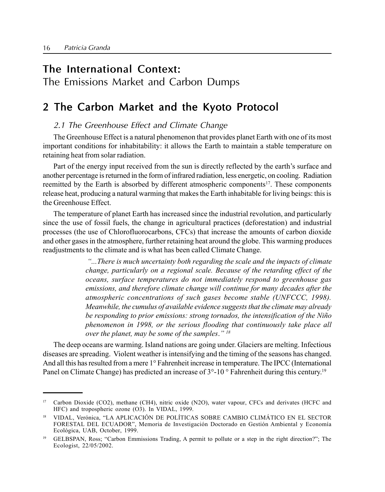# The International Context:

The Emissions Market and Carbon Dumps

# 2 The Carbon Market and the Kyoto Protocol

## 2.1 The Greenhouse Effect and Climate Change

The Greenhouse Effect is a natural phenomenon that provides planet Earth with one of its most important conditions for inhabitability: it allows the Earth to maintain a stable temperature on retaining heat from solar radiation.

Part of the energy input received from the sun is directly reflected by the earth's surface and another percentage is returned in the form of infrared radiation, less energetic, on cooling. Radiation reemitted by the Earth is absorbed by different atmospheric components17. These components release heat, producing a natural warming that makes the Earth inhabitable for living beings: this is the Greenhouse Effect.

The temperature of planet Earth has increased since the industrial revolution, and particularly since the use of fossil fuels, the change in agricultural practices (deforestation) and industrial processes (the use of Chlorofluorocarbons, CFCs) that increase the amounts of carbon dioxide and other gases in the atmosphere, further retaining heat around the globe. This warming produces readjustments to the climate and is what has been called Climate Change.

> ì...There is much uncertainty both regarding the scale and the impacts of climate change, particularly on a regional scale. Because of the retarding effect of the oceans, surface temperatures do not immediately respond to greenhouse gas emissions, and therefore climate change will continue for many decades after the atmospheric concentrations of such gases become stable (UNFCCC, 1998). Meanwhile, the cumulus of available evidence suggests that the climate may already be responding to prior emissions: strong tornados, the intensification of the Niño phenomenon in 1998, or the serious flooding that continuously take place all over the planet, may be some of the samples."  $18$

The deep oceans are warming. Island nations are going under. Glaciers are melting. Infectious diseases are spreading. Violent weather is intensifying and the timing of the seasons has changed. And all this has resulted from a mere 1° Fahrenheit increase in temperature. The IPCC (International Panel on Climate Change) has predicted an increase of  $3^{\circ}$ -10 ° Fahrenheit during this century.<sup>19</sup>

<sup>17</sup> Carbon Dioxide (CO2), methane (CH4), nitric oxide (N2O), water vapour, CFCs and derivates (HCFC and HFC) and tropospheric ozone (O3). In VIDAL, 1999.

<sup>&</sup>lt;sup>18</sup> VIDAL, Verónica, "LA APLICACIÓN DE POLÍTICAS SOBRE CAMBIO CLIMÁTICO EN EL SECTOR FORESTAL DEL ECUADOR", Memoria de Investigación Doctorado en Gestión Ambiental y Economía Ecológica, UAB, October, 1999.

GELBSPAN, Ross; "Carbon Emmissions Trading, A permit to pollute or a step in the right direction?"; The Ecologist, 22/05/2002.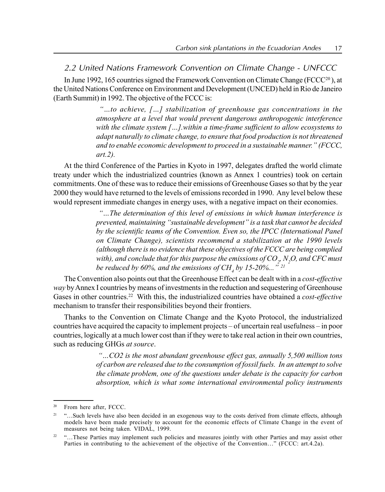2.2 United Nations Framework Convention on Climate Change - UNFCCC

In June 1992, 165 countries signed the Framework Convention on Climate Change ( $FCCC<sup>20</sup>$ ), at the United Nations Conference on Environment and Development (UNCED) held in Rio de Janeiro (Earth Summit) in 1992. The objective of the FCCC is:

> $\dot{w}$  to achieve, [...] stabilization of greenhouse gas concentrations in the atmosphere at a level that would prevent dangerous anthropogenic interference with the climate system  $[...]$ .within a time-frame sufficient to allow ecosystems to adapt naturally to climate change, to ensure that food production is not threatened and to enable economic development to proceed in a sustainable manner." (FCCC, art.2).

At the third Conference of the Parties in Kyoto in 1997, delegates drafted the world climate treaty under which the industrialized countries (known as Annex 1 countries) took on certain commitments. One of these was to reduce their emissions of Greenhouse Gases so that by the year 2000 they would have returned to the levels of emissions recorded in 1990. Any level below these would represent immediate changes in energy uses, with a negative impact on their economies.

> $\degree$ ... The determination of this level of emissions in which human interference is prevented, maintaining "sustainable development" is a task that cannot be decided by the scientific teams of the Convention. Even so, the IPCC (International Panel on Climate Change), scientists recommend a stabilization at the 1990 levels (although there is no evidence that these objectives of the FCCC are being complied with), and conclude that for this purpose the emissions of CO  $_{\rm z}$  N  $_{\rm 2}$ O, and CFC must be reduced by 60%, and the emissions of CH, by 15-20%...<sup> $\frac{5}{2}$ 21</sup>

The Convention also points out that the Greenhouse Effect can be dealt with in a cost-effective way by Annex I countries by means of investments in the reduction and sequestering of Greenhouse Gases in other countries.<sup>22</sup> With this, the industrialized countries have obtained a *cost-effective* mechanism to transfer their responsibilities beyond their frontiers.

Thanks to the Convention on Climate Change and the Kyoto Protocol, the industrialized countries have acquired the capacity to implement projects – of uncertain real usefulness – in poor countries, logically at a much lower cost than if they were to take real action in their own countries, such as reducing GHGs at source.

> $\ldots$ CO2 is the most abundant greenhouse effect gas, annually 5,500 million tons of carbon are released due to the consumption of fossil fuels. In an attempt to solve the climate problem, one of the questions under debate is the capacity for carbon absorption, which is what some international environmental policy instruments

<sup>20</sup> From here after, FCCC.

<sup>&</sup>lt;sup>21</sup> "...Such levels have also been decided in an exogenous way to the costs derived from climate effects, although models have been made precisely to account for the economic effects of Climate Change in the event of measures not being taken. VIDAL, 1999.

 $22$   $\ldots$ . These Parties may implement such policies and measures jointly with other Parties and may assist other Parties in contributing to the achievement of the objective of the Convention..." (FCCC: art.4.2a).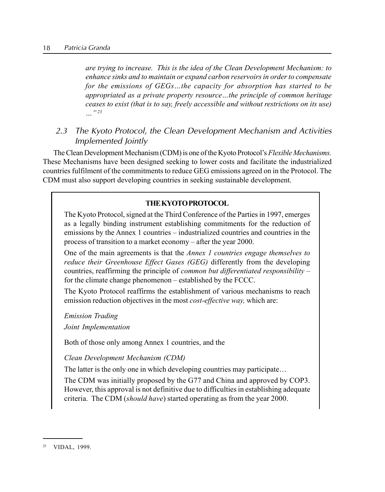are trying to increase. This is the idea of the Clean Development Mechanism: to enhance sinks and to maintain or expand carbon reservoirs in order to compensate for the emissions of  $GEGs$ ...the capacity for absorption has started to be appropriated as a private property resource...the principle of common heritage ceases to exist (that is to say, freely accessible and without restrictions on its use)  $\cdots$  " 23

2.3 The Kyoto Protocol, the Clean Development Mechanism and Activities Implemented Jointly

The Clean Development Mechanism (CDM) is one of the Kyoto Protocol's Flexible Mechanisms. These Mechanisms have been designed seeking to lower costs and facilitate the industrialized countries fulfilment of the commitments to reduce GEG emissions agreed on in the Protocol. The CDM must also support developing countries in seeking sustainable development.

#### THEKYOTOPROTOCOL

The Kyoto Protocol, signed at the Third Conference of the Parties in 1997, emerges as a legally binding instrument establishing commitments for the reduction of emissions by the Annex 1 countries – industrialized countries and countries in the process of transition to a market economy – after the year 2000.

One of the main agreements is that the *Annex 1 countries engage themselves to* reduce their Greenhouse Effect Gases (GEG) differently from the developing countries, reaffirming the principle of *common but differentiated responsibility*  $$ for the climate change phenomenon – established by the FCCC.

The Kyoto Protocol reaffirms the establishment of various mechanisms to reach emission reduction objectives in the most *cost-effective way*, which are:

Emission Trading Joint Implementation

Both of those only among Annex 1 countries, and the

Clean Development Mechanism (CDM)

The latter is the only one in which developing countries may participate...

The CDM was initially proposed by the G77 and China and approved by COP3. However, this approval is not definitive due to difficulties in establishing adequate criteria. The CDM (should have) started operating as from the year 2000.

<sup>23</sup> VIDAL, 1999.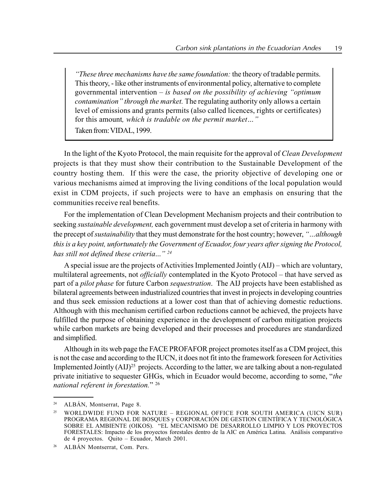*These three mechanisms have the same foundation: the theory of tradable permits.* This theory, - like other instruments of environmental policy, alternative to complete governmental intervention  $-$  is based on the possibility of achieving "optimum contamination" through the market. The regulating authority only allows a certain level of emissions and grants permits (also called licences, rights or certificates) for this amount, which is tradable on the permit market..." Taken from: VIDAL, 1999.

In the light of the Kyoto Protocol, the main requisite for the approval of *Clean Development* projects is that they must show their contribution to the Sustainable Development of the country hosting them. If this were the case, the priority objective of developing one or various mechanisms aimed at improving the living conditions of the local population would exist in CDM projects, if such projects were to have an emphasis on ensuring that the communities receive real benefits.

For the implementation of Clean Development Mechanism projects and their contribution to seeking *sustainable development*, each government must develop a set of criteria in harmony with the precept of *sustainability* that they must demonstrate for the host country; however, "...*although* this is a key point, unfortunately the Government of Ecuador, four years after signing the Protocol, has still not defined these criteria... $i^{24}$ 

A special issue are the projects of Activities Implemented Jointly  $(AIJ)$  – which are voluntary, multilateral agreements, not *officially* contemplated in the Kyoto Protocol – that have served as part of a pilot phase for future Carbon sequestration. The AIJ projects have been established as bilateral agreements between industrialized countries that invest in projects in developing countries and thus seek emission reductions at a lower cost than that of achieving domestic reductions. Although with this mechanism certified carbon reductions cannot be achieved, the projects have fulfilled the purpose of obtaining experience in the development of carbon mitigation projects while carbon markets are being developed and their processes and procedures are standardized and simplified.

Although in its web page the FACE PROFAFOR project promotes itself as a CDM project, this is not the case and according to the IUCN, it does not fit into the framework foreseen for Activities Implemented Jointly (AIJ)<sup>25</sup> projects. According to the latter, we are talking about a non-regulated private initiative to sequester GHGs, which in Ecuador would become, according to some,  $"the$ national referent in forestation."  $26$ 

<sup>&</sup>lt;sup>24</sup> ALBÁN, Montserrat, Page 8.

WORLDWIDE FUND FOR NATURE - REGIONAL OFFICE FOR SOUTH AMERICA (UICN SUR) PROGRAMA REGIONAL DE BOSQUES y CORPORACIÓN DE GESTION CIENTÍFICA Y TECNOLÓGICA SOBRE EL AMBIENTE (OIKOS). "EL MECANISMO DE DESARROLLO LIMPIO Y LOS PROYECTOS FORESTALES: Impacto de los proyectos forestales dentro de la AIC en América Latina. Análisis comparativo de 4 proyectos. Quito  $-$  Ecuador, March 2001.

<sup>&</sup>lt;sup>26</sup> ALBÁN Montserrat, Com. Pers.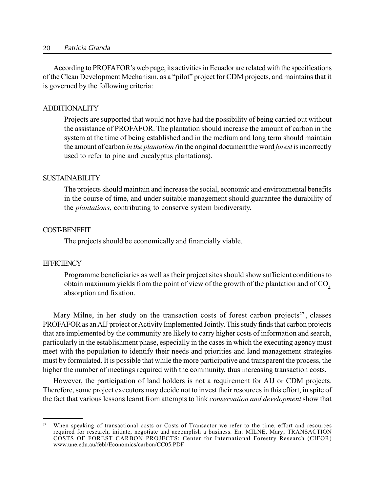According to PROFAFOR's web page, its activities in Ecuador are related with the specifications of the Clean Development Mechanism, as a "pilot" project for CDM projects, and maintains that it is governed by the following criteria:

#### ADDITIONALITY

Projects are supported that would not have had the possibility of being carried out without the assistance of PROFAFOR. The plantation should increase the amount of carbon in the system at the time of being established and in the medium and long term should maintain the amount of carbon in the plantation (in the original document the word forest is incorrectly used to refer to pine and eucalyptus plantations).

#### SUSTAINABILITY

The projects should maintain and increase the social, economic and environmental benefits in the course of time, and under suitable management should guarantee the durability of the plantations, contributing to conserve system biodiversity.

#### COST-BENEFIT

The projects should be economically and financially viable.

#### **EFFICIENCY**

Programme beneficiaries as well as their project sites should show sufficient conditions to obtain maximum yields from the point of view of the growth of the plantation and of CO<sub>2</sub>. absorption and fixation.

Mary Milne, in her study on the transaction costs of forest carbon projects<sup>27</sup>, classes PROFAFOR as an AIJ project or Activity Implemented Jointly. This study finds that carbon projects that are implemented by the community are likely to carry higher costs of information and search, particularly in the establishment phase, especially in the cases in which the executing agency must meet with the population to identify their needs and priorities and land management strategies must by formulated. It is possible that while the more participative and transparent the process, the higher the number of meetings required with the community, thus increasing transaction costs.

However, the participation of land holders is not a requirement for AIJ or CDM projects. Therefore, some project executors may decide not to invest their resources in this effort, in spite of the fact that various lessons learnt from attempts to link *conservation and development* show that

<sup>&</sup>lt;sup>27</sup> When speaking of transactional costs or Costs of Transactor we refer to the time, effort and resources required for research, initiate, negotiate and accomplish a business. En: MILNE, Mary; TRANSACTION COSTS OF FOREST CARBON PROJECTS; Center for International Forestry Research (CIFOR) www.une.edu.au/febl/Economics/carbon/CC05.PDF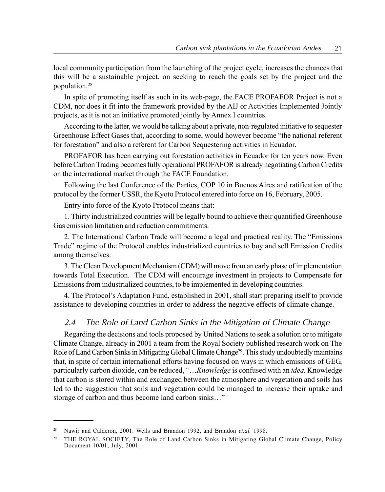local community participation from the launching of the project cycle, increases the chances that this will be a sustainable project, on seeking to reach the goals set by the project and the population.28

In spite of promoting itself as such in its web-page, the FACE PROFAFOR Project is not a CDM, nor does it fit into the framework provided by the AIJ or Activities Implemented Jointly projects, as it is not an initiative promoted jointly by Annex I countries.

According to the latter, we would be talking about a private, non-regulated initiative to sequester Greenhouse Effect Gases that, according to some, would however become "the national referent for forestation" and also a referent for Carbon Sequestering activities in Ecuador.

PROFAFOR has been carrying out forestation activities in Ecuador for ten years now. Even before Carbon Trading becomes fully operational PROFAFOR is already negotiating Carbon Credits on the international market through the FACE Foundation.

Following the last Conference of the Parties, COP 10 in Buenos Aires and ratification of the protocol by the former USSR, the Kyoto Protocol entered into force on 16, February, 2005.

Entry into force of the Kyoto Protocol means that:

1. Thirty industrialized countries will be legally bound to achieve their quantified Greenhouse Gas emission limitation and reduction commitments.

2. The International Carbon Trade will become a legal and practical reality. The "Emissions" Tradeî regime of the Protocol enables industrialized countries to buy and sell Emission Credits among themselves.

3. The Clean Development Mechanism (CDM) will move from an early phase of implementation towards Total Execution. The CDM will encourage investment in projects to Compensate for Emissions from industrialized countries, to be implemented in developing countries.

4. The Protocolís Adaptation Fund, established in 2001, shall start preparing itself to provide assistance to developing countries in order to address the negative effects of climate change.

## 2.4 The Role of Land Carbon Sinks in the Mitigation of Climate Change

Regarding the decisions and tools proposed by United Nations to seek a solution or to mitigate Climate Change, already in 2001 a team from the Royal Society published research work on The Role of Land Carbon Sinks in Mitigating Global Climate Change<sup>29</sup>. This study undoubtedly maintains that, in spite of certain international efforts having focused on ways in which emissions of GEG, particularly carbon dioxide, can be reduced, "... Knowledge is confused with an idea. Knowledge that carbon is stored within and exchanged between the atmosphere and vegetation and soils has led to the suggestion that soils and vegetation could be managed to increase their uptake and storage of carbon and thus become land carbon sinks..."

<sup>&</sup>lt;sup>28</sup> Nawir and Calderon, 2001: Wells and Brandon 1992, and Brandon *et.al.* 1998.

<sup>&</sup>lt;sup>29</sup> THE ROYAL SOCIETY, The Role of Land Carbon Sinks in Mitigating Global Climate Change, Policy Document 10/01, July, 2001.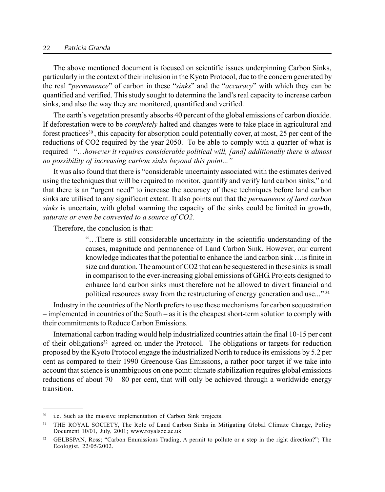#### 22 Patricia Granda

The above mentioned document is focused on scientific issues underpinning Carbon Sinks, particularly in the context of their inclusion in the Kyoto Protocol, due to the concern generated by the real "*permanence*" of carbon in these "*sinks*" and the "*accuracy*" with which they can be quantified and verified. This study sought to determine the land's real capacity to increase carbon sinks, and also the way they are monitored, quantified and verified.

The earth's vegetation presently absorbs 40 percent of the global emissions of carbon dioxide. If deforestation were to be *completely* halted and changes were to take place in agricultural and forest practices<sup>30</sup>, this capacity for absorption could potentially cover, at most, 25 per cent of the reductions of CO2 required by the year 2050. To be able to comply with a quarter of what is required "...however it requires considerable political will, [and] additionally there is almost no possibility of increasing carbon sinks beyond this point..."

It was also found that there is "considerable uncertainty associated with the estimates derived using the techniques that will be required to monitor, quantify and verify land carbon sinks," and that there is an "urgent need" to increase the accuracy of these techniques before land carbon sinks are utilised to any significant extent. It also points out that the *permanence of land carbon* sinks is uncertain, with global warming the capacity of the sinks could be limited in growth, saturate or even be converted to a source of CO2.

Therefore, the conclusion is that:

ìÖThere is still considerable uncertainty in the scientific understanding of the causes, magnitude and permanence of Land Carbon Sink. However, our current knowledge indicates that the potential to enhance the land carbon sink  $\ldots$  is finite in size and duration. The amount of CO2 that can be sequestered in these sinks is small in comparison to the ever-increasing global emissions of GHG. Projects designed to enhance land carbon sinks must therefore not be allowed to divert financial and political resources away from the restructuring of energy generation and use..."<sup>31</sup>

Industry in the countries of the North prefers to use these mechanisms for carbon sequestration  $-$  implemented in countries of the South  $-$  as it is the cheapest short-term solution to comply with their commitments to Reduce Carbon Emissions.

International carbon trading would help industrialized countries attain the final 10-15 per cent of their obligations32 agreed on under the Protocol. The obligations or targets for reduction proposed by the Kyoto Protocol engage the industrialized North to reduce its emissions by 5.2 per cent as compared to their 1990 Greenouse Gas Emissions, a rather poor target if we take into account that science is unambiguous on one point: climate stabilization requires global emissions reductions of about  $70 - 80$  per cent, that will only be achieved through a worldwide energy transition.

<sup>&</sup>lt;sup>30</sup> i.e. Such as the massive implementation of Carbon Sink projects.

<sup>&</sup>lt;sup>31</sup> THE ROYAL SOCIETY, The Role of Land Carbon Sinks in Mitigating Global Climate Change, Policy Document 10/01, July, 2001; www.royalsoc.ac.uk

<sup>&</sup>lt;sup>32</sup> GELBSPAN, Ross; "Carbon Emmissions Trading, A permit to pollute or a step in the right direction?"; The Ecologist, 22/05/2002.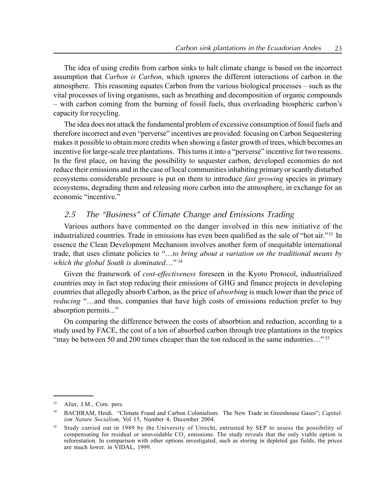The idea of using credits from carbon sinks to halt climate change is based on the incorrect assumption that Carbon is Carbon, which ignores the different interactions of carbon in the atmosphere. This reasoning equates Carbon from the various biological processes – such as the vital processes of living organisms, such as breathing and decomposition of organic compounds – with carbon coming from the burning of fossil fuels, thus overloading biospheric carbon's capacity for recycling.

The idea does not attack the fundamental problem of excessive consumption of fossil fuels and therefore incorrect and even "perverse" incentives are provided: focusing on Carbon Sequestering makes it possible to obtain more credits when showing a faster growth of trees, which becomes an incentive for large-scale tree plantations. This turns it into a "perverse" incentive for two reasons. In the first place, on having the possibility to sequester carbon, developed economies do not reduce their emissions and in the case of local communities inhabiting primary or scantly disturbed ecosystems considerable pressure is put on them to introduce *fast growing* species in primary ecosystems, degrading them and releasing more carbon into the atmosphere, in exchange for an economic "incentive."

# 2.5 The "Business" of Climate Change and Emissions Trading

Various authors have commented on the danger involved in this new initiative of the industrialized countries. Trade in emissions has even been qualified as the sale of "hot air."<sup>33</sup> In essence the Clean Development Mechanism involves another form of inequitable international trade, that uses climate policies to  $\cdot \cdot \cdot$ ..to bring about a variation on the traditional means by which the global South is dominated..."  $34$ 

Given the framework of cost-effectiveness foreseen in the Kyoto Protocol, industrialized countries may in fact stop reducing their emissions of GHG and finance projects in developing countries that allegedly absorb Carbon, as the price of *absorbing* is much lower than the price of reducing "...and thus, companies that have high costs of emissions reduction prefer to buy absorption permits..."

On comparing the difference between the costs of absorbtion and reduction, according to a study used by FACE, the cost of a ton of absorbed carbon through tree plantations in the tropics "may be between 50 and 200 times cheaper than the ton reduced in the same industries..."  $35$ 

<sup>33</sup> Alier, J.M., Com. pers.

BACHRAM, Heidi. "Climate Fraud and Carbon Colonialism: The New Trade in Greenhouse Gases"; Capitalism Nature Socialism, Vol 15, Number 4, December 2004.

<sup>&</sup>lt;sup>35</sup> Study carried out in 1989 by the University of Utrecht, entrusted by SEP to assess the possibility of compensating for residual or unavoidable CO<sub>2</sub> emissions. The study reveals that the only viable option is reforestation. In comparison with other options investigated, such as storing in depleted gas fields, the prices are much lower. in VIDAL, 1999.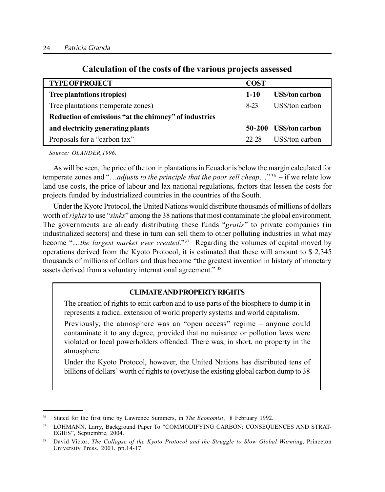| <b>TYPE OF PROJECT</b>                                | <b>COST</b> |                       |  |  |
|-------------------------------------------------------|-------------|-----------------------|--|--|
| <b>Tree plantations (tropics)</b>                     | $1-10$      | <b>USS/ton carbon</b> |  |  |
| Tree plantations (temperate zones)                    | 8-23        | US\$/ton carbon       |  |  |
| Reduction of emissions "at the chimney" of industries |             |                       |  |  |
| and electricity generating plants                     |             | 50-200 USS/ton carbon |  |  |
| Proposals for a "carbon tax"                          | 22-28       | US\$/ton carbon       |  |  |

## Calculation of the costs of the various projects assessed

Source: OLANDER,1996.

As will be seen, the price of the ton in plantations in Ecuador is below the margin calculated for temperate zones and "...adjusts to the principle that the poor sell cheap..."<sup>36</sup> – if we relate low land use costs, the price of labour and lax national regulations, factors that lessen the costs for projects funded by industrialized countries in the countries of the South.

Under the Kyoto Protocol, the United Nations would distribute thousands of millions of dollars worth of rights to use "sinks" among the 38 nations that most contaminate the global environment. The governments are already distributing these funds "gratis" to private companies (in industrialized sectors) and these in turn can sell them to other polluting industries in what may become "...the largest market ever created."<sup>37</sup> Regarding the volumes of capital moved by operations derived from the Kyoto Protocol, it is estimated that these will amount to \$ 2,345 thousands of millions of dollars and thus become "the greatest invention in history of monetary assets derived from a voluntary international agreement.<sup>"38</sup>

## CLIMATEANDPROPERTYRIGHTS

The creation of rights to emit carbon and to use parts of the biosphere to dump it in represents a radical extension of world property systems and world capitalism.

Previously, the atmosphere was an "open access" regime  $-$  anyone could contaminate it to any degree, provided that no nuisance or pollution laws were violated or local powerholders offended. There was, in short, no property in the atmosphere.

Under the Kyoto Protocol, however, the United Nations has distributed tens of billions of dollars' worth of rights to (over)use the existing global carbon dump to 38

<sup>&</sup>lt;sup>36</sup> Stated for the first time by Lawrence Summers, in *The Economist*, 8 February 1992.

<sup>&</sup>lt;sup>37</sup> LOHMANN, Larry, Background Paper To "COMMODIFYING CARBON: CONSEQUENCES AND STRAT-EGIES", Septiembre, 2004.

<sup>&</sup>lt;sup>38</sup> David Victor, The Collapse of the Kyoto Protocol and the Struggle to Slow Global Warming, Princeton University Press, 2001, pp.14-17.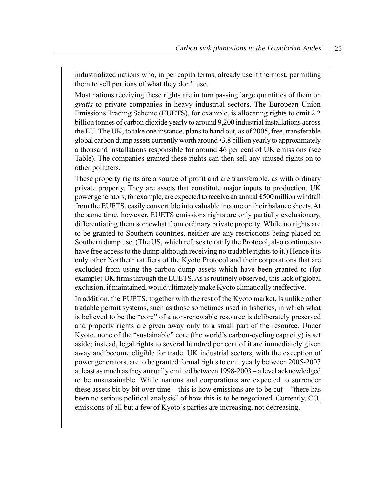industrialized nations who, in per capita terms, already use it the most, permitting them to sell portions of what they don't use.

Most nations receiving these rights are in turn passing large quantities of them on gratis to private companies in heavy industrial sectors. The European Union Emissions Trading Scheme (EUETS), for example, is allocating rights to emit 2.2 billion tonnes of carbon dioxide yearly to around 9,200 industrial installations across the EU. The UK, to take one instance, plans to hand out, as of 2005, free, transferable global carbon dump assets currently worth around  $\cdot$ 3.8 billion yearly to approximately a thousand installations responsible for around 46 per cent of UK emissions (see Table). The companies granted these rights can then sell any unused rights on to other polluters.

These property rights are a source of profit and are transferable, as with ordinary private property. They are assets that constitute major inputs to production. UK power generators, for example, are expected to receive an annual £500 million windfall from the EUETS, easily convertible into valuable income on their balance sheets.At the same time, however, EUETS emissions rights are only partially exclusionary, differentiating them somewhat from ordinary private property. While no rights are to be granted to Southern countries, neither are any restrictions being placed on Southern dump use. (The US, which refuses to ratify the Protocol, also continues to have free access to the dump although receiving no tradable rights to it.) Hence it is only other Northern ratifiers of the Kyoto Protocol and their corporations that are excluded from using the carbon dump assets which have been granted to (for example) UK firms through the EUETS. As is routinely observed, this lack of global exclusion, if maintained, would ultimately make Kyoto climatically ineffective.

In addition, the EUETS, together with the rest of the Kyoto market, is unlike other tradable permit systems, such as those sometimes used in fisheries, in which what is believed to be the "core" of a non-renewable resource is deliberately preserved and property rights are given away only to a small part of the resource. Under Kyoto, none of the "sustainable" core (the world's carbon-cycling capacity) is set aside; instead, legal rights to several hundred per cent of it are immediately given away and become eligible for trade. UK industrial sectors, with the exception of power generators, are to be granted formal rights to emit yearly between 2005-2007 at least as much as they annually emitted between  $1998-2003 - a$  level acknowledged to be unsustainable. While nations and corporations are expected to surrender these assets bit by bit over time – this is how emissions are to be cut – "there has been no serious political analysis" of how this is to be negotiated. Currently,  $CO<sub>2</sub>$ emissions of all but a few of Kyoto's parties are increasing, not decreasing.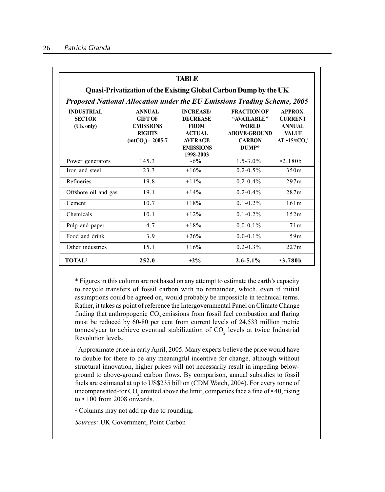| <b>TABLE</b><br>Quasi-Privatization of the Existing Global Carbon Dump by the UK                                            |                                                                                            |                                                                                                                        |                                                                                                    |                                                                                    |  |
|-----------------------------------------------------------------------------------------------------------------------------|--------------------------------------------------------------------------------------------|------------------------------------------------------------------------------------------------------------------------|----------------------------------------------------------------------------------------------------|------------------------------------------------------------------------------------|--|
| Proposed National Allocation under the EU Emissions Trading Scheme, 2005<br><b>INDUSTRIAL</b><br><b>SECTOR</b><br>(UK only) | <b>ANNUAL</b><br><b>GIFT OF</b><br><b>EMISSIONS</b><br><b>RIGHTS</b><br>$(mtCO2) - 2005-7$ | <b>INCREASE/</b><br><b>DECREASE</b><br><b>FROM</b><br><b>ACTUAL</b><br><b>AVERAGE</b><br><b>EMISSIONS</b><br>1998-2003 | <b>FRACTION OF</b><br>"AVAILABLE"<br><b>WORLD</b><br><b>ABOVE-GROUND</b><br><b>CARBON</b><br>DUMP* | APPROX.<br><b>CURRENT</b><br><b>ANNUAL</b><br><b>VALUE</b><br>$AT \cdot 15/tCO$ ,† |  |
| Power generators                                                                                                            | 145.3                                                                                      | $-6\%$                                                                                                                 | $1.5 - 3.0\%$                                                                                      | $-2.180h$                                                                          |  |
| Iron and steel                                                                                                              | 23.3                                                                                       | $+16%$                                                                                                                 | $0.2 - 0.5\%$                                                                                      | 350m                                                                               |  |
| Refineries                                                                                                                  | 19.8                                                                                       | $+11%$                                                                                                                 | $0.2 - 0.4\%$                                                                                      | 297m                                                                               |  |
| Offshore oil and gas                                                                                                        | 19.1                                                                                       | $+14%$                                                                                                                 | $0.2 - 0.4\%$                                                                                      | 287m                                                                               |  |
| Cement                                                                                                                      | 10.7                                                                                       | $+18%$                                                                                                                 | $0.1 - 0.2\%$                                                                                      | 161m                                                                               |  |
| Chemicals                                                                                                                   | 10.1                                                                                       | $+12%$                                                                                                                 | $0.1 - 0.2\%$                                                                                      | 152m                                                                               |  |
| Pulp and paper                                                                                                              | 4.7                                                                                        | $+18%$                                                                                                                 | $0.0 - 0.1\%$                                                                                      | 71m                                                                                |  |
| Food and drink                                                                                                              | 3.9                                                                                        | $+26%$                                                                                                                 | $0.0 - 0.1\%$                                                                                      | 59m                                                                                |  |
| Other industries                                                                                                            | 15.1                                                                                       | $+16%$                                                                                                                 | $0.2 - 0.3\%$                                                                                      | 227m                                                                               |  |
| <b>TOTAL</b>                                                                                                                | 252.0                                                                                      | $+2\%$                                                                                                                 | $2.6 - 5.1\%$                                                                                      | $-3.780b$                                                                          |  |

\* Figures in this column are not based on any attempt to estimate the earth's capacity to recycle transfers of fossil carbon with no remainder, which, even if initial assumptions could be agreed on, would probably be impossible in technical terms. Rather, it takes as point of reference the Intergovernmental Panel on Climate Change finding that anthropogenic CO<sub>2</sub> emissions from fossil fuel combustion and flaring must be reduced by 60-80 per cent from current levels of 24,533 million metric tonnes/year to achieve eventual stabilization of  $CO<sub>2</sub>$  levels at twice Industrial Revolution levels.

ÜApproximate price in early April, 2005. Many experts believe the price would have to double for there to be any meaningful incentive for change, although without structural innovation, higher prices will not necessarily result in impeding belowground to above-ground carbon flows. By comparison, annual subsidies to fossil fuels are estimated at up to US\$235 billion (CDM Watch, 2004). For every tonne of uncompensated-for CO<sub>2</sub> emitted above the limit, companies face a fine of  $\cdot$  40, rising to  $\cdot$  100 from 2008 onwards.

 $\ddot{\ }$  Columns may not add up due to rounding.

Sources: UK Government, Point Carbon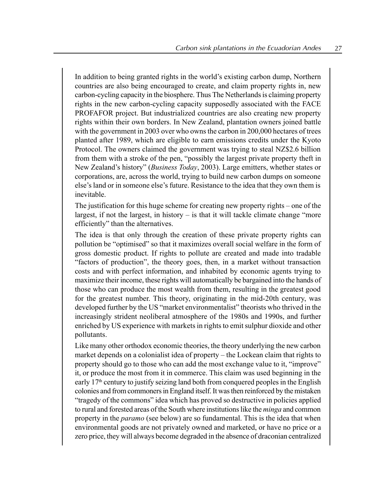In addition to being granted rights in the world's existing carbon dump, Northern countries are also being encouraged to create, and claim property rights in, new carbon-cycling capacity in the biosphere. Thus The Netherlands is claiming property rights in the new carbon-cycling capacity supposedly associated with the FACE PROFAFOR project. But industrialized countries are also creating new property rights within their own borders. In New Zealand, plantation owners joined battle with the government in 2003 over who owns the carbon in 200,000 hectares of trees planted after 1989, which are eligible to earn emissions credits under the Kyoto Protocol. The owners claimed the government was trying to steal NZ\$2.6 billion from them with a stroke of the pen, "possibly the largest private property theft in New Zealand's history" (Business Today, 2003). Large emitters, whether states or corporations, are, across the world, trying to build new carbon dumps on someone else's land or in someone else's future. Resistance to the idea that they own them is inevitable.

The justification for this huge scheme for creating new property rights  $-$  one of the largest, if not the largest, in history  $-$  is that it will tackle climate change "more" efficiently" than the alternatives.

The idea is that only through the creation of these private property rights can pollution be "optimised" so that it maximizes overall social welfare in the form of gross domestic product. If rights to pollute are created and made into tradable ìfactors of productionî, the theory goes, then, in a market without transaction costs and with perfect information, and inhabited by economic agents trying to maximize their income, these rights will automatically be bargained into the hands of those who can produce the most wealth from them, resulting in the greatest good for the greatest number. This theory, originating in the mid-20th century, was developed further by the US "market environmentalist" theorists who thrived in the increasingly strident neoliberal atmosphere of the 1980s and 1990s, and further enriched by US experience with markets in rights to emit sulphur dioxide and other pollutants.

Like many other orthodox economic theories, the theory underlying the new carbon market depends on a colonialist idea of property – the Lockean claim that rights to property should go to those who can add the most exchange value to it, "improve" it, or produce the most from it in commerce. This claim was used beginning in the early 17<sup>th</sup> century to justify seizing land both from conquered peoples in the English colonies and from commoners in England itself. It was then reinforced by the mistaken "tragedy of the commons" idea which has proved so destructive in policies applied to rural and forested areas of the South where institutions like the minga and common property in the *paramo* (see below) are so fundamental. This is the idea that when environmental goods are not privately owned and marketed, or have no price or a zero price, they will always become degraded in the absence of draconian centralized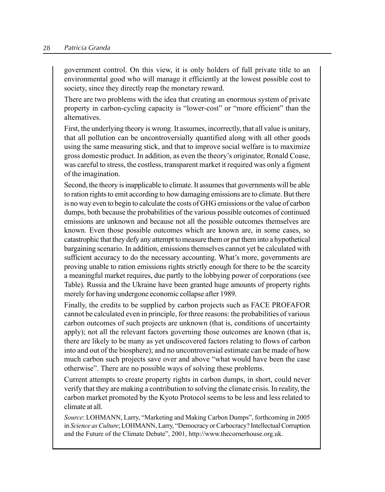#### 28 Patricia Granda

government control. On this view, it is only holders of full private title to an environmental good who will manage it efficiently at the lowest possible cost to society, since they directly reap the monetary reward.

There are two problems with the idea that creating an enormous system of private property in carbon-cycling capacity is "lower-cost" or "more efficient" than the alternatives.

First, the underlying theory is wrong. It assumes, incorrectly, that all value is unitary, that all pollution can be uncontroversially quantified along with all other goods using the same measuring stick, and that to improve social welfare is to maximize gross domestic product. In addition, as even the theory's originator, Ronald Coase, was careful to stress, the costless, transparent market it required was only a figment of the imagination.

Second, the theory is inapplicable to climate. It assumes that governments will be able to ration rights to emit according to how damaging emissions are to climate. But there is no way even to begin to calculate the costs of GHG emissions or the value of carbon dumps, both because the probabilities of the various possible outcomes of continued emissions are unknown and because not all the possible outcomes themselves are known. Even those possible outcomes which are known are, in some cases, so catastrophic that they defy any attempt to measure them or put them into a hypothetical bargaining scenario. In addition, emissions themselves cannot yet be calculated with sufficient accuracy to do the necessary accounting. What's more, governments are proving unable to ration emissions rights strictly enough for there to be the scarcity a meaningful market requires, due partly to the lobbying power of corporations (see Table). Russia and the Ukraine have been granted huge amounts of property rights merely for having undergone economic collapse after 1989.

Finally, the credits to be supplied by carbon projects such as FACE PROFAFOR cannot be calculated even in principle, for three reasons: the probabilities of various carbon outcomes of such projects are unknown (that is, conditions of uncertainty apply); not all the relevant factors governing those outcomes are known (that is, there are likely to be many as yet undiscovered factors relating to flows of carbon into and out of the biosphere); and no uncontroversial estimate can be made of how much carbon such projects save over and above "what would have been the case" otherwiseî. There are no possible ways of solving these problems.

Current attempts to create property rights in carbon dumps, in short, could never verify that they are making a contribution to solving the climate crisis. In reality, the carbon market promoted by the Kyoto Protocol seems to be less and less related to climate at all.

Source: LOHMANN, Larry, "Marketing and Making Carbon Dumps", forthcoming in 2005 in Science as Culture; LOHMANN, Larry, "Democracy or Carbocracy? Intellectual Corruption and the Future of the Climate Debate", 2001, http://www.thecornerhouse.org.uk.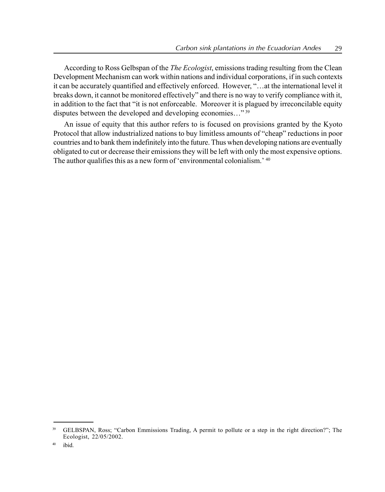According to Ross Gelbspan of the *The Ecologist*, emissions trading resulting from the Clean Development Mechanism can work within nations and individual corporations, if in such contexts it can be accurately quantified and effectively enforced. However, "... at the international level it breaks down, it cannot be monitored effectively" and there is no way to verify compliance with it, in addition to the fact that "it is not enforceable. Moreover it is plagued by irreconcilable equity disputes between the developed and developing economies..." $^{39}$ 

An issue of equity that this author refers to is focused on provisions granted by the Kyoto Protocol that allow industrialized nations to buy limitless amounts of "cheap" reductions in poor countries and to bank them indefinitely into the future. Thus when developing nations are eventually obligated to cut or decrease their emissions they will be left with only the most expensive options. The author qualifies this as a new form of 'environmental colonialism.' 40

<sup>&</sup>lt;sup>39</sup> GELBSPAN, Ross; "Carbon Emmissions Trading, A permit to pollute or a step in the right direction?"; The Ecologist, 22/05/2002.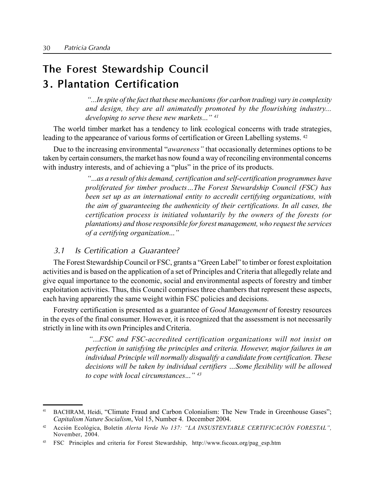# The Forest Stewardship Council 3. Plantation Certification

ì...In spite of the fact that these mechanisms (for carbon trading) vary in complexity and design, they are all animatedly promoted by the flourishing industry... developing to serve these new markets..."  $41$ 

The world timber market has a tendency to link ecological concerns with trade strategies, leading to the appearance of various forms of certification or Green Labelling systems. <sup>42</sup>

Due to the increasing environmental "*awareness*" that occasionally determines options to be taken by certain consumers, the market has now found a way of reconciling environmental concerns with industry interests, and of achieving a "plus" in the price of its products.

> ì...as a result of this demand, certification and self-certification programmes have proliferated for timber products...The Forest Stewardship Council (FSC) has been set up as an international entity to accredit certifying organizations, with the aim of guaranteeing the authenticity of their certifications. In all cases, the certification process is initiated voluntarily by the owners of the forests (or plantations) and those responsible for forest management, who request the services of a certifying organization..."

## 3.1 Is Certification <sup>a</sup> Guarantee?

The Forest Stewardship Council or FSC, grants a "Green Label" to timber or forest exploitation activities and is based on the application of a set of Principles and Criteria that allegedly relate and give equal importance to the economic, social and environmental aspects of forestry and timber exploitation activities. Thus, this Council comprises three chambers that represent these aspects, each having apparently the same weight within FSC policies and decisions.

Forestry certification is presented as a guarantee of Good Management of forestry resources in the eyes of the final consumer. However, it is recognized that the assessment is not necessarily strictly in line with its own Principles and Criteria.

> ì...FSC and FSC-accredited certification organizations will not insist on perfection in satisfying the principles and criteria. However, major failures in an individual Principle will normally disqualify a candidate from certification. These decisions will be taken by individual certifiers ...Some flexibility will be allowed to cope with local circumstances..."  $43$

<sup>&</sup>lt;sup>41</sup> BACHRAM, Heidi, "Climate Fraud and Carbon Colonialism: The New Trade in Greenhouse Gases"; Capitalism Nature Socialism, Vol 15, Number 4. December 2004.

 $42$  Acción Ecológica, Boletín Alerta Verde No 137: "LA INSUSTENTABLE CERTIFICACIÓN FORESTAL", November, 2004.

<sup>43</sup> FSC Principles and criteria for Forest Stewardship, http://www.fscoax.org/pag\_esp.htm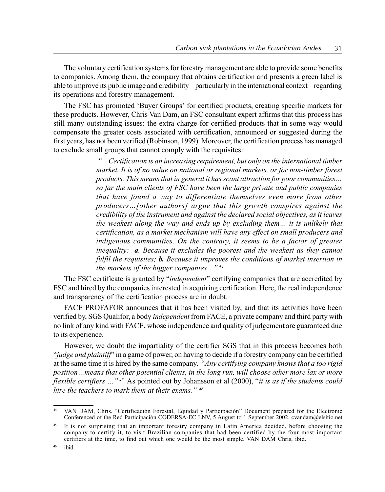The voluntary certification systems for forestry management are able to provide some benefits to companies. Among them, the company that obtains certification and presents a green label is able to improve its public image and credibility – particularly in the international context – regarding its operations and forestry management.

The FSC has promoted 'Buyer Groups' for certified products, creating specific markets for these products. However, Chris Van Dam, an FSC consultant expert affirms that this process has still many outstanding issues: the extra charge for certified products that in some way would compensate the greater costs associated with certification, announced or suggested during the first years, has not been verified (Robinson, 1999). Moreover, the certification process has managed to exclude small groups that cannot comply with the requisites:

> $\degree$ ... Certification is an increasing requirement, but only on the international timber market. It is of no value on national or regional markets, or for non-timber forest products. This means that in general it has scant attraction for poor communities... so far the main clients of FSC have been the large private and public companies that have found a way to differentiate themselves even more from other producers... [other authors] argue that this growth conspires against the credibility of the instrument and against the declared social objectives, as it leaves the weakest along the way and ends up by excluding them $\ldots$  it is unlikely that certification, as a market mechanism will have any effect on small producers and indigenous communities. On the contrary, it seems to be a factor of greater inequality: **a**. Because it excludes the poorest and the weakest as they cannot fulfil the requisites; **b.** Because it improves the conditions of market insertion in the markets of the bigger companies..." $44$

The FSC certificate is granted by "*independent*" certifying companies that are accredited by FSC and hired by the companies interested in acquiring certification. Here, the real independence and transparency of the certification process are in doubt.

FACE PROFAFOR announces that it has been visited by, and that its activities have been verified by, SGS Qualifor, a body independent from FACE, a private company and third party with no link of any kind with FACE, whose independence and quality of judgement are guaranteed due to its experience.

However, we doubt the impartiality of the certifier SGS that in this process becomes both  $\ddot{\theta}$  independicularly in a game of power, on having to decide if a forestry company can be certified at the same time it is hired by the same company. "Any certifying company knows that a too rigid position...means that other potential clients, in the long run, will choose other more lax or more flexible certifiers  $\ldots$ <sup>45</sup> As pointed out by Johansson et al (2000), "*it is as if the students could* hire the teachers to mark them at their exams."  $46$ 

VAN DAM, Chris, "Certificación Forestal, Equidad y Participación" Document prepared for the Electronic Conferenced of the Red Participación CODERSA-EC LNV, 5 August to 1 September 2002. cvandam@elsitio.net

It is not surprising that an important forestry company in Latin America decided, before choosing the company to certify it, to visit Brazilian companies that had been certified by the four most important certifiers at the time, to find out which one would be the most simple. VAN DAM Chris, ibid.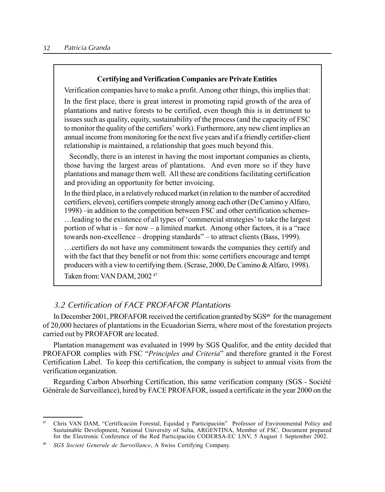#### Certifying and Verification Companies are Private Entities

Verification companies have to make a profit. Among other things, this implies that:

In the first place, there is great interest in promoting rapid growth of the area of plantations and native forests to be certified, even though this is in detriment to issues such as quality, equity, sustainability of the process (and the capacity of FSC to monitor the quality of the certifiers' work). Furthermore, any new client implies an annual income from monitoring for the next five years and if a friendly certifier-client relationship is maintained, a relationship that goes much beyond this.

Secondly, there is an interest in having the most important companies as clients, those having the largest areas of plantations. And even more so if they have plantations and manage them well. All these are conditions facilitating certification and providing an opportunity for better invoicing.

In the third place, in a relatively reduced market (in relation to the number of accredited certifiers, eleven), certifiers compete strongly among each other (De Camino yAlfaro, 1998) – in addition to the competition between FSC and other certification schemesdiately included to the existence of all types of 'commercial strategies' to take the largest portion of what is  $-$  for now  $-$  a limited market. Among other factors, it is a "race towards non-excellence  $-$  dropping standards"  $-$  to attract clients (Bass, 1999).

Öcertifiers do not have any commitment towards the companies they certify and with the fact that they benefit or not from this: some certifiers encourage and tempt producers with a view to certifying them. (Scrase, 2000, De Camino &Alfaro, 1998). Taken from: VAN DAM, 2002 <sup>47</sup>

# 3.2 Certification of FACE PROFAFOR Plantations

In December 2001, PROFAFOR received the certification granted by SGS<sup>48</sup> for the management of 20,000 hectares of plantations in the Ecuadorian Sierra, where most of the forestation projects carried out by PROFAFOR are located.

Plantation management was evaluated in 1999 by SGS Qualifor, and the entity decided that PROFAFOR complies with FSC "Principles and Criteria" and therefore granted it the Forest Certification Label. To keep this certification, the company is subject to annual visits from the verification organization.

Regarding Carbon Absorbing Certification, this same verification company (SGS - Société Générale de Surveillance), hired by FACE PROFAFOR, issued a certificate in the year 2000 on the

<sup>&</sup>lt;sup>47</sup> Chris VAN DAM, "Certificación Forestal, Equidad y Participación" Professor of Environmental Policy and Sustainable Development, National University of Salta, ARGENTINA, Member of FSC. Document prepared for the Electronic Conference of the Red Participación CODERSA-EC LNV, 5 August 1 September 2002.

SGS Societé Generale de Surveillance, A Swiss Certifying Company.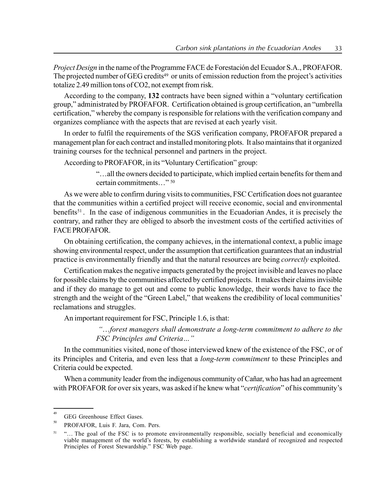Project Design in the name of the Programme FACE de Forestación del Ecuador S.A., PROFAFOR. The projected number of GEG credits<sup>49</sup> or units of emission reduction from the project's activities totalize 2.49 million tons of CO2, not exempt from risk.

According to the company, 132 contracts have been signed within a "voluntary certification group," administrated by PROFAFOR. Certification obtained is group certification, an "umbrella certification," whereby the company is responsible for relations with the verification company and organizes compliance with the aspects that are revised at each yearly visit.

In order to fulfil the requirements of the SGS verification company, PROFAFOR prepared a management plan for each contract and installed monitoring plots. It also maintains that it organized training courses for the technical personnel and partners in the project.

According to PROFAFOR, in its "Voluntary Certification" group:

ìÖall the owners decided to participate, which implied certain benefits for them and certain commitments  $\frac{80}{50}$ 

As we were able to confirm during visits to communities, FSC Certification does not guarantee that the communities within a certified project will receive economic, social and environmental benefits<sup>51</sup>. In the case of indigenous communities in the Ecuadorian Andes, it is precisely the contrary, and rather they are obliged to absorb the investment costs of the certified activities of FACE PROFAFOR.

On obtaining certification, the company achieves, in the international context, a public image showing environmental respect, under the assumption that certification guarantees that an industrial practice is environmentally friendly and that the natural resources are being *correctly* exploited.

Certification makes the negative impacts generated by the project invisible and leaves no place for possible claims by the communities affected by certified projects. It makes their claims invisible and if they do manage to get out and come to public knowledge, their words have to face the strength and the weight of the "Green Label," that weakens the credibility of local communities' reclamations and struggles.

An important requirement for FSC, Principle 1.6, is that:

 $\ldots$  forest managers shall demonstrate a long-term commitment to adhere to the FSC Principles and Criteria..."

In the communities visited, none of those interviewed knew of the existence of the FSC, or of its Principles and Criteria, and even less that a long-term commitment to these Principles and Criteria could be expected.

When a community leader from the indigenous community of Cañar, who has had an agreement with PROFAFOR for over six years, was asked if he knew what "*certification*" of his community's

<sup>49</sup> GEG Greenhouse Effect Gases.

<sup>50</sup> PROFAFOR, Luis F. Jara, Com. Pers.

<sup>&</sup>lt;sup>51</sup> "... The goal of the FSC is to promote environmentally responsible, socially beneficial and economically viable management of the world's forests, by establishing a worldwide standard of recognized and respected Principles of Forest Stewardship." FSC Web page.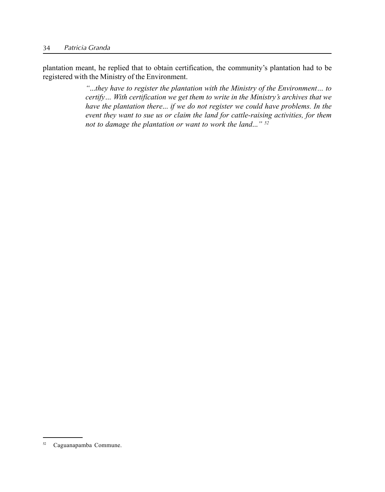plantation meant, he replied that to obtain certification, the community's plantation had to be registered with the Ministry of the Environment.

> $\ldots$ they have to register the plantation with the Ministry of the Environment $\ldots$  to certify... With certification we get them to write in the Ministry's archives that we have the plantation there... if we do not register we could have problems. In the event they want to sue us or claim the land for cattle-raising activities, for them not to damage the plantation or want to work the land..."  $52$

<sup>52</sup> Caguanapamba Commune.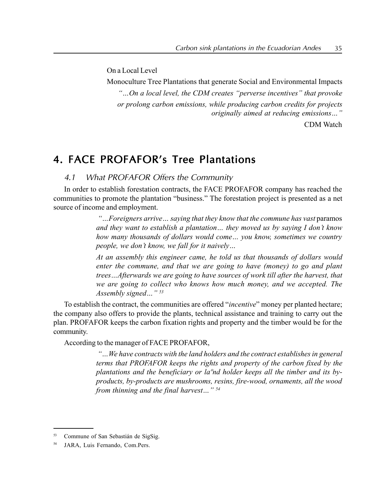On a Local Level

Monoculture Tree Plantations that generate Social and Environmental Impacts  $\degree$ ...On a local level, the CDM creates  $\degree$  perverse incentives" that provoke or prolong carbon emissions, while producing carbon credits for projects originally aimed at reducing emissions..."

CDM Watch

# 4. FACE PROFAFOR's Tree Plantations

4.1 What PROFAFOR Offers the Community

In order to establish forestation contracts, the FACE PROFAFOR company has reached the communities to promote the plantation "business." The forestation project is presented as a net source of income and employment.

> $\mathcal{L}_{\alpha}^{\alpha}$ . Foreigners arrive  $\alpha$  saying that they know that the commune has vast paramos and they want to establish a plantation... they moved us by saying I don't know how many thousands of dollars would come... you know, sometimes we country people, we don't know, we fall for it naively...

> At an assembly this engineer came, he told us that thousands of dollars would enter the commune, and that we are going to have (money) to go and plant trees...Afterwards we are going to have sources of work till after the harvest, that we are going to collect who knows how much money, and we accepted. The Assembly signed $\ldots$ "<sup>53</sup>

To establish the contract, the communities are offered "*incentive*" money per planted hectare; the company also offers to provide the plants, technical assistance and training to carry out the plan. PROFAFOR keeps the carbon fixation rights and property and the timber would be for the community.

According to the manager of FACE PROFAFOR,

ìÖWe have contracts with the land holders and the contract establishes in general terms that PROFAFOR keeps the rights and property of the carbon fixed by the plantations and the beneficiary or la<sup>o</sup>nd holder keeps all the timber and its byproducts, by-products are mushrooms, resins, fire-wood, ornaments, all the wood from thinning and the final harvest..."  $54$ 

<sup>53</sup> Commune of San Sebastián de SigSig.

<sup>54</sup> JARA, Luis Fernando, Com.Pers.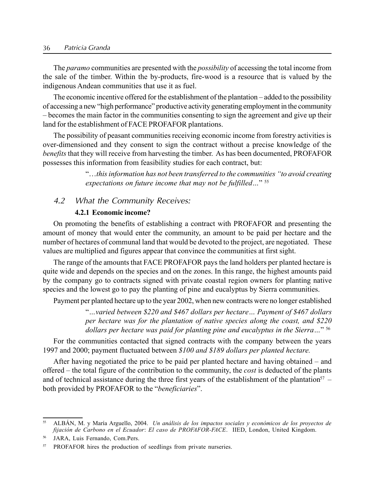#### 36 Patricia Granda

The *paramo* communities are presented with the *possibility* of accessing the total income from the sale of the timber. Within the by-products, fire-wood is a resource that is valued by the indigenous Andean communities that use it as fuel.

The economic incentive offered for the establishment of the plantation – added to the possibility of accessing a new "high performance" productive activity generating employment in the community – becomes the main factor in the communities consenting to sign the agreement and give up their land for the establishment of FACE PROFAFOR plantations.

The possibility of peasant communities receiving economic income from forestry activities is over-dimensioned and they consent to sign the contract without a precise knowledge of the benefits that they will receive from harvesting the timber. As has been documented, PROFAFOR possesses this information from feasibility studies for each contract, but:

> $\degree$ ...this information has not been transferred to the communities  $\degree$ to avoid creating expectations on future income that may not be fulfilled..."  $55$

## 4.2 What the Community Receives:

#### 4.2.1 Economic income?

On promoting the benefits of establishing a contract with PROFAFOR and presenting the amount of money that would enter the community, an amount to be paid per hectare and the number of hectares of communal land that would be devoted to the project, are negotiated. These values are multiplied and figures appear that convince the communities at first sight.

The range of the amounts that FACE PROFAFOR pays the land holders per planted hectare is quite wide and depends on the species and on the zones. In this range, the highest amounts paid by the company go to contracts signed with private coastal region owners for planting native species and the lowest go to pay the planting of pine and eucalyptus by Sierra communities.

Payment per planted hectare up to the year 2002, when new contracts were no longer established

 $\ldots$  varied between \$220 and \$467 dollars per hectare $\ldots$  Payment of \$467 dollars per hectare was for the plantation of native species along the coast, and \$220 dollars per hectare was paid for planting pine and eucalyptus in the Sierra..."  $56$ 

For the communities contacted that signed contracts with the company between the years 1997 and 2000; payment fluctuated between \$100 and \$189 dollars per planted hectare.

After having negotiated the price to be paid per planted hectare and having obtained  $-$  and offered – the total figure of the contribution to the community, the *cost* is deducted of the plants and of technical assistance during the three first years of the establishment of the plantation<sup>57</sup> – both provided by PROFAFOR to the "beneficiaries".

ALBÁN, M. y María Arguello, 2004. Un análisis de los impactos sociales y económicos de los proyectos de fijación de Carbono en el Ecuador: El caso de PROFAFOR-FACE. IIED, London, United Kingdom.

<sup>56</sup> JARA, Luis Fernando, Com.Pers.

PROFAFOR hires the production of seedlings from private nurseries.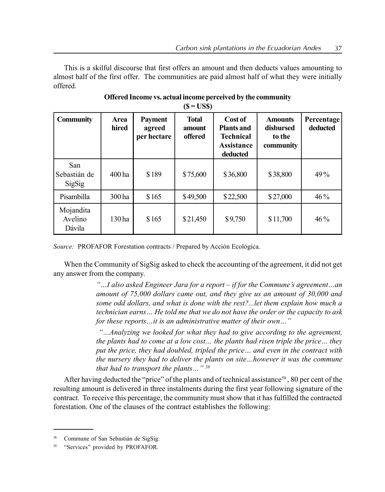This is a skilful discourse that first offers an amount and then deducts values amounting to almost half of the first offer. The communities are paid almost half of what they were initially offered.

| <b>Community</b>                     | Area<br>hired | <b>Payment</b><br>agreed<br>per hectare | <b>Total</b><br>amount<br>offered | Cost of<br><b>Plants and</b><br><b>Technical</b><br><b>Assistance</b><br>deducted | <b>Amounts</b><br>disbursed<br>to the<br>community | Percentage<br>deducted |
|--------------------------------------|---------------|-----------------------------------------|-----------------------------------|-----------------------------------------------------------------------------------|----------------------------------------------------|------------------------|
| San<br>Sebastián de<br><b>SigSig</b> | 400 ha        | \$189                                   | \$75,600                          | \$36,800                                                                          | \$38,800                                           | 49%                    |
| Pisambilla                           | 300 ha        | \$165                                   | \$49,500                          | \$22,500                                                                          | \$27,000                                           | 46%                    |
| Mojandita<br>Avelino<br>Dávila       | 130 ha        | \$165                                   | \$21,450                          | \$9,750                                                                           | \$11,700                                           | 46%                    |

#### Offered Income vs. actual income perceived by the community  $(S = ISS)$

Source: PROFAFOR Forestation contracts / Prepared by Acción Ecológica.

When the Community of SigSig asked to check the accounting of the agreement, it did not get any answer from the company.

> $\degree$ ... I also asked Engineer Jara for a report – if for the Commune's agreement...an amount of 75,000 dollars came out, and they give us an amount of 30,000 and some odd dollars, and what is done with the rest?...let them explain how much a technician earns... He told me that we do not have the order or the capacity to ask for these reports $\ldots$  it is an administrative matter of their own $\ldots$ "

> ìÖAnalyzing we looked for what they had to give according to the agreement, the plants had to come at a low cost... the plants had risen triple the price... they put the price, they had doubled, tripled the price $\ldots$  and even in the contract with the nursery they had to deliver the plants on site...however it was the commune that had to transport the plants..."  $58$

After having deducted the "price" of the plants and of technical assistance<sup>59</sup>, 80 per cent of the resulting amount is delivered in three instalments during the first year following signature of the contract. To receive this percentage, the community must show that it has fulfilled the contracted forestation. One of the clauses of the contract establishes the following:

Commune of San Sebastián de SigSig.

<sup>&</sup>quot;Services" provided by PROFAFOR.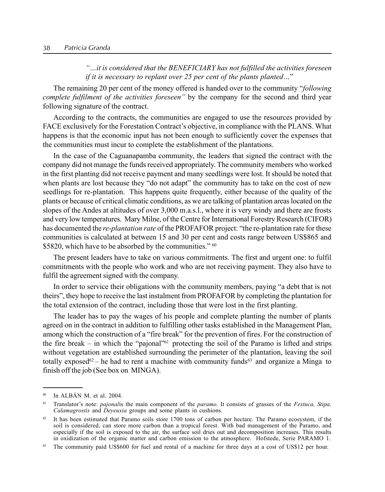$\ldots$  it is considered that the BENEFICIARY has not fulfilled the activities foreseen if it is necessary to replant over 25 per cent of the plants planted..."

The remaining 20 per cent of the money offered is handed over to the community "*following* complete fulfilment of the activities foreseen" by the company for the second and third year following signature of the contract.

According to the contracts, the communities are engaged to use the resources provided by FACE exclusively for the Forestation Contract's objective, in compliance with the PLANS. What happens is that the economic input has not been enough to sufficiently cover the expenses that the communities must incur to complete the establishment of the plantations.

In the case of the Caguanapamba community, the leaders that signed the contract with the company did not manage the funds received appropriately. The community members who worked in the first planting did not receive payment and many seedlings were lost. It should be noted that when plants are lost because they "do not adapt" the community has to take on the cost of new seedlings for re-plantation. This happens quite frequently, either because of the quality of the plants or because of critical climatic conditions, as we are talking of plantation areas located on the slopes of the Andes at altitudes of over 3,000 m.a.s.l., where it is very windy and there are frosts and very low temperatures. Mary Milne, of the Centre for International Forestry Research (CIFOR) has documented the *re-plantation rate* of the PROFAFOR project: "the re-plantation rate for these communities is calculated at between 15 and 30 per cent and costs range between US\$865 and \$5820, which have to be absorbed by the communities."  $60$ 

The present leaders have to take on various commitments. The first and urgent one: to fulfil commitments with the people who work and who are not receiving payment. They also have to fulfil the agreement signed with the company.

In order to service their obligations with the community members, paying "a debt that is not theirsî, they hope to receive the last instalment from PROFAFOR by completing the plantation for the total extension of the contract, including those that were lost in the first planting.

The leader has to pay the wages of his people and complete planting the number of plants agreed on in the contract in addition to fulfilling other tasks established in the Management Plan, among which the construction of a "fire break" for the prevention of fires. For the construction of the fire break – in which the "pajonal"<sup>61</sup> protecting the soil of the Paramo is lifted and strips without vegetation are established surrounding the perimeter of the plantation, leaving the soil totally exposed<sup>62</sup> – he had to rent a machine with community funds<sup>63</sup> and organize a Minga to finish off the job (See box on MINGA).

 $60$  In ALBÁN M, et al. 2004.

 $61$  Translator's note: *pajonalis* the main component of the *paramo*. It consists of grasses of the *Festuca*, *Stipa*, Calamagrostis and Deyeuxia groups and some plants in cushions.

 $62$  It has been estimated that Paramo soils store 1700 tons of carbon per hectare. The Paramo ecosystem, if the soil is considered, can store more carbon than a tropical forest. With bad management of the Paramo, and especially if the soil is exposed to the air, the surface soil dries out and decomposition increases. This results in oxidization of the organic matter and carbon emission to the atmosphere. Hofstede, Serie PARAMO 1.

The community paid US\$600 for fuel and rental of a machine for three days at a cost of US\$12 per hour.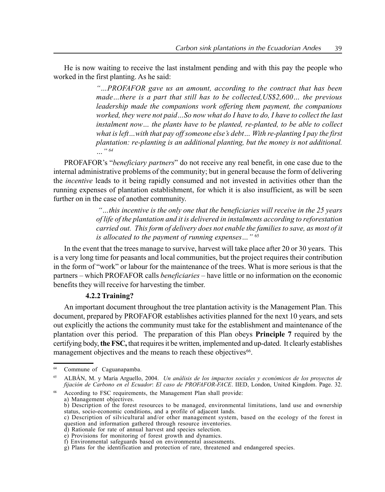He is now waiting to receive the last instalment pending and with this pay the people who worked in the first planting. As he said:

> ìÖPROFAFOR gave us an amount, according to the contract that has been made...there is a part that still has to be collected,  $USS2,600...$  the previous leadership made the companions work offering them payment, the companions worked, they were not paid  $\ldots$  So now what do I have to do, I have to collect the last instalment now... the plants have to be planted, re-planted, to be able to collect what is left... with that pay off someone else's debt... With re-planting I pay the first plantation: re-planting is an additional planting, but the money is not additional.  $"$ 64

PROFAFOR's "*beneficiary partners*" do not receive any real benefit, in one case due to the internal administrative problems of the community; but in general because the form of delivering the *incentive* leads to it being rapidly consumed and not invested in activities other than the running expenses of plantation establishment, for which it is also insufficient, as will be seen further on in the case of another community.

> $\degree$ ...this incentive is the only one that the beneficiaries will receive in the 25 years of life of the plantation and it is delivered in instalments according to reforestation carried out. This form of delivery does not enable the families to save, as most of it is allocated to the payment of running expenses..."  $65$

In the event that the trees manage to survive, harvest will take place after 20 or 30 years. This is a very long time for peasants and local communities, but the project requires their contribution in the form of "work" or labour for the maintenance of the trees. What is more serious is that the partners – which PROFAFOR calls *beneficiaries* – have little or no information on the economic benefits they will receive for harvesting the timber.

## 4.2.2 Training?

An important document throughout the tree plantation activity is the Management Plan. This document, prepared by PROFAFOR establishes activities planned for the next 10 years, and sets out explicitly the actions the community must take for the establishment and maintenance of the plantation over this period. The preparation of this Plan obeys Principle 7 required by the certifying body, the FSC, that requires it be written, implemented and up-dated. It clearly establishes management objectives and the means to reach these objectives<sup>66</sup>.

<sup>&</sup>lt;sup>64</sup> Commune of Caguanapamba.

ALBÁN, M. y María Arguello, 2004. Un análisis de los impactos sociales y económicos de los proyectos de fijación de Carbono en el Ecuador: El caso de PROFAFOR-FACE. IIED, London, United Kingdom. Page. 32.

According to FSC requirements, the Management Plan shall provide:

a) Management objectives.

b) Description of the forest resources to be managed, environmental limitations, land use and ownership status, socio-economic conditions, and a profile of adjacent lands.

c) Description of silvicultural and/or other management system, based on the ecology of the forest in question and information gathered through resource inventories.

d) Rationale for rate of annual harvest and species selection.

e) Provisions for monitoring of forest growth and dynamics. f) Environmental safeguards based on environmental assessments.

g) Plans for the identification and protection of rare, threatened and endangered species.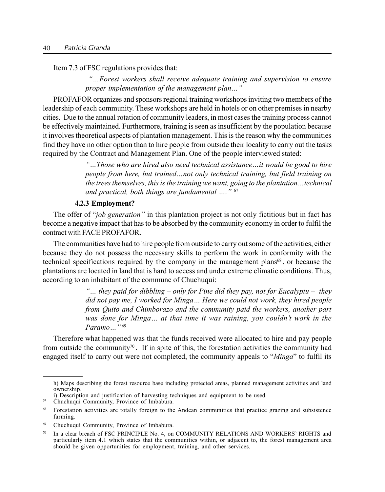Item 7.3 of FSC regulations provides that:

ìÖForest workers shall receive adequate training and supervision to ensure proper implementation of the management plan..."

PROFAFOR organizes and sponsors regional training workshops inviting two members of the leadership of each community. These workshops are held in hotels or on other premises in nearby cities. Due to the annual rotation of community leaders, in most cases the training process cannot be effectively maintained. Furthermore, training is seen as insufficient by the population because it involves theoretical aspects of plantation management. This is the reason why the communities find they have no other option than to hire people from outside their locality to carry out the tasks required by the Contract and Management Plan. One of the people interviewed stated:

> "...Those who are hired also need technical assistance...it would be good to hire people from here, but trained...not only technical training, but field training on the trees themselves, this is the training we want, going to the plantation... technical and practical, both things are fundamental  $\ldots$ ."  $67$

#### 4.2.3 Employment?

The offer of "job generation" in this plantation project is not only fictitious but in fact has become a negative impact that has to be absorbed by the community economy in order to fulfil the contract with FACE PROFAFOR.

The communities have had to hire people from outside to carry out some of the activities, either because they do not possess the necessary skills to perform the work in conformity with the technical specifications required by the company in the management plans<sup>68</sup>, or because the plantations are located in land that is hard to access and under extreme climatic conditions. Thus, according to an inhabitant of the commune of Chuchuqui:

> " $\ldots$  they paid for dibbling – only for Pine did they pay, not for Eucalyptu – they did not pay me, I worked for Minga... Here we could not work, they hired people from Quito and Chimborazo and the community paid the workers, another part was done for Minga... at that time it was raining, you couldn't work in the Paramo $^{1969}$

Therefore what happened was that the funds received were allocated to hire and pay people from outside the community<sup>70</sup>. If in spite of this, the forestation activities the community had engaged itself to carry out were not completed, the community appeals to "Minga" to fulfil its

h) Maps describing the forest resource base including protected areas, planned management activities and land ownership.

i) Description and justification of harvesting techniques and equipment to be used.

Chuchuquí Community, Province of Imbabura.

<sup>68</sup> Forestation activities are totally foreign to the Andean communities that practice grazing and subsistence farming.

<sup>69</sup> ChuchuquÌ Community, Province of Imbabura.

 $70$  In a clear breach of FSC PRINCIPLE No. 4, on COMMUNITY RELATIONS AND WORKERS' RIGHTS and particularly item 4.1 which states that the communities within, or adjacent to, the forest management area should be given opportunities for employment, training, and other services.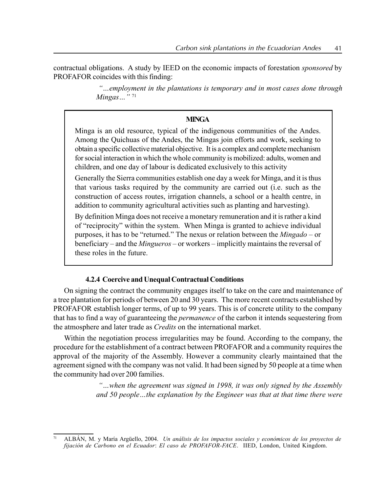contractual obligations. A study by IEED on the economic impacts of forestation *sponsored* by PROFAFOR coincides with this finding:

> $\degree$ ... employment in the plantations is temporary and in most cases done through Mingas $\cdots$ "<sup>71</sup>

## **MINGA**

Minga is an old resource, typical of the indigenous communities of the Andes. Among the Quichuas of the Andes, the Mingas join efforts and work, seeking to obtain a specific collective material objective. It is a complex and complete mechanism for social interaction in which the whole community is mobilized: adults, women and children, and one day of labour is dedicated exclusively to this activity

Generally the Sierra communities establish one day a week for Minga, and it is thus that various tasks required by the community are carried out (i.e. such as the construction of access routes, irrigation channels, a school or a health centre, in addition to community agricultural activities such as planting and harvesting).

By definition Minga does not receive a monetary remuneration and it is rather a kind of "reciprocity" within the system. When Minga is granted to achieve individual purposes, it has to be "returned." The nexus or relation between the *Mingado* – or beneficiary – and the *Mingueros* – or workers – implicitly maintains the reversal of these roles in the future.

## 4.2.4 Coercive and Unequal Contractual Conditions

On signing the contract the community engages itself to take on the care and maintenance of a tree plantation for periods of between 20 and 30 years. The more recent contracts established by PROFAFOR establish longer terms, of up to 99 years. This is of concrete utility to the company that has to find a way of guaranteeing the *permanence* of the carbon it intends sequestering from the atmosphere and later trade as Credits on the international market.

Within the negotiation process irregularities may be found. According to the company, the procedure for the establishment of a contract between PROFAFOR and a community requires the approval of the majority of the Assembly. However a community clearly maintained that the agreement signed with the company was not valid. It had been signed by 50 people at a time when the community had over 200 families.

> $\degree$ ...when the agreement was signed in 1998, it was only signed by the Assembly and 50 people...the explanation by the Engineer was that at that time there were

ALBÁN, M. y María Argüello, 2004. Un análisis de los impactos sociales y económicos de los proyectos de fijación de Carbono en el Ecuador: El caso de PROFAFOR-FACE. IIED, London, United Kingdom.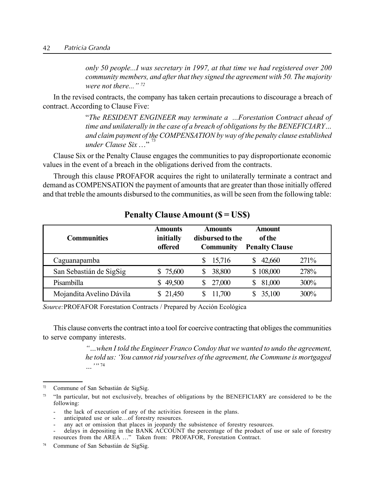only 50 people...I was secretary in 1997, at that time we had registered over 200 community members, and after that they signed the agreement with 50. The majority were not there...î <sup>72</sup>

In the revised contracts, the company has taken certain precautions to discourage a breach of contract. According to Clause Five:

> $\lq$ The RESIDENT ENGINEER may terminate a ...Forestation Contract ahead of time and unilaterally in the case of a breach of obligations by the BENEFICIARY $\ldots$ and claim payment of the COMPENSATION by way of the penalty clause established under Clause Six<sup>33</sup>

Clause Six or the Penalty Clause engages the communities to pay disproportionate economic values in the event of a breach in the obligations derived from the contracts.

Through this clause PROFAFOR acquires the right to unilaterally terminate a contract and demand as COMPENSATION the payment of amounts that are greater than those initially offered and that treble the amounts disbursed to the communities, as will be seen from the following table:

| <b>Communities</b>       | <b>Amounts</b><br>initially<br>offered | <b>Amounts</b><br>disbursed to the<br><b>Community</b> | <b>Amount</b><br><b>of the</b><br><b>Penalty Clause</b> |       |
|--------------------------|----------------------------------------|--------------------------------------------------------|---------------------------------------------------------|-------|
| Caguanapamba             |                                        | 15,716                                                 | 42,660                                                  | 271\% |
| San Sebastián de SigSig  | \$75,600                               | 38,800                                                 | \$108,000                                               | 278%  |
| Pisambilla               | 49,500                                 | 27,000                                                 | 81,000<br>S.                                            | 300%  |
| Mojandita Avelino Dávila | \$21,450                               | 11,700                                                 | 35,100                                                  | 300%  |

## Penalty Clause Amount (\$ = US\$)

Source: PROFAFOR Forestation Contracts / Prepared by Acción Ecológica

This clause converts the contract into a tool for coercive contracting that obliges the communities to serve company interests.

> ìÖwhen I told the Engineer Franco Condoy that we wanted to undo the agreement, he told us: 'You cannot rid yourselves of the agreement, the Commune is mortgaged  $\ldots$ ,  $\frac{74}{1}$

 $72$  Commune of San Sebastián de SigSig.

 $<sup>73</sup>$  "In particular, but not exclusively, breaches of obligations by the BENEFICIARY are considered to be the</sup> following:

the lack of execution of any of the activities foreseen in the plans.

anticipated use or sale...of forestry resources.

any act or omission that places in jeopardy the subsistence of forestry resources.

delays in depositing in the BANK ACCOUNT the percentage of the product of use or sale of forestry resources from the AREA ..." Taken from: PROFAFOR, Forestation Contract.

<sup>74</sup> Commune of San Sebastián de SigSig.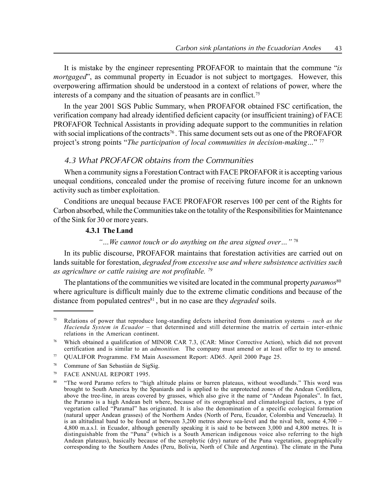It is mistake by the engineer representing PROFAFOR to maintain that the commune  $i$ is mortgaged", as communal property in Ecuador is not subject to mortgages. However, this overpowering affirmation should be understood in a context of relations of power, where the interests of a company and the situation of peasants are in conflict.75

In the year 2001 SGS Public Summary, when PROFAFOR obtained FSC certification, the verification company had already identified deficient capacity (or insufficient training) of FACE PROFAFOR Technical Assistants in providing adequate support to the communities in relation with social implications of the contracts<sup>76</sup>. This same document sets out as one of the PROFAFOR project's strong points "The participation of local communities in decision-making..."  $77$ 

## 4.3 What PROFAFOR obtains from the Communities

When a community signs a Forestation Contract with FACE PROFAFOR it is accepting various unequal conditions, concealed under the promise of receiving future income for an unknown activity such as timber exploitation.

Conditions are unequal because FACE PROFAFOR reserves 100 per cent of the Rights for Carbon absorbed, while the Communities take on the totality of the Responsibilities for Maintenance of the Sink for 30 or more years.

## 4.3.1 The Land

 $\degree$ ... We cannot touch or do anything on the area signed over..." <sup>78</sup>

In its public discourse, PROFAFOR maintains that forestation activities are carried out on lands suitable for forestation, *degraded from excessive use and where subsistence activities such* as agriculture or cattle raising are not profitable. <sup>79</sup>

The plantations of the communities we visited are located in the communal property *paramos*<sup>80</sup> where agriculture is difficult mainly due to the extreme climatic conditions and because of the distance from populated centres $81$ , but in no case are they *degraded* soils.

<sup>&</sup>lt;sup>75</sup> Relations of power that reproduce long-standing defects inherited from domination systems – *such as the* Hacienda System in Ecuador – that determined and still determine the matrix of certain inter-ethnic relations in the American continent.

<sup>76</sup> Which obtained a qualification of MINOR CAR 7.3, (CAR: Minor Corrective Action), which did not prevent certification and is similar to an *admonition*. The company must amend or at least offer to try to amend.

<sup>77</sup> QUALIFOR Programme. FM Main Assessment Report: AD65. April 2000 Page 25.

<sup>&</sup>lt;sup>78</sup> Commune of San Sebastián de SigSig.

<sup>79</sup> FACE ANNUAL REPORT 1995.

<sup>80 &</sup>quot;The word Paramo refers to "high altitude plains or barren plateaus, without woodlands." This word was brought to South America by the Spaniards and is applied to the unprotected zones of the Andean Cordillera, above the tree-line, in areas covered by grasses, which also give it the name of "Andean Pajonales". In fact, the Paramo is a high Andean belt where, because of its orographical and climatological factors, a type of vegetation called "Paramal" has originated. It is also the denomination of a specific ecological formation (natural upper Andean grasses) of the Northern Andes (North of Peru, Ecuador, Colombia and Venezuela). It is an altitudinal band to be found at between  $3,200$  metres above sea-level and the nival belt, some  $4,700 -$ 4,800 m.a.s.l. in Ecuador, although generally speaking it is said to be between 3,000 and 4,800 metres. It is distinguishable from the "Puna" (which is a South American indigenous voice also referring to the high Andean plateaus), basically because of the xerophytic (dry) nature of the Puna vegetation, geographically corresponding to the Southern Andes (Peru, Bolivia, North of Chile and Argentina). The climate in the Puna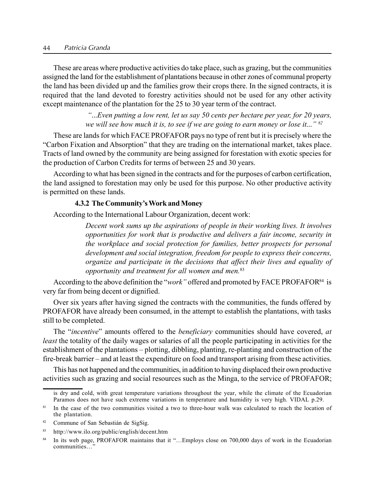#### 44 Patricia Granda

These are areas where productive activities do take place, such as grazing, but the communities assigned the land for the establishment of plantations because in other zones of communal property the land has been divided up and the families grow their crops there. In the signed contracts, it is required that the land devoted to forestry activities should not be used for any other activity except maintenance of the plantation for the 25 to 30 year term of the contract.

> $\ldots$ *Even putting a low rent, let us say 50 cents per hectare per year, for 20 years,* we will see how much it is, to see if we are going to earn money or lose it..."  $82$

These are lands for which FACE PROFAFOR pays no type of rent but it is precisely where the ìCarbon Fixation and Absorptionî that they are trading on the international market, takes place. Tracts of land owned by the community are being assigned for forestation with exotic species for the production of Carbon Credits for terms of between 25 and 30 years.

According to what has been signed in the contracts and for the purposes of carbon certification, the land assigned to forestation may only be used for this purpose. No other productive activity is permitted on these lands.

#### 4.3.2 The Community's Work and Money

According to the International Labour Organization, decent work:

Decent work sums up the aspirations of people in their working lives. It involves opportunities for work that is productive and delivers a fair income, security in the workplace and social protection for families, better prospects for personal development and social integration, freedom for people to express their concerns, organize and participate in the decisions that affect their lives and equality of opportunity and treatment for all women and men.<sup>83</sup>

According to the above definition the "*work*" offered and promoted by FACE PROFAFOR<sup>84</sup> is very far from being decent or dignified.

Over six years after having signed the contracts with the communities, the funds offered by PROFAFOR have already been consumed, in the attempt to establish the plantations, with tasks still to be completed.

The "incentive" amounts offered to the *beneficiary* communities should have covered, at least the totality of the daily wages or salaries of all the people participating in activities for the establishment of the plantations – plotting, dibbling, planting, re-planting and construction of the fire-break barrier – and at least the expenditure on food and transport arising from these activities.

This has not happened and the communities, in addition to having displaced their own productive activities such as grazing and social resources such as the Minga, to the service of PROFAFOR;

is dry and cold, with great temperature variations throughout the year, while the climate of the Ecuadorian Paramos does not have such extreme variations in temperature and humidity is very high. VIDAL p.29.

<sup>&</sup>lt;sup>81</sup> In the case of the two communities visited a two to three-hour walk was calculated to reach the location of the plantation.

<sup>82</sup> Commune of San Sebastián de SigSig.

<sup>83</sup> http://www.ilo.org/public/english/decent.htm

<sup>&</sup>lt;sup>84</sup> In its web page, PROFAFOR maintains that it "... Employs close on 700,000 days of work in the Ecuadorian communities...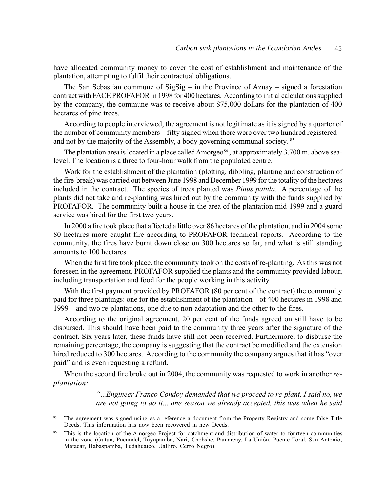have allocated community money to cover the cost of establishment and maintenance of the plantation, attempting to fulfil their contractual obligations.

The San Sebastian commune of SigSig  $-$  in the Province of Azuay  $-$  signed a forestation contract with FACE PROFAFOR in 1998 for 400 hectares. According to initial calculations supplied by the company, the commune was to receive about \$75,000 dollars for the plantation of 400 hectares of pine trees.

According to people interviewed, the agreement is not legitimate as it is signed by a quarter of the number of community members  $\overline{\phantom{a}}$  fifty signed when there were over two hundred registered  $\overline{\phantom{a}}$ and not by the majority of the Assembly, a body governing communal society. <sup>85</sup>

The plantation area is located in a place called Amorgeo<sup>86</sup>, at approximately  $3.700$  m. above sealevel. The location is a three to four-hour walk from the populated centre.

Work for the establishment of the plantation (plotting, dibbling, planting and construction of the fire-break) was carried out between June 1998 and December 1999 for the totality of the hectares included in the contract. The species of trees planted was *Pinus patula*. A percentage of the plants did not take and re-planting was hired out by the community with the funds supplied by PROFAFOR. The community built a house in the area of the plantation mid-1999 and a guard service was hired for the first two years.

In 2000 a fire took place that affected a little over 86 hectares of the plantation, and in 2004 some 80 hectares more caught fire according to PROFAFOR technical reports. According to the community, the fires have burnt down close on 300 hectares so far, and what is still standing amounts to 100 hectares.

When the first fire took place, the community took on the costs of re-planting. As this was not foreseen in the agreement, PROFAFOR supplied the plants and the community provided labour, including transportation and food for the people working in this activity.

With the first payment provided by PROFAFOR (80 per cent of the contract) the community paid for three plantings: one for the establishment of the plantation  $-$  of 400 hectares in 1998 and 1999 – and two re-plantations, one due to non-adaptation and the other to the fires.

According to the original agreement, 20 per cent of the funds agreed on still have to be disbursed. This should have been paid to the community three years after the signature of the contract. Six years later, these funds have still not been received. Furthermore, to disburse the remaining percentage, the company is suggesting that the contract be modified and the extension hired reduced to 300 hectares. According to the community the company argues that it has "over paid" and is even requesting a refund.

When the second fire broke out in 2004, the community was requested to work in another replantation:

> ì...Engineer Franco Condoy demanded that we proceed to re-plant, I said no, we are not going to do it... one season we already accepted, this was when he said

The agreement was signed using as a reference a document from the Property Registry and some false Title Deeds. This information has now been recovered in new Deeds.

This is the location of the Amorgeo Project for catchment and distribution of water to fourteen communities in the zone (Gutun, Pucundel, Tuyupamba, Nari, Chobshe, Pamarcay, La Unión, Puente Toral, San Antonio, Matacar, Habaspamba, Tudahuaico, Ualliro, Cerro Negro).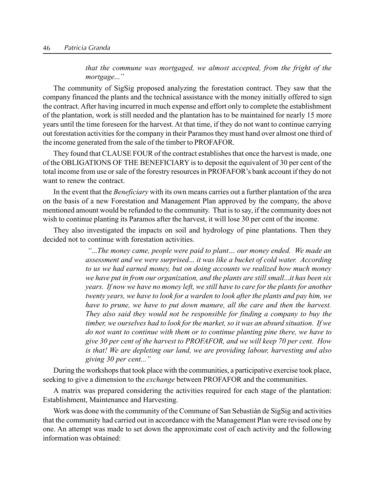that the commune was mortgaged, we almost accepted, from the fright of the mortgage..."

The community of SigSig proposed analyzing the forestation contract. They saw that the company financed the plants and the technical assistance with the money initially offered to sign the contract. After having incurred in much expense and effort only to complete the establishment of the plantation, work is still needed and the plantation has to be maintained for nearly 15 more years until the time foreseen for the harvest. At that time, if they do not want to continue carrying out forestation activities for the company in their Paramos they must hand over almost one third of the income generated from the sale of the timber to PROFAFOR.

They found that CLAUSE FOUR of the contract establishes that once the harvest is made, one of the OBLIGATIONS OF THE BENEFICIARY is to deposit the equivalent of 30 per cent of the total income from use or sale of the forestry resources in PROFAFOR's bank account if they do not want to renew the contract.

In the event that the *Beneficiary* with its own means carries out a further plantation of the area on the basis of a new Forestation and Management Plan approved by the company, the above mentioned amount would be refunded to the community. That is to say, if the community does not wish to continue planting its Paramos after the harvest, it will lose 30 per cent of the income.

They also investigated the impacts on soil and hydrology of pine plantations. Then they decided not to continue with forestation activities.

> $\ldots$ The money came, people were paid to plant $\ldots$  our money ended. We made an assessment and we were surprised... it was like a bucket of cold water. According to us we had earned money, but on doing accounts we realized how much money we have put in from our organization, and the plants are still small...it has been six years. If now we have no money left, we still have to care for the plants for another twenty years, we have to look for a warden to look after the plants and pay him, we have to prune, we have to put down manure, all the care and then the harvest. They also said they would not be responsible for finding a company to buy the timber, we ourselves had to look for the market, so it was an absurd situation. If we do not want to continue with them or to continue planting pine there, we have to give 30 per cent of the harvest to PROFAFOR, and we will keep 70 per cent. How is that! We are depleting our land, we are providing labour, harvesting and also giving  $30$  per cent..."

During the workshops that took place with the communities, a participative exercise took place, seeking to give a dimension to the *exchange* between PROFAFOR and the communities.

A matrix was prepared considering the activities required for each stage of the plantation: Establishment, Maintenance and Harvesting.

Work was done with the community of the Commune of San Sebastián de SigSig and activities that the community had carried out in accordance with the Management Plan were revised one by one. An attempt was made to set down the approximate cost of each activity and the following information was obtained: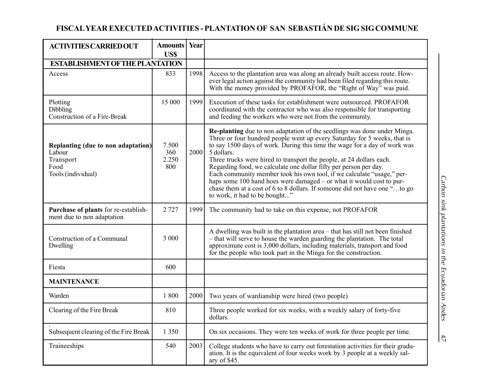# FISCAL YEAR EXECUTED ACTIVITIES - PLANTATION OF SAN SEBASTIÁN DE SIG SIG COMMUNE

| <b>ACTIVITIES CARRIED OUT</b>                                                           | <b>Amounts</b> Year<br>US\$  |      |                                                                                                                                                                                                                                                                                                                                                                                                                                                                                                                                                                                                                                                               |
|-----------------------------------------------------------------------------------------|------------------------------|------|---------------------------------------------------------------------------------------------------------------------------------------------------------------------------------------------------------------------------------------------------------------------------------------------------------------------------------------------------------------------------------------------------------------------------------------------------------------------------------------------------------------------------------------------------------------------------------------------------------------------------------------------------------------|
| <b>ESTABLISHMENT OF THE PLANTATION</b>                                                  |                              |      |                                                                                                                                                                                                                                                                                                                                                                                                                                                                                                                                                                                                                                                               |
| Access                                                                                  | 833                          | 1998 | Access to the plantation area was along an already built access route. How-<br>ever legal action against the community had been filed regarding this route.<br>With the money provided by PROFAFOR, the "Right of Way" was paid.                                                                                                                                                                                                                                                                                                                                                                                                                              |
| Plotting<br>Dibbling<br>Construction of a Fire-Break                                    | 15 000                       | 1999 | Execution of these tasks for establishment were outsourced. PROFAFOR<br>coordinated with the contractor who was also responsible for transporting<br>and feeding the workers who were not from the community.                                                                                                                                                                                                                                                                                                                                                                                                                                                 |
| Replanting (due to non adaptation)<br>Labour<br>Transport<br>Food<br>Tools (individual) | 7.500<br>360<br>2.250<br>800 | 2000 | Re-planting due to non adaptation of the seedlings was done under Minga.<br>Three or four hundred people went up every Saturday for 5 weeks, that is<br>to say 1500 days of work. During this time the wage for a day of work was<br>5 dollars.<br>Three trucks were hired to transport the people, at 24 dollars each.<br>Regarding food, we calculate one dollar fifty per person per day.<br>Each community member took his own tool, if we calculate "usage," per-<br>haps some 100 hand hoes were damaged – or what it would cost to pur-<br>chase them at a cost of 6 to 8 dollars. If someone did not have one "to go<br>to work, it had to be bought" |
| Purchase of plants for re-establish-<br>ment due to non adaptation                      | 2 7 2 7                      | 1999 | The community had to take on this expense, not PROFAFOR                                                                                                                                                                                                                                                                                                                                                                                                                                                                                                                                                                                                       |
| Construction of a Communal<br>Dwelling                                                  | 3 000                        |      | A dwelling was built in the plantation area - that has still not been finished<br>- that will serve to house the warden guarding the plantation. The total<br>approximate cost is 3,000 dollars, including materials, transport and food<br>for the people who took part in the Minga for the construction.                                                                                                                                                                                                                                                                                                                                                   |
| Fiesta                                                                                  | 600                          |      |                                                                                                                                                                                                                                                                                                                                                                                                                                                                                                                                                                                                                                                               |
| <b>MAINTENANCE</b>                                                                      |                              |      |                                                                                                                                                                                                                                                                                                                                                                                                                                                                                                                                                                                                                                                               |
| Warden                                                                                  | 1800                         | 2000 | Two years of wardianship were hired (two people)                                                                                                                                                                                                                                                                                                                                                                                                                                                                                                                                                                                                              |
| Clearing of the Fire Break                                                              | 810                          |      | Three people worked for six weeks, with a weekly salary of forty-five<br>dollars.                                                                                                                                                                                                                                                                                                                                                                                                                                                                                                                                                                             |
| Subsequent clearing of the Fire Break                                                   | 1 3 5 0                      |      | On six occasions. They were ten weeks of work for three people per time.                                                                                                                                                                                                                                                                                                                                                                                                                                                                                                                                                                                      |
| Traineeships                                                                            | 540                          | 2003 | College students who have to carry out forestation activities for their gradu-<br>ation. It is the equivalent of four weeks work by 3 people at a weekly sal-<br>ary of \$45.                                                                                                                                                                                                                                                                                                                                                                                                                                                                                 |

 $\frac{4}{\sqrt{2}}$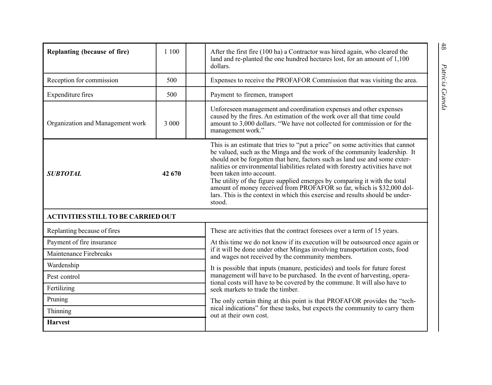| Replanting (because of fire)              | 1 100 |  | After the first fire (100 ha) a Contractor was hired again, who cleared the<br>land and re-planted the one hundred hectares lost, for an amount of 1,100<br>dollars.                                                                                                                                                                                                                                                                                                                                                                                                                                       |  |  |  |
|-------------------------------------------|-------|--|------------------------------------------------------------------------------------------------------------------------------------------------------------------------------------------------------------------------------------------------------------------------------------------------------------------------------------------------------------------------------------------------------------------------------------------------------------------------------------------------------------------------------------------------------------------------------------------------------------|--|--|--|
| Reception for commission                  | 500   |  | Expenses to receive the PROFAFOR Commission that was visiting the area.                                                                                                                                                                                                                                                                                                                                                                                                                                                                                                                                    |  |  |  |
| Expenditure fires                         | 500   |  | Patricia Granda<br>Payment to firemen, transport                                                                                                                                                                                                                                                                                                                                                                                                                                                                                                                                                           |  |  |  |
| Organization and Management work          | 3 000 |  | Unforeseen management and coordination expenses and other expenses<br>caused by the fires. An estimation of the work over all that time could<br>amount to 3,000 dollars. "We have not collected for commission or for the<br>management work."                                                                                                                                                                                                                                                                                                                                                            |  |  |  |
| 42 670<br><b>SUBTOTAL</b>                 |       |  | This is an estimate that tries to "put a price" on some activities that cannot<br>be valued, such as the Minga and the work of the community leadership. It<br>should not be forgotten that here, factors such as land use and some exter-<br>nalities or environmental liabilities related with forestry activities have not<br>been taken into account.<br>The utility of the figure supplied emerges by comparing it with the total<br>amount of money received from PROFAFOR so far, which is \$32,000 dol-<br>lars. This is the context in which this exercise and results should be under-<br>stood. |  |  |  |
| <b>ACTIVITIES STILL TO BE CARRIED OUT</b> |       |  |                                                                                                                                                                                                                                                                                                                                                                                                                                                                                                                                                                                                            |  |  |  |
| Replanting because of fires               |       |  | These are activities that the contract foresees over a term of 15 years.                                                                                                                                                                                                                                                                                                                                                                                                                                                                                                                                   |  |  |  |
| Payment of fire insurance                 |       |  | At this time we do not know if its execution will be outsourced once again or                                                                                                                                                                                                                                                                                                                                                                                                                                                                                                                              |  |  |  |
| Maintenance Firebreaks                    |       |  | if it will be done under other Mingas involving transportation costs, food<br>and wages not received by the community members.                                                                                                                                                                                                                                                                                                                                                                                                                                                                             |  |  |  |
| Wardenship                                |       |  | It is possible that inputs (manure, pesticides) and tools for future forest                                                                                                                                                                                                                                                                                                                                                                                                                                                                                                                                |  |  |  |
| Pest control                              |       |  | management will have to be purchased. In the event of harvesting, opera-<br>tional costs will have to be covered by the commune. It will also have to                                                                                                                                                                                                                                                                                                                                                                                                                                                      |  |  |  |
| Fertilizing                               |       |  | seek markets to trade the timber.                                                                                                                                                                                                                                                                                                                                                                                                                                                                                                                                                                          |  |  |  |
| Pruning                                   |       |  | The only certain thing at this point is that PROFAFOR provides the "tech-                                                                                                                                                                                                                                                                                                                                                                                                                                                                                                                                  |  |  |  |
| Thinning                                  |       |  | nical indications" for these tasks, but expects the community to carry them<br>out at their own cost.                                                                                                                                                                                                                                                                                                                                                                                                                                                                                                      |  |  |  |
| <b>Harvest</b>                            |       |  |                                                                                                                                                                                                                                                                                                                                                                                                                                                                                                                                                                                                            |  |  |  |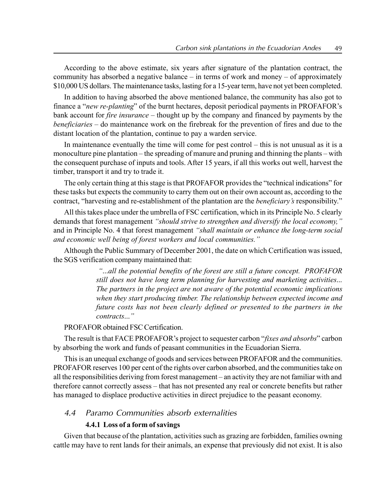According to the above estimate, six years after signature of the plantation contract, the community has absorbed a negative balance  $\overline{\phantom{a}}$  in terms of work and money  $\overline{\phantom{a}}$  of approximately \$10,000 US dollars. The maintenance tasks, lasting for a 15-year term, have not yet been completed.

In addition to having absorbed the above mentioned balance, the community has also got to finance a "*new re-planting*" of the burnt hectares, deposit periodical payments in PROFAFOR's bank account for *fire insurance* – thought up by the company and financed by payments by the  $b$ eneficiaries – do maintenance work on the firebreak for the prevention of fires and due to the distant location of the plantation, continue to pay a warden service.

In maintenance eventually the time will come for pest control  $-$  this is not unusual as it is a monoculture pine plantation – the spreading of manure and pruning and thinning the plants – with the consequent purchase of inputs and tools. After 15 years, if all this works out well, harvest the timber, transport it and try to trade it.

The only certain thing at this stage is that PROFAFOR provides the "technical indications" for these tasks but expects the community to carry them out on their own account as, according to the contract, "harvesting and re-establishment of the plantation are the *beneficiary's* responsibility."

All this takes place under the umbrella of FSC certification, which in its Principle No. 5 clearly demands that forest management "should strive to strengthen and diversify the local economy," and in Principle No. 4 that forest management "shall maintain or enhance the long-term social and economic well being of forest workers and local communities."

Although the Public Summary of December 2001, the date on which Certification was issued, the SGS verification company maintained that:

> ì...all the potential benefits of the forest are still a future concept. PROFAFOR still does not have long term planning for harvesting and marketing activities... The partners in the project are not aware of the potential economic implications when they start producing timber. The relationship between expected income and future costs has not been clearly defined or presented to the partners in the contracts...<sup>"</sup>

## PROFAFOR obtained FSC Certification.

The result is that FACE PROFAFOR's project to sequester carbon "*fixes and absorbs*" carbon by absorbing the work and funds of peasant communities in the Ecuadorian Sierra.

This is an unequal exchange of goods and services between PROFAFOR and the communities. PROFAFOR reserves 100 per cent of the rights over carbon absorbed, and the communities take on all the responsibilities deriving from forest management – an activity they are not familiar with and therefore cannot correctly assess – that has not presented any real or concrete benefits but rather has managed to displace productive activities in direct prejudice to the peasant economy.

## 4.4 Paramo Communities absorb externalities

#### 4.4.1 Loss of a form of savings

Given that because of the plantation, activities such as grazing are forbidden, families owning cattle may have to rent lands for their animals, an expense that previously did not exist. It is also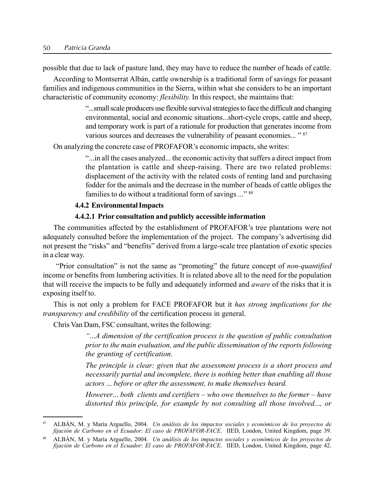possible that due to lack of pasture land, they may have to reduce the number of heads of cattle.

According to Montserrat Albán, cattle ownership is a traditional form of savings for peasant families and indigenous communities in the Sierra, within what she considers to be an important characteristic of community economy: *flexibility*. In this respect, she maintains that:

> ì...small scale producers use flexible survival strategiesto facethe difficult and changing environmental, social and economic situations...short-cycle crops, cattle and sheep, and temporary work is part of a rationale for production that generates income from various sources and decreases the vulnerability of peasant economies... "87"

On analyzing the concrete case of PROFAFOR's economic impacts, she writes:

ì...in all the cases analyzed... the economic activity that suffers a direct impact from the plantation is cattle and sheep-raising. There are two related problems: displacement of the activity with the related costs of renting land and purchasing fodder for the animals and the decrease in the number of heads of cattle obliges the families to do without a traditional form of savings ..." 88

## 4.4.2 Environmental Impacts

## 4.4.2.1 Prior consultation and publicly accessible information

The communities affected by the establishment of PROFAFOR's tree plantations were not adequately consulted before the implementation of the project. The company's advertising did not present the "risks" and "benefits" derived from a large-scale tree plantation of exotic species in a clear way.

"Prior consultation" is not the same as "promoting" the future concept of non-quantified income or benefits from lumbering activities. It is related above all to the need for the population that will receive the impacts to be fully and adequately informed and aware of the risks that it is exposing itself to.

This is not only a problem for FACE PROFAFOR but it has strong implications for the transparency and credibility of the certification process in general.

Chris Van Dam, FSC consultant, writes the following:

ì...A dimension of the certification process is the question of public consultation prior to the main evaluation, and the public dissemination of the reports following the granting of certification.

The principle is clear: given that the assessment process is a short process and necessarily partial and incomplete, there is nothing better than enabling all those actors ... before or after the assessment, to make themselves heard.

However... both clients and certifiers  $-\nu$  who owe themselves to the former  $-\hbar$  have distorted this principle, for example by not consulting all those involved..., or

ALBÁN, M. y María Arguello, 2004. Un análisis de los impactos sociales y económicos de los proyectos de fijación de Carbono en el Ecuador: El caso de PROFAFOR-FACE. IIED, London, United Kingdom, page 39.

<sup>88</sup> ALBÁN, M. y María Arguello, 2004. Un análisis de los impactos sociales y económicos de los proyectos de fijación de Carbono en el Ecuador: El caso de PROFAFOR-FACE. IIED, London, United Kingdom, page 42.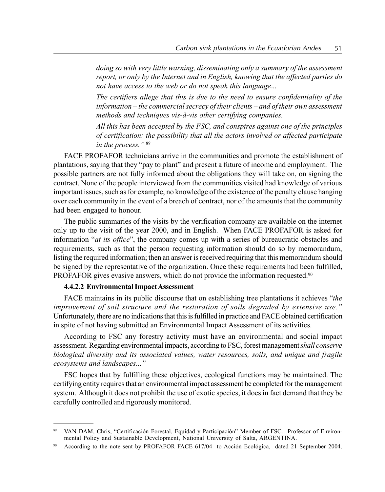doing so with very little warning, disseminating only a summary of the assessment report, or only by the Internet and in English, knowing that the affected parties do not have access to the web or do not speak this language...

The certifiers allege that this is due to the need to ensure confidentiality of the  $information - the commercial secrecy of their clients - and of their own assessment$ methods and techniques vis-à-vis other certifying companies.

All this has been accepted by the FSC, and conspires against one of the principles of certification: the possibility that all the actors involved or affected participate in the process." $89$ 

FACE PROFAFOR technicians arrive in the communities and promote the establishment of plantations, saying that they "pay to plant" and present a future of income and employment. The possible partners are not fully informed about the obligations they will take on, on signing the contract. None of the people interviewed from the communities visited had knowledge of various important issues, such as for example, no knowledge of the existence of the penalty clause hanging over each community in the event of a breach of contract, nor of the amounts that the community had been engaged to honour.

The public summaries of the visits by the verification company are available on the internet only up to the visit of the year 2000, and in English. When FACE PROFAFOR is asked for information " $at$  its office", the company comes up with a series of bureaucratic obstacles and requirements, such as that the person requesting information should do so by memorandum, listing the required information; then an answer is received requiring that this memorandum should be signed by the representative of the organization. Once these requirements had been fulfilled, PROFAFOR gives evasive answers, which do not provide the information requested.<sup>90</sup>

## 4.4.2.2 Environmental ImpactAssessment

FACE maintains in its public discourse that on establishing tree plantations it achieves "the improvement of soil structure and the restoration of soils degraded by extensive use." Unfortunately, there are no indications that this is fulfilled in practice and FACE obtained certification in spite of not having submitted an Environmental Impact Assessment of its activities.

According to FSC any forestry activity must have an environmental and social impact assessment. Regarding environmental impacts, according to FSC, forest management *shall conserve* biological diversity and its associated values, water resources, soils, and unique and fragile ecosystems and landscapes..."

FSC hopes that by fulfilling these objectives, ecological functions may be maintained. The certifying entity requires that an environmental impact assessment be completed for the management system. Although it does not prohibit the use of exotic species, it does in fact demand that they be carefully controlled and rigorously monitored.

VAN DAM, Chris, "Certificación Forestal, Equidad y Participación" Member of FSC. Professor of Environmental Policy and Sustainable Development, National University of Salta, ARGENTINA.

According to the note sent by PROFAFOR FACE 617/04 to Acción Ecológica, dated 21 September 2004.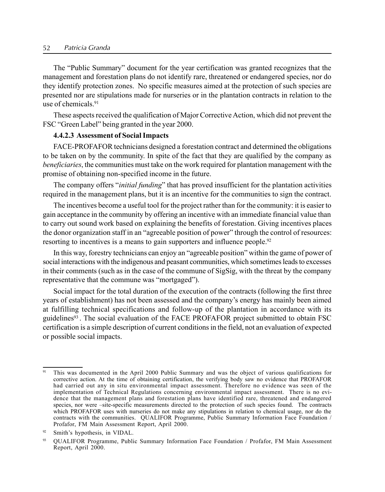#### 52 Patricia Granda

The "Public Summary" document for the year certification was granted recognizes that the management and forestation plans do not identify rare, threatened or endangered species, nor do they identify protection zones. No specific measures aimed at the protection of such species are presented nor are stipulations made for nurseries or in the plantation contracts in relation to the use of chemicals<sup>91</sup>

These aspects received the qualification of Major Corrective Action, which did not prevent the FSC "Green Label" being granted in the year 2000.

#### 4.4.2.3 Assessment of Social Impacts

FACE-PROFAFOR technicians designed a forestation contract and determined the obligations to be taken on by the community. In spite of the fact that they are qualified by the company as beneficiaries, the communities must take on the work required for plantation management with the promise of obtaining non-specified income in the future.

The company offers "*initial funding*" that has proved insufficient for the plantation activities required in the management plans, but it is an incentive for the communities to sign the contract.

The incentives become a useful tool for the project rather than for the community: it is easier to gain acceptance in the community by offering an incentive with an immediate financial value than to carry out sound work based on explaining the benefits of forestation. Giving incentives places the donor organization staff in an "agreeable position of power" through the control of resources: resorting to incentives is a means to gain supporters and influence people.<sup>92</sup>

In this way, forestry technicians can enjoy an "agreeable position" within the game of power of social interactions with the indigenous and peasant communities, which sometimes leads to excesses in their comments (such as in the case of the commune of SigSig, with the threat by the company representative that the commune was "mortgaged".

Social impact for the total duration of the execution of the contracts (following the first three years of establishment) has not been assessed and the company's energy has mainly been aimed at fulfilling technical specifications and follow-up of the plantation in accordance with its guidelines93 . The social evaluation of the FACE PROFAFOR project submitted to obtain FSC certification is a simple description of current conditions in the field, not an evaluation of expected or possible social impacts.

<sup>&</sup>lt;sup>91</sup> This was documented in the April 2000 Public Summary and was the object of various qualifications for corrective action. At the time of obtaining certification, the verifying body saw no evidence that PROFAFOR had carried out any in situ environmental impact assessment. Therefore no evidence was seen of the implementation of Technical Regulations concerning environmental impact assessment. There is no evidence that the management plans and forestation plans have identified rare, threatened and endangered species, nor were –site-specific measurements directed to the protection of such species found. The contracts which PROFAFOR uses with nurseries do not make any stipulations in relation to chemical usage, nor do the contracts with the communities. QUALIFOR Programme, Public Summary Information Face Foundation / Profafor, FM Main Assessment Report, April 2000.

 $92$  Smith's hypothesis, in VIDAL.

<sup>93</sup> QUALIFOR Programme, Public Summary Information Face Foundation / Profafor, FM Main Assessment Report, April 2000.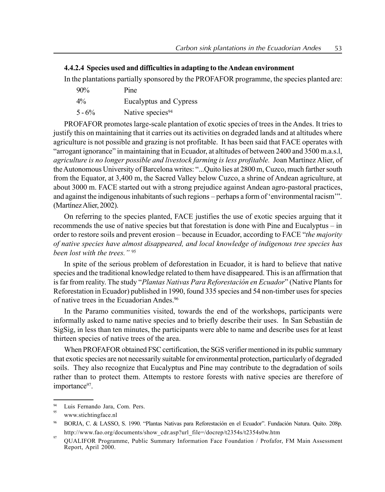## 4.4.2.4 Species used and difficulties in adapting to theAndean environment

In the plantations partially sponsored by the PROFAFOR programme, the species planted are:

90% Pine 4% Eucalyptus and Cypress  $5 - 6\%$  Native species<sup>94</sup>

PROFAFOR promotes large-scale plantation of exotic species of trees in the Andes. It tries to justify this on maintaining that it carries out its activities on degraded lands and at altitudes where agriculture is not possible and grazing is not profitable. It has been said that FACE operates with  $a$ <sup>a</sup> is a straingt ignorance" in maintaining that in Ecuador, at altitudes of between 2400 and 3500 m.a.s.l, agriculture is no longer possible and livestock farming is less profitable. Joan Martínez Alier, of the Autonomous University of Barcelona writes: "...Quito lies at 2800 m, Cuzco, much farther south from the Equator, at 3,400 m, the Sacred Valley below Cuzco, a shrine of Andean agriculture, at about 3000 m. FACE started out with a strong prejudice against Andean agro-pastoral practices, and against the indigenous inhabitants of such regions – perhaps a form of 'environmental racism'". (Martínez Alier, 2002).

On referring to the species planted, FACE justifies the use of exotic species arguing that it recommends the use of native species but that forestation is done with Pine and Eucalyptus  $-$  in order to restore soils and prevent erosion – because in Ecuador, according to FACE "the majority of native species have almost disappeared, and local knowledge of indigenous tree species has been lost with the trees.<sup>"95</sup>

In spite of the serious problem of deforestation in Ecuador, it is hard to believe that native species and the traditional knowledge related to them have disappeared. This is an affirmation that is far from reality. The study "Plantas Nativas Para Reforestación en Ecuador" (Native Plants for Reforestation in Ecuador) published in 1990, found 335 species and 54 non-timber uses for species of native trees in the Ecuadorian Andes.96

In the Paramo communities visited, towards the end of the workshops, participants were informally asked to name native species and to briefly describe their uses. In San Sebastián de SigSig, in less than ten minutes, the participants were able to name and describe uses for at least thirteen species of native trees of the area.

When PROFAFOR obtained FSC certification, the SGS verifier mentioned in its public summary that exotic species are not necessarily suitable for environmental protection, particularly of degraded soils. They also recognize that Eucalyptus and Pine may contribute to the degradation of soils rather than to protect them. Attempts to restore forests with native species are therefore of importance<sup>97</sup>.

Luis Fernando Jara, Com. Pers.

www.stichtingface.nl

BORJA, C. & LASSO, S. 1990. "Plantas Nativas para Reforestación en el Ecuador". Fundación Natura. Quito. 208p. http://www.fao.org/documents/show\_cdr.asp?url\_file=/docrep/t2354s/t2354s0w.htm

<sup>&</sup>lt;sup>97</sup> QUALIFOR Programme, Public Summary Information Face Foundation / Profafor, FM Main Assessment Report, April 2000.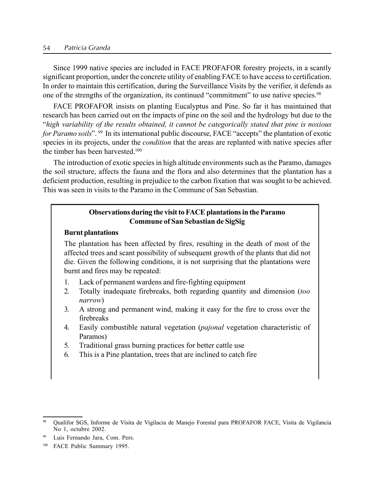#### 54 Patricia Granda

Since 1999 native species are included in FACE PROFAFOR forestry projects, in a scantly significant proportion, under the concrete utility of enabling FACE to have access to certification. In order to maintain this certification, during the Surveillance Visits by the verifier, it defends as one of the strengths of the organization, its continued "commitment" to use native species.<sup>98</sup>

FACE PROFAFOR insists on planting Eucalyptus and Pine. So far it has maintained that research has been carried out on the impacts of pine on the soil and the hydrology but due to the ìhigh variability of the results obtained, it cannot be categorically stated that pine is noxious for Paramo soils". 99 In its international public discourse, FACE "accepts" the plantation of exotic species in its projects, under the *condition* that the areas are replanted with native species after the timber has been harvested.100

The introduction of exotic species in high altitude environments such as the Paramo, damages the soil structure, affects the fauna and the flora and also determines that the plantation has a deficient production, resulting in prejudice to the carbon fixation that was sought to be achieved. This was seen in visits to the Paramo in the Commune of San Sebastian.

## Observations during the visit to FACE plantations in the Paramo Commune of San Sebastian de SigSig

#### Burnt plantations

The plantation has been affected by fires, resulting in the death of most of the affected trees and scant possibility of subsequent growth of the plants that did not die. Given the following conditions, it is not surprising that the plantations were burnt and fires may be repeated:

- 1. Lack of permanent wardens and fire-fighting equipment
- 2. Totally inadequate firebreaks, both regarding quantity and dimension (too) narrow)
- 3. A strong and permanent wind, making it easy for the fire to cross over the firebreaks
- 4. Easily combustible natural vegetation (pajonal vegetation characteristic of Paramos)
- 5. Traditional grass burning practices for better cattle use
- 6. This is a Pine plantation, trees that are inclined to catch fire

<sup>98</sup> Qualifor SGS, Informe de Visita de Vigilacia de Manejo Forestal para PROFAFOR FACE, Visita de Vigilancia No 1, octubre 2002.

<sup>99</sup> Luis Fernando Jara, Com. Pers.

<sup>100</sup> FACE Public Summary 1995.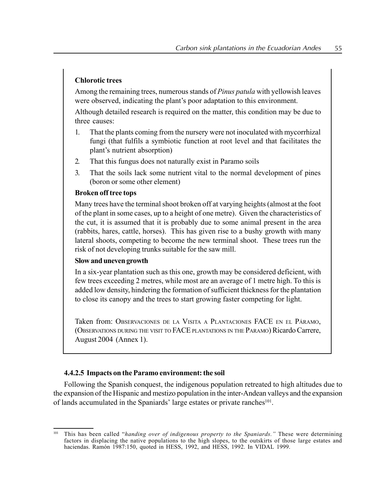## Chlorotic trees

Among the remaining trees, numerous stands of *Pinus patula* with vellowish leaves were observed, indicating the plant's poor adaptation to this environment.

Although detailed research is required on the matter, this condition may be due to three causes:

- 1. That the plants coming from the nursery were not inoculated with mycorrhizal fungi (that fulfils a symbiotic function at root level and that facilitates the plant's nutrient absorption)
- 2. That this fungus does not naturally exist in Paramo soils
- 3. That the soils lack some nutrient vital to the normal development of pines (boron or some other element)

## Broken off tree tops

Many trees have the terminal shoot broken off at varying heights (almost at the foot of the plant in some cases, up to a height of one metre). Given the characteristics of the cut, it is assumed that it is probably due to some animal present in the area (rabbits, hares, cattle, horses). This has given rise to a bushy growth with many lateral shoots, competing to become the new terminal shoot. These trees run the risk of not developing trunks suitable for the saw mill.

#### Slow and uneven growth

In a six-year plantation such as this one, growth may be considered deficient, with few trees exceeding 2 metres, while most are an average of 1 metre high. To this is added low density, hindering the formation of sufficient thickness for the plantation to close its canopy and the trees to start growing faster competing for light.

Taken from: Observaciones de la Visita a Plantaciones FACE en el Páramo, (OBSERVATIONS DURING THE VISIT TO FACE PLANTATIONS IN THE PARAMO) Ricardo Carrere, August 2004 (Annex 1).

#### 4.4.2.5 Impacts on the Paramo environment: the soil

Following the Spanish conquest, the indigenous population retreated to high altitudes due to the expansion of the Hispanic and mestizo population in the inter-Andean valleys and the expansion of lands accumulated in the Spaniards' large estates or private ranches<sup>101</sup>.

This has been called "handing over of indigenous property to the Spaniards." These were determining factors in displacing the native populations to the high slopes, to the outskirts of those large estates and haciendas. Ramón 1987:150, quoted in HESS, 1992, and HESS, 1992. In VIDAL 1999.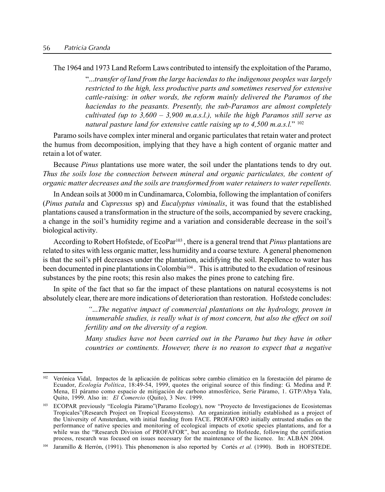The 1964 and 1973 Land Reform Laws contributed to intensify the exploitation of the Paramo,

 $\ldots$  transfer of land from the large haciendas to the indigenous peoples was largely restricted to the high, less productive parts and sometimes reserved for extensive cattle-raising: in other words, the reform mainly delivered the Paramos of the haciendas to the peasants. Presently, the sub-Paramos are almost completely cultivated (up to  $3,600 - 3,900$  m.a.s.l.), while the high Paramos still serve as natural pasture land for extensive cattle raising up to  $4,500$  m.a.s.l.<sup>n 102</sup>

Paramo soils have complex inter mineral and organic particulates that retain water and protect the humus from decomposition, implying that they have a high content of organic matter and retain a lot of water.

Because Pinus plantations use more water, the soil under the plantations tends to dry out. Thus the soils lose the connection between mineral and organic particulates, the content of organic matter decreases and the soils are transformed from water retainers to water repellents.

In Andean soils at 3000 m in Cundinamarca, Colombia, following the implantation of conifers (Pinus patula and Cupressus sp) and Eucalyptus viminalis, it was found that the established plantations caused a transformation in the structure of the soils, accompanied by severe cracking, a change in the soil's humidity regime and a variation and considerable decrease in the soil's biological activity.

According to Robert Hofstede, of  $EcoPar<sup>103</sup>$ , there is a general trend that *Pinus* plantations are related to sites with less organic matter, less humidity and a coarse texture. A general phenomenon is that the soil's pH decreases under the plantation, acidifying the soil. Repellence to water has been documented in pine plantations in Colombia104 . This is attributed to the exudation of resinous substances by the pine roots; this resin also makes the pines prone to catching fire.

In spite of the fact that so far the impact of these plantations on natural ecosystems is not absolutely clear, there are more indications of deterioration than restoration. Hofstede concludes:

> ì...The negative impact of commercial plantations on the hydrology, proven in innumerable studies, is really what is of most concern, but also the effect on soil fertility and on the diversity of a region.

> Many studies have not been carried out in the Paramo but they have in other countries or continents. However, there is no reason to expect that a negative

Verónica Vidal, Impactos de la aplicación de políticas sobre cambio climático en la forestación del páramo de Ecuador, *Ecología Política*, 18:49-54, 1999, quotes the original source of this finding: G. Medina and P. Mena, El páramo como espacio de mitigación de carbono atmosférico, Serie Páramo, 1. GTP/Abya Yala, Quito, 1999. Also in: El Comercio (Quito), 3 Nov. 1999.

<sup>&</sup>lt;sup>103</sup> ECOPAR previously "Ecología Páramo"(Paramo Ecology), now "Proyecto de Investigaciones de Ecosistemas Tropicalesî(Research Project on Tropical Ecosystems). An organization initially established as a project of the University of Amsterdam, with initial funding from FACE. PROFAFORO initially entrusted studies on the performance of native species and monitoring of ecological impacts of exotic species plantations, and for a while was the "Research Division of PROFAFOR", but according to Hofstede, following the certification process, research was focused on issues necessary for the maintenance of the licence. In: ALBÁN 2004.

Jaramillo & Herrón, (1991). This phenomenon is also reported by Cortés et al. (1990). Both in HOFSTEDE.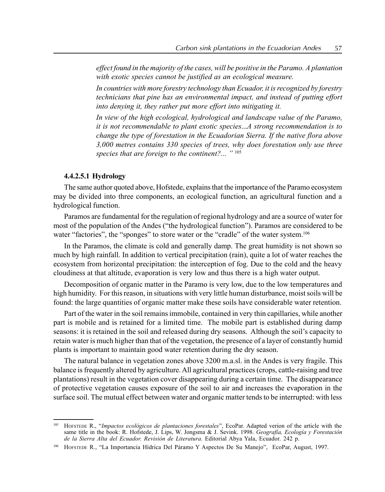effect found in the majority of the cases, will be positive in the Paramo. A plantation with exotic species cannot be justified as an ecological measure.

In countries with more forestry technology than Ecuador, it is recognized by forestry technicians that pine has an environmental impact, and instead of putting effort into denying it, they rather put more effort into mitigating it.

In view of the high ecological, hydrological and landscape value of the Paramo, it is not recommendable to plant exotic species...A strong recommendation is to change the type of forestation in the Ecuadorian Sierra. If the native flora above 3,000 metres contains 330 species of trees, why does forestation only use three species that are foreign to the continent?...  $\cdot$ " 105

#### 4.4.2.5.1 Hydrology

The same author quoted above, Hofstede, explains that the importance of the Paramo ecosystem may be divided into three components, an ecological function, an agricultural function and a hydrological function.

Paramos are fundamental for the regulation of regional hydrology and are a source of water for most of the population of the Andes ("the hydrological function"). Paramos are considered to be water "factories", the "sponges" to store water or the "cradle" of the water system.<sup>106</sup>

In the Paramos, the climate is cold and generally damp. The great humidity is not shown so much by high rainfall. In addition to vertical precipitation (rain), quite a lot of water reaches the ecosystem from horizontal precipitation: the interception of fog. Due to the cold and the heavy cloudiness at that altitude, evaporation is very low and thus there is a high water output.

Decomposition of organic matter in the Paramo is very low, due to the low temperatures and high humidity. For this reason, in situations with very little human disturbance, moist soils will be found: the large quantities of organic matter make these soils have considerable water retention.

Part of the water in the soil remains immobile, contained in very thin capillaries, while another part is mobile and is retained for a limited time. The mobile part is established during damp seasons: it is retained in the soil and released during dry seasons. Although the soil's capacity to retain water is much higher than that of the vegetation, the presence of a layer of constantly humid plants is important to maintain good water retention during the dry season.

The natural balance in vegetation zones above 3200 m.a.sl. in the Andes is very fragile. This balance is frequently altered by agriculture. All agricultural practices (crops, cattle-raising and tree plantations) result in the vegetation cover disappearing during a certain time. The disappearance of protective vegetation causes exposure of the soil to air and increases the evaporation in the surface soil. The mutual effect between water and organic matter tends to be interrupted: with less

<sup>&</sup>lt;sup>105</sup> HOFSTEDE R., "Impactos ecológicos de plantaciones forestales", EcoPar. Adapted verion of the article with the same title in the book: R. Hofstede, J. Lips, W. Jongsma & J. Sevink. 1998. Geografia, Ecología y Forestación de la Sierra Alta del Ecuador. Revisión de Literatura. Editorial Abya Yala, Ecuador. 242 p.

<sup>&</sup>lt;sup>106</sup> HOFSTEDE R., "La Importancia Hídrica Del Páramo Y Aspectos De Su Manejo", EcoPar, August, 1997.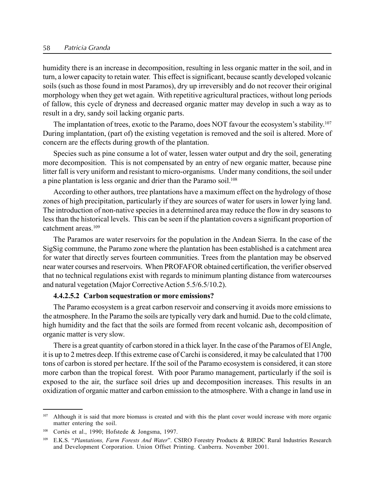#### 58 Patricia Granda

humidity there is an increase in decomposition, resulting in less organic matter in the soil, and in turn, a lower capacity to retain water. This effect is significant, because scantly developed volcanic soils (such as those found in most Paramos), dry up irreversibly and do not recover their original morphology when they get wet again. With repetitive agricultural practices, without long periods of fallow, this cycle of dryness and decreased organic matter may develop in such a way as to result in a dry, sandy soil lacking organic parts.

The implantation of trees, exotic to the Paramo, does NOT favour the ecosystem's stability.<sup>107</sup> During implantation, (part of) the existing vegetation is removed and the soil is altered. More of concern are the effects during growth of the plantation.

Species such as pine consume a lot of water, lessen water output and dry the soil, generating more decomposition. This is not compensated by an entry of new organic matter, because pine litter fall is very uniform and resistant to micro-organisms. Under many conditions, the soil under a pine plantation is less organic and drier than the Paramo soil.<sup>108</sup>

According to other authors, tree plantations have a maximum effect on the hydrology of those zones of high precipitation, particularly if they are sources of water for users in lower lying land. The introduction of non-native species in a determined area may reduce the flow in dry seasons to less than the historical levels. This can be seen if the plantation covers a significant proportion of catchment areas<sup>109</sup>

The Paramos are water reservoirs for the population in the Andean Sierra. In the case of the SigSig commune, the Paramo zone where the plantation has been established is a catchment area for water that directly serves fourteen communities. Trees from the plantation may be observed near water courses and reservoirs. When PROFAFOR obtained certification, the verifier observed that no technical regulations exist with regards to minimum planting distance from watercourses and natural vegetation (Major CorrectiveAction 5.5/6.5/10.2).

#### 4.4.2.5.2 Carbon sequestration or more emissions?

The Paramo ecosystem is a great carbon reservoir and conserving it avoids more emissions to the atmosphere. In the Paramo the soils are typically very dark and humid. Due to the cold climate, high humidity and the fact that the soils are formed from recent volcanic ash, decomposition of organic matter is very slow.

There is a great quantity of carbon stored in a thick layer. In the case of the Paramos of El Angle, it is up to 2 metres deep. If this extreme case of Carchi is considered, it may be calculated that 1700 tons of carbon is stored per hectare. If the soil of the Paramo ecosystem is considered, it can store more carbon than the tropical forest. With poor Paramo management, particularly if the soil is exposed to the air, the surface soil dries up and decomposition increases. This results in an oxidization of organic matter and carbon emission to the atmosphere. With a change in land use in

<sup>&</sup>lt;sup>107</sup> Although it is said that more biomass is created and with this the plant cover would increase with more organic matter entering the soil.

Cortés et al., 1990; Hofstede & Jongsma, 1997.

<sup>&</sup>lt;sup>109</sup> E.K.S. "Plantations, Farm Forests And Water". CSIRO Forestry Products & RIRDC Rural Industries Research and Development Corporation. Union Offset Printing. Canberra. November 2001.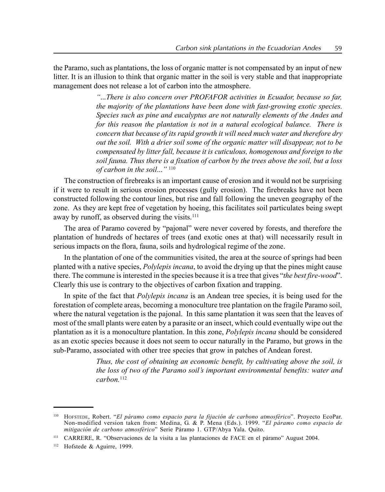the Paramo, such as plantations, the loss of organic matter is not compensated by an input of new litter. It is an illusion to think that organic matter in the soil is very stable and that inappropriate management does not release a lot of carbon into the atmosphere.

> ì...There is also concern over PROFAFOR activities in Ecuador, because so far, the majority of the plantations have been done with fast-growing exotic species. Species such as pine and eucalyptus are not naturally elements of the Andes and for this reason the plantation is not in a natural ecological balance. There is concern that because of its rapid growth it will need much water and therefore dry out the soil. With a drier soil some of the organic matter will disappear, not to be compensated by litter fall, because it is cuticulous, homogenous and foreign to the soil fauna. Thus there is a fixation of carbon by the trees above the soil, but a loss of carbon in the soil..."  $110$

The construction of firebreaks is an important cause of erosion and it would not be surprising if it were to result in serious erosion processes (gully erosion). The firebreaks have not been constructed following the contour lines, but rise and fall following the uneven geography of the zone. As they are kept free of vegetation by hoeing, this facilitates soil particulates being swept away by runoff, as observed during the visits.<sup>111</sup>

The area of Paramo covered by "pajonal" were never covered by forests, and therefore the plantation of hundreds of hectares of trees (and exotic ones at that) will necessarily result in serious impacts on the flora, fauna, soils and hydrological regime of the zone.

In the plantation of one of the communities visited, the area at the source of springs had been planted with a native species, Polylepis incana, to avoid the drying up that the pines might cause there. The commune is interested in the species because it is a tree that gives "the best fire-wood". Clearly this use is contrary to the objectives of carbon fixation and trapping.

In spite of the fact that *Polylepis incana* is an Andean tree species, it is being used for the forestation of complete areas, becoming a monoculture tree plantation on the fragile Paramo soil, where the natural vegetation is the pajonal. In this same plantation it was seen that the leaves of most of the small plants were eaten by a parasite or an insect, which could eventually wipe out the plantation as it is a monoculture plantation. In this zone, Polylepis incana should be considered as an exotic species because it does not seem to occur naturally in the Paramo, but grows in the sub-Paramo, associated with other tree species that grow in patches of Andean forest.

> Thus, the cost of obtaining an economic benefit, by cultivating above the soil, is the loss of two of the Paramo soil's important environmental benefits: water and  $carbon<sup>112</sup>$

<sup>110</sup> HOFSTEDE, Robert. "El páramo como espacio para la fijación de carbono atmosférico". Proyecto EcoPar. Non-modified version taken from: Medina, G. & P. Mena (Eds.). 1999. *"El páramo como espacio de* mitigación de carbono atmosférico" Serie Páramo 1. GTP/Abya Yala. Quito.

<sup>&</sup>lt;sup>111</sup> CARRERE, R. "Observaciones de la visita a las plantaciones de FACE en el páramo" August 2004.

<sup>112</sup> Hofstede & Aguirre, 1999.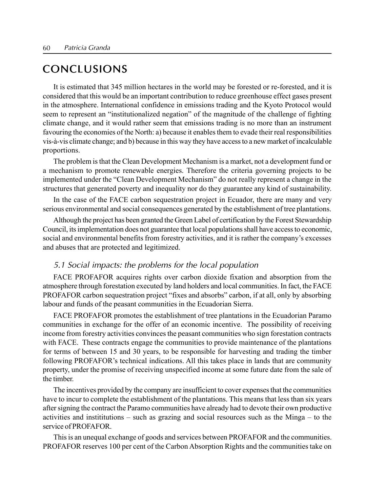## CONCLUSIONS

It is estimated that 345 million hectares in the world may be forested or re-forested, and it is considered that this would be an important contribution to reduce greenhouse effect gases present in the atmosphere. International confidence in emissions trading and the Kyoto Protocol would seem to represent an "institutionalized negation" of the magnitude of the challenge of fighting climate change, and it would rather seem that emissions trading is no more than an instrument favouring the economies of the North: a) because it enables them to evade their real responsibilities vis-‡-vis climate change; and b) because in this way they have access to a new market of incalculable proportions.

The problem is that the Clean Development Mechanism is a market, not a development fund or a mechanism to promote renewable energies. Therefore the criteria governing projects to be implemented under the "Clean Development Mechanism" do not really represent a change in the structures that generated poverty and inequality nor do they guarantee any kind of sustainability.

In the case of the FACE carbon sequestration project in Ecuador, there are many and very serious environmental and social consequences generated by the establishment of tree plantations.

Although the project has been granted the Green Label of certification by the Forest Stewardship Council, its implementation does not guarantee that local populations shall have access to economic, social and environmental benefits from forestry activities, and it is rather the company's excesses and abuses that are protected and legitimized.

## 5.1 Social impacts: the problems for the local population

FACE PROFAFOR acquires rights over carbon dioxide fixation and absorption from the atmosphere through forestation executed by land holders and local communities. In fact, the FACE PROFAFOR carbon sequestration project "fixes and absorbs" carbon, if at all, only by absorbing labour and funds of the peasant communities in the Ecuadorian Sierra.

FACE PROFAFOR promotes the establishment of tree plantations in the Ecuadorian Paramo communities in exchange for the offer of an economic incentive. The possibility of receiving income from forestry activities convinces the peasant communities who sign forestation contracts with FACE. These contracts engage the communities to provide maintenance of the plantations for terms of between 15 and 30 years, to be responsible for harvesting and trading the timber following PROFAFOR's technical indications. All this takes place in lands that are community property, under the promise of receiving unspecified income at some future date from the sale of the timber.

The incentives provided by the company are insufficient to cover expenses that the communities have to incur to complete the establishment of the plantations. This means that less than six years after signing the contract the Paramo communities have already had to devote their own productive activities and institutions  $-$  such as grazing and social resources such as the Minga  $-$  to the service of PROFAFOR.

This is an unequal exchange of goods and services between PROFAFOR and the communities. PROFAFOR reserves 100 per cent of the Carbon Absorption Rights and the communities take on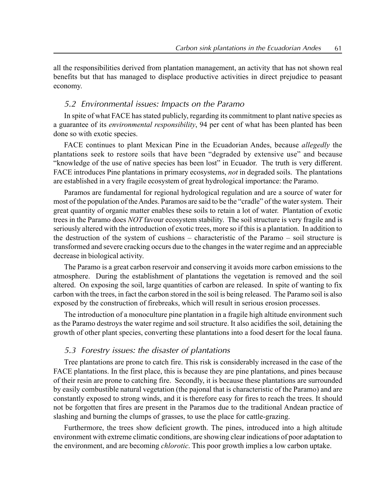all the responsibilities derived from plantation management, an activity that has not shown real benefits but that has managed to displace productive activities in direct prejudice to peasant economy.

## 5.2 Environmental issues: Impacts on the Paramo

In spite of what FACE has stated publicly, regarding its commitment to plant native species as a guarantee of its *environmental responsibility*, 94 per cent of what has been planted has been done so with exotic species.

FACE continues to plant Mexican Pine in the Ecuadorian Andes, because *allegedly* the plantations seek to restore soils that have been "degraded by extensive use" and because ìknowledge of the use of native species has been lostî in Ecuador. The truth is very different. FACE introduces Pine plantations in primary ecosystems, not in degraded soils. The plantations are established in a very fragile ecosystem of great hydrological importance: the Paramo.

Paramos are fundamental for regional hydrological regulation and are a source of water for most of the population of the Andes. Paramos are said to be the "cradle" of the water system. Their great quantity of organic matter enables these soils to retain a lot of water. Plantation of exotic trees in the Paramo does NOT favour ecosystem stability. The soil structure is very fragile and is seriously altered with the introduction of exotic trees, more so if this is a plantation. In addition to the destruction of the system of cushions  $-$  characteristic of the Paramo  $-$  soil structure is transformed and severe cracking occurs due to the changes in the water regime and an appreciable decrease in biological activity.

The Paramo is a great carbon reservoir and conserving it avoids more carbon emissions to the atmosphere. During the establishment of plantations the vegetation is removed and the soil altered. On exposing the soil, large quantities of carbon are released. In spite of wanting to fix carbon with the trees, in fact the carbon stored in the soil is being released. The Paramo soil is also exposed by the construction of firebreaks, which will result in serious erosion processes.

The introduction of a monoculture pine plantation in a fragile high altitude environment such as the Paramo destroys the water regime and soil structure. It also acidifies the soil, detaining the growth of other plant species, converting these plantations into a food desert for the local fauna.

## 5.3 Forestry issues: the disaster of plantations

Tree plantations are prone to catch fire. This risk is considerably increased in the case of the FACE plantations. In the first place, this is because they are pine plantations, and pines because of their resin are prone to catching fire. Secondly, it is because these plantations are surrounded by easily combustible natural vegetation (the pajonal that is characteristic of the Paramo) and are constantly exposed to strong winds, and it is therefore easy for fires to reach the trees. It should not be forgotten that fires are present in the Paramos due to the traditional Andean practice of slashing and burning the clumps of grasses, to use the place for cattle-grazing.

Furthermore, the trees show deficient growth. The pines, introduced into a high altitude environment with extreme climatic conditions, are showing clear indications of poor adaptation to the environment, and are becoming *chlorotic*. This poor growth implies a low carbon uptake.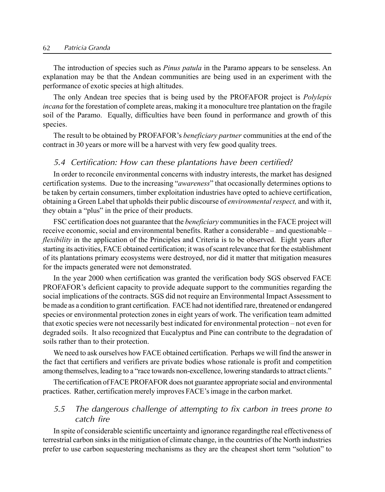### 62 Patricia Granda

The introduction of species such as *Pinus patula* in the Paramo appears to be senseless. An explanation may be that the Andean communities are being used in an experiment with the performance of exotic species at high altitudes.

The only Andean tree species that is being used by the PROFAFOR project is *Polylepis* incana for the forestation of complete areas, making it a monoculture tree plantation on the fragile soil of the Paramo. Equally, difficulties have been found in performance and growth of this species.

The result to be obtained by PROFAFOR's *beneficiary partner* communities at the end of the contract in 30 years or more will be a harvest with very few good quality trees.

## 5.4 Certification: How can these plantations have been certified?

In order to reconcile environmental concerns with industry interests, the market has designed certification systems. Due to the increasing "*awareness*" that occasionally determines options to be taken by certain consumers, timber exploitation industries have opted to achieve certification, obtaining a Green Label that upholds their public discourse of environmental respect, and with it, they obtain a "plus" in the price of their products.

FSC certification does not guarantee that the beneficiary communities in the FACE project will receive economic, social and environmental benefits. Rather a considerable  $-$  and questionable  $$ flexibility in the application of the Principles and Criteria is to be observed. Eight years after starting its activities, FACE obtained certification; it was of scant relevance that for the establishment of its plantations primary ecosystems were destroyed, nor did it matter that mitigation measures for the impacts generated were not demonstrated.

In the year 2000 when certification was granted the verification body SGS observed FACE PROFAFOR's deficient capacity to provide adequate support to the communities regarding the social implications of the contracts. SGS did not require an Environmental Impact Assessment to be made as a condition to grant certification. FACE had not identified rare, threatened or endangered species or environmental protection zones in eight years of work. The verification team admitted that exotic species were not necessarily best indicated for environmental protection – not even for degraded soils. It also recognized that Eucalyptus and Pine can contribute to the degradation of soils rather than to their protection.

We need to ask ourselves how FACE obtained certification. Perhaps we will find the answer in the fact that certifiers and verifiers are private bodies whose rationale is profit and competition among themselves, leading to a "race towards non-excellence, lowering standards to attract clients."

The certification of FACE PROFAFOR does not guarantee appropriate social and environmental practices. Rather, certification merely improves FACE's image in the carbon market.

## 5.5 The dangerous challenge of attempting to fix carbon in trees prone to catch fire

In spite of considerable scientific uncertainty and ignorance regardingthe real effectiveness of terrestrial carbon sinks in the mitigation of climate change, in the countries of the North industries prefer to use carbon sequestering mechanisms as they are the cheapest short term "solution" to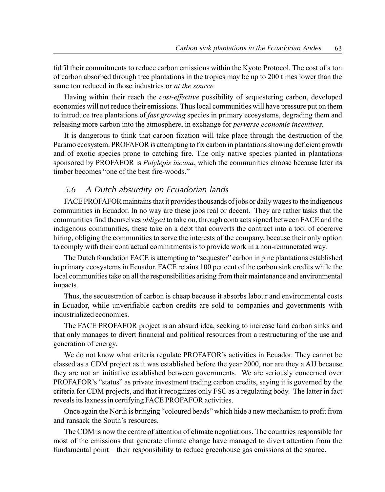fulfil their commitments to reduce carbon emissions within the Kyoto Protocol. The cost of a ton of carbon absorbed through tree plantations in the tropics may be up to 200 times lower than the same ton reduced in those industries or *at the source*.

Having within their reach the cost-effective possibility of sequestering carbon, developed economies will not reduce their emissions. Thus local communities will have pressure put on them to introduce tree plantations of *fast growing* species in primary ecosystems, degrading them and releasing more carbon into the atmosphere, in exchange for perverse economic incentives.

It is dangerous to think that carbon fixation will take place through the destruction of the Paramo ecosystem. PROFAFOR is attempting to fix carbon in plantations showing deficient growth and of exotic species prone to catching fire. The only native species planted in plantations sponsored by PROFAFOR is *Polylepis incana*, which the communities choose because later its timber becomes "one of the best fire-woods."

## 5.6 <sup>A</sup> Dutch absurdity on Ecuadorian lands

FACE PROFAFOR maintains that it provides thousands of jobs or daily wages to the indigenous communities in Ecuador. In no way are these jobs real or decent. They are rather tasks that the communities find themselves *obliged* to take on, through contracts signed between FACE and the indigenous communities, these take on a debt that converts the contract into a tool of coercive hiring, obliging the communities to serve the interests of the company, because their only option to comply with their contractual commitments is to provide work in a non-remunerated way.

The Dutch foundation FACE is attempting to "sequester" carbon in pine plantations established in primary ecosystems in Ecuador. FACE retains 100 per cent of the carbon sink credits while the local communities take on all the responsibilities arising from their maintenance and environmental impacts.

Thus, the sequestration of carbon is cheap because it absorbs labour and environmental costs in Ecuador, while unverifiable carbon credits are sold to companies and governments with industrialized economies.

The FACE PROFAFOR project is an absurd idea, seeking to increase land carbon sinks and that only manages to divert financial and political resources from a restructuring of the use and generation of energy.

We do not know what criteria regulate PROFAFOR's activities in Ecuador. They cannot be classed as a CDM project as it was established before the year 2000, nor are they a AIJ because they are not an initiative established between governments. We are seriously concerned over PROFAFOR's "status" as private investment trading carbon credits, saying it is governed by the criteria for CDM projects, and that it recognizes only FSC as a regulating body. The latter in fact reveals its laxness in certifying FACE PROFAFOR activities.

Once again the North is bringing "coloured beads" which hide a new mechanism to profit from and ransack the South's resources.

The CDM is now the centre of attention of climate negotiations. The countries responsible for most of the emissions that generate climate change have managed to divert attention from the fundamental point – their responsibility to reduce greenhouse gas emissions at the source.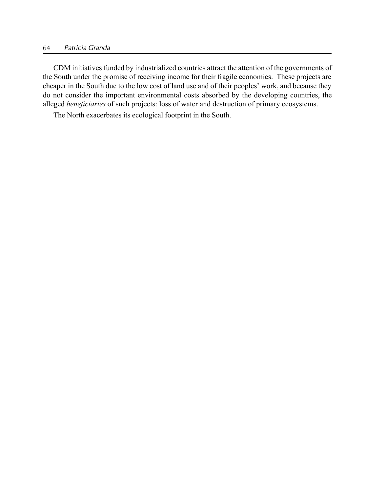CDM initiatives funded by industrialized countries attract the attention of the governments of the South under the promise of receiving income for their fragile economies. These projects are cheaper in the South due to the low cost of land use and of their peoples' work, and because they do not consider the important environmental costs absorbed by the developing countries, the alleged beneficiaries of such projects: loss of water and destruction of primary ecosystems.

The North exacerbates its ecological footprint in the South.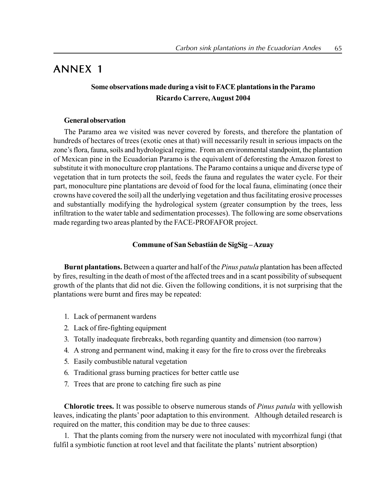# ANNEX 1

## Some observations made during a visit to FACE plantations in the Paramo Ricardo Carrere, August 2004

#### General observation

The Paramo area we visited was never covered by forests, and therefore the plantation of hundreds of hectares of trees (exotic ones at that) will necessarily result in serious impacts on the zone's flora, fauna, soils and hydrological regime. From an environmental standpoint, the plantation of Mexican pine in the Ecuadorian Paramo is the equivalent of deforesting the Amazon forest to substitute it with monoculture crop plantations. The Paramo contains a unique and diverse type of vegetation that in turn protects the soil, feeds the fauna and regulates the water cycle. For their part, monoculture pine plantations are devoid of food for the local fauna, eliminating (once their crowns have covered the soil) all the underlying vegetation and thus facilitating erosive processes and substantially modifying the hydrological system (greater consumption by the trees, less infiltration to the water table and sedimentation processes). The following are some observations made regarding two areas planted by the FACE-PROFAFOR project.

## Commune of San Sebastián de SigSig-Azuay

**Burnt plantations.** Between a quarter and half of the *Pinus patula* plantation has been affected by fires, resulting in the death of most of the affected trees and in a scant possibility of subsequent growth of the plants that did not die. Given the following conditions, it is not surprising that the plantations were burnt and fires may be repeated:

- 1. Lack of permanent wardens
- 2. Lack of fire-fighting equipment
- 3. Totally inadequate firebreaks, both regarding quantity and dimension (too narrow)
- 4. A strong and permanent wind, making it easy for the fire to cross over the firebreaks
- 5. Easily combustible natural vegetation
- 6. Traditional grass burning practices for better cattle use
- 7. Trees that are prone to catching fire such as pine

Chlorotic trees. It was possible to observe numerous stands of *Pinus patula* with yellowish leaves, indicating the plants' poor adaptation to this environment. Although detailed research is required on the matter, this condition may be due to three causes:

1. That the plants coming from the nursery were not inoculated with mycorrhizal fungi (that fulfil a symbiotic function at root level and that facilitate the plants' nutrient absorption)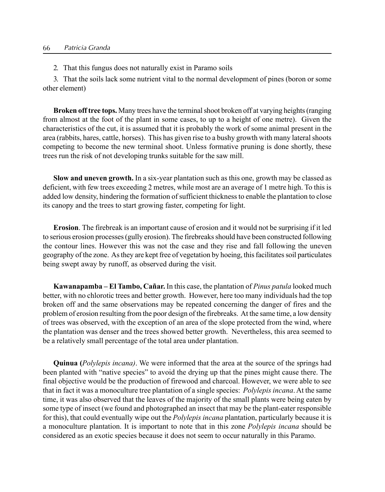2. That this fungus does not naturally exist in Paramo soils

3. That the soils lack some nutrient vital to the normal development of pines (boron or some other element)

Broken off tree tops. Many trees have the terminal shoot broken off at varying heights (ranging from almost at the foot of the plant in some cases, to up to a height of one metre). Given the characteristics of the cut, it is assumed that it is probably the work of some animal present in the area (rabbits, hares, cattle, horses). This has given rise to a bushy growth with many lateral shoots competing to become the new terminal shoot. Unless formative pruning is done shortly, these trees run the risk of not developing trunks suitable for the saw mill.

Slow and uneven growth. In a six-year plantation such as this one, growth may be classed as deficient, with few trees exceeding 2 metres, while most are an average of 1 metre high. To this is added low density, hindering the formation of sufficient thickness to enable the plantation to close its canopy and the trees to start growing faster, competing for light.

Erosion. The firebreak is an important cause of erosion and it would not be surprising if it led to serious erosion processes (gully erosion). The firebreaks should have been constructed following the contour lines. However this was not the case and they rise and fall following the uneven geography of the zone. As they are kept free of vegetation by hoeing, this facilitates soil particulates being swept away by runoff, as observed during the visit.

Kawanapamba – El Tambo, Cañar. In this case, the plantation of *Pinus patula* looked much better, with no chlorotic trees and better growth. However, here too many individuals had the top broken off and the same observations may be repeated concerning the danger of fires and the problem of erosion resulting from the poor design of the firebreaks. At the same time, a low density of trees was observed, with the exception of an area of the slope protected from the wind, where the plantation was denser and the trees showed better growth. Nevertheless, this area seemed to be a relatively small percentage of the total area under plantation.

Quinua (Polylepis incana). We were informed that the area at the source of the springs had been planted with "native species" to avoid the drying up that the pines might cause there. The final objective would be the production of firewood and charcoal. However, we were able to see that in fact it was a monoculture tree plantation of a single species: *Polylepis incana*. At the same time, it was also observed that the leaves of the majority of the small plants were being eaten by some type of insect (we found and photographed an insect that may be the plant-eater responsible for this), that could eventually wipe out the *Polylepis incana* plantation, particularly because it is a monoculture plantation. It is important to note that in this zone Polylepis incana should be considered as an exotic species because it does not seem to occur naturally in this Paramo.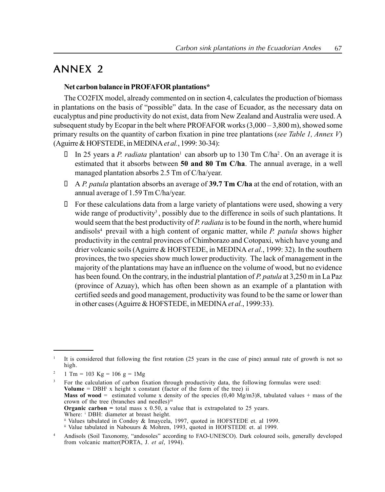## ANNEX 2

### Net carbon balance in PROFAFOR plantations\*

The CO2FIX model, already commented on in section 4, calculates the production of biomass in plantations on the basis of "possible" data. In the case of Ecuador, as the necessary data on eucalyptus and pine productivity do not exist, data from New Zealand and Australia were used. A subsequent study by Ecopar in the belt where PROFAFOR works  $(3,000 - 3,800 \text{ m})$ , showed some primary results on the quantity of carbon fixation in pine tree plantations (see Table 1, Annex V) (Aguirre & HOFSTEDE, in MEDINA et al., 1999: 30-34):

In 25 years a P. radiata plantation<sup>1</sup> can absorb up to 130 Tm C/ha<sup>2</sup>. On an average it is estimated that it absorbs between 50 and 80 Tm C/ha. The annual average, in a well managed plantation absorbs 2.5 Tm of C/ha/year.

A P. patula plantation absorbs an average of 39.7 Tm C/ha at the end of rotation, with an annual average of 1.59 Tm C/ha/year.

 For these calculations data from a large variety of plantations were used, showing a very wide range of productivity<sup>3</sup>, possibly due to the difference in soils of such plantations. It would seem that the best productivity of P. radiata is to be found in the north, where humid andisols<sup>4</sup> prevail with a high content of organic matter, while *P. patula* shows higher productivity in the central provinces of Chimborazo and Cotopaxi, which have young and drier volcanic soils (Aguirre & HOFSTEDE, in MEDINA *et al.*, 1999: 32). In the southern provinces, the two species show much lower productivity. The lack of management in the majority of the plantations may have an influence on the volume of wood, but no evidence has been found. On the contrary, in the industrial plantation of P. patula at 3,250 m in La Paz (province of Azuay), which has often been shown as an example of a plantation with certified seeds and good management, productivity was found to be the same or lower than in other cases (Aguirre & HOFSTEDE, in MEDINA *et al.*, 1999:33).

<sup>3</sup> For the calculation of carbon fixation through productivity data, the following formulas were used: Volume =  $DBH<sup>i</sup>$  x height x constant (factor of the form of the tree) ii **Mass of wood** = estimated volume x density of the species  $(0.40 \text{ Mg/m3})8$ , tabulated values + mass of the crown of the tree (branches and needles)<sup>iii</sup> **Organic carbon** = total mass  $x = 0.50$ , a value that is extrapolated to 25 years. Where: <sup>i</sup> DBH: diameter at breast height. ii Values tabulated in Condoy & Imaycela, 1997, quoted in HOFSTEDE et. al 1999. ii Value tabulated in Nabouurs & Mohren, 1993, quoted in HOFSTEDE et. al 1999.

<sup>&</sup>lt;sup>1</sup> It is considered that following the first rotation (25 years in the case of pine) annual rate of growth is not so high.

<sup>&</sup>lt;sup>2</sup> 1 Tm = 103 Kg = 106 g = 1Mg

<sup>&</sup>lt;sup>4</sup> Andisols (Soil Taxonomy, "andosoles" according to FAO-UNESCO). Dark coloured soils, generally developed from volcanic matter(PORTA, J. et al, 1994).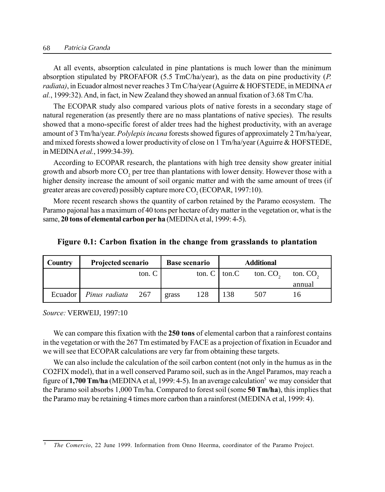#### 68 Patricia Granda

At all events, absorption calculated in pine plantations is much lower than the minimum absorption stipulated by PROFAFOR  $(5.5 \text{ TmC/ha/year})$ , as the data on pine productivity  $(P$ . radiata), in Ecuador almost never reaches 3 Tm C/ha/year (Aguirre & HOFSTEDE, in MEDINA et al., 1999:32). And, in fact, in New Zealand they showed an annual fixation of 3.68 Tm C/ha.

The ECOPAR study also compared various plots of native forests in a secondary stage of natural regeneration (as presently there are no mass plantations of native species). The results showed that a mono-specific forest of alder trees had the highest productivity, with an average amount of 3 Tm/ha/year. Polylepis incana forests showed figures of approximately 2 Tm/ha/year, and mixed forests showed a lower productivity of close on 1 Tm/ha/year (Aguirre & HOFSTEDE, inMEDINAet al., 1999:34-39).

According to ECOPAR research, the plantations with high tree density show greater initial growth and absorb more CO<sub>2</sub> per tree than plantations with lower density. However those with a higher density increase the amount of soil organic matter and with the same amount of trees (if greater areas are covered) possibly capture more  $CO<sub>2</sub>$  (ECOPAR, 1997:10).

More recent research shows the quantity of carbon retained by the Paramo ecosystem. The Paramo pajonal has a maximum of 40 tons per hectare of dry matter in the vegetation or, what is the same, 20 tons of elemental carbon per ha (MEDINA et al, 1999: 4-5).

| Country | <b>Projected scenario</b>      |        |       | <b>Base scenario</b> |     | <b>Additional</b> |                      |
|---------|--------------------------------|--------|-------|----------------------|-----|-------------------|----------------------|
|         |                                | ton. C |       | ton. $C$   ton. $C$  |     | ton. $CO2$        | ton. CO <sub>2</sub> |
|         |                                |        |       |                      |     |                   | annual               |
|         | Ecuador   <i>Pinus radiata</i> | 267    | grass | 128                  | 138 | 507               |                      |

#### Figure 0.1: Carbon fixation in the change from grasslands to plantation

Source: VERWEIJ, 1997:10

We can compare this fixation with the **250 tons** of elemental carbon that a rainforest contains in the vegetation or with the 267 Tm estimated by FACE as a projection of fixation in Ecuador and we will see that ECOPAR calculations are very far from obtaining these targets.

We can also include the calculation of the soil carbon content (not only in the humus as in the CO2FIX model), that in a well conserved Paramo soil, such as in the Angel Paramos, may reach a figure of 1,700 Tm/ha (MEDINA et al, 1999: 4-5). In an average calculation<sup>5</sup> we may consider that the Paramo soil absorbs 1,000 Tm/ha. Compared to forest soil (some 50 Tm/ha), this implies that the Paramo may be retaining 4 times more carbon than a rainforest (MEDINA et al, 1999: 4).

<sup>5</sup> The Comercio, 22 June 1999. Information from Onno Heerma, coordinator of the Paramo Project.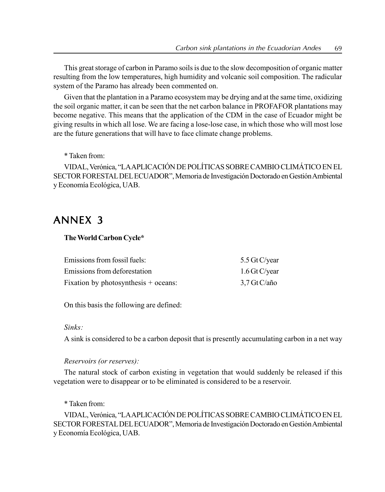This great storage of carbon in Paramo soils is due to the slow decomposition of organic matter resulting from the low temperatures, high humidity and volcanic soil composition. The radicular system of the Paramo has already been commented on.

Given that the plantation in a Paramo ecosystem may be drying and at the same time, oxidizing the soil organic matter, it can be seen that the net carbon balance in PROFAFOR plantations may become negative. This means that the application of the CDM in the case of Ecuador might be giving results in which all lose. We are facing a lose-lose case, in which those who will most lose are the future generations that will have to face climate change problems.

\* Taken from:

VIDAL, Verónica, "LAAPLICACIÓN DE POLÍTICAS SOBRE CAMBIO CLIMÁTICO EN EL SECTOR FORESTAL DEL ECUADOR", Memoria de Investigación Doctorado en Gestión Ambiental y Economía Ecológica, UAB.

# ANNEX 3

## The World Carbon Cycle\*

| Emissions from fossil fuels:         | 5.5 Gt C/year   |
|--------------------------------------|-----------------|
| Emissions from deforestation         | $1.6$ Gt C/year |
| Fixation by photosynthesis + oceans: | 3.7 Gt C/año    |

On this basis the following are defined:

#### Sinks:

A sink is considered to be a carbon deposit that is presently accumulating carbon in a net way

## Reservoirs (or reserves):

The natural stock of carbon existing in vegetation that would suddenly be released if this vegetation were to disappear or to be eliminated is considered to be a reservoir.

\* Taken from:

VIDAL, Verónica, "LAAPLICACIÓN DE POLÍTICAS SOBRE CAMBIO CLIMÁTICO EN EL SECTOR FORESTAL DEL ECUADOR", Memoria de Investigación Doctorado en Gestión Ambiental y Economía Ecológica, UAB.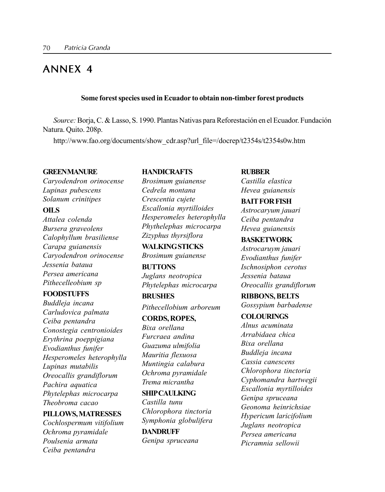# ANNEX 4

#### Some forest species used in Ecuador to obtain non-timber forest products

Source: Borja, C. & Lasso, S. 1990. Plantas Nativas para Reforestación en el Ecuador. Fundación Natura. Quito. 208p.

http://www.fao.org/documents/show\_cdr.asp?url\_file=/docrep/t2354s/t2354s0w.htm

#### **GREENMANURE**

Caryodendron orinocense Lupinas pubescens Solanum crinitipes

#### OILS

Attalea colenda Bursera graveolens Calophyllum brasiliense Carapa guianensis Caryodendron orinocense Jessenia bataua Persea americana Pithecelleobium sp

#### **FOODSTUFFS**

Buddleja incana Carludovica palmata Ceiba pentandra Conostegia centronioides Erythrina poeppigiana Evodianthus funifer Hesperomeles heterophylla Lupinas mutabilis Oreocallis grandiflorum Pachira aquatica Phytelephas microcarpa Theobroma cacao

#### PILLOWS,MATRESSES

Cochlospermum vitifolium Ochroma pyramidale Poulsenia armata Ceiba pentandra

## **HANDICRAFTS**

Brosimum guianense Cedrela montana Crescentia cujete Escallonia myrtilloides Hesperomeles heterophylla Phythelephas microcarpa Zizyphus thyrsiflora

**WALKINGSTICKS** Brosimum guianense

**BUTTONS** Juglans neotropica Phytelephas microcarpa

**BRUSHES** Pithecellobium arboreum

CORDS, ROPES, Bixa orellana Furcraea andina Guazuma ulmifolia Mauritia flexuosa Muntingia calabura Ochroma pyramidale Trema micrantha

SHIPCAULKING Castilla tunu Chlorophora tinctoria Symphonia globulifera

DANDRUFF Genipa spruceana

#### **RUBBER**

Castilla elastica Hevea guianensis

## BAITFORFISH

Astrocaryum jauari Ceiba pentandra Hevea guianensis

## **BASKETWORK**

Astrocaruym jauari Evodianthus funifer Ischnosiphon cerotus Jessenia bataua Oreocallis grandiflorum

#### RIBBONS, BELTS

Gossypium barbadense

## **COLOURINGS**

Alnus acuminata Arrabidaea chica Bixa orellana Buddleja incana Cassia canescens Chlorophora tinctoria Cyphomandra hartwegii Escallonia myrtilloides Genipa spruceana Geonoma heinrichsiae Hypericum laricifolium Juglans neotropica Persea americana Picramnia sellowii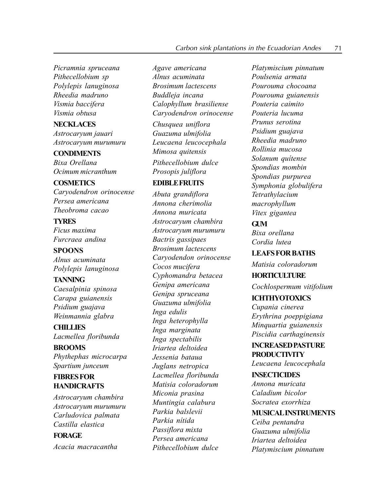Picramnia spruceana Pithecellobium sp Polylepis lanuginosa Rheedia madruno Vismia baccifera Vismia obtusa

# NECKLACES

Astrocaryum jauari Astrocaryum murumuru

## **CONDIMENTS**

Bixa Orellana Ocimum micranthum

#### **COSMETICS**

Caryodendron orinocense Persea americana Theobroma cacao

## **TYRES**

Ficus maxima Furcraea andina

## SPOONS Alnus acuminata Polylepis lanuginosa

#### **TANNING**

Caesalpinia spinosa Carapa guianensis Psidium guajava Weinmannia glabra

**CHILLIES** Lacmellea floribunda

# BROOMS

Phythephas microcarpa Spartium junceum

## **FIBRESFOR HANDICRAFTS**

Astrocaryum chambira Astrocaryum murumuru Carludovica palmata Castilla elastica

## FORAGE

Acacia macracantha

Agave americana Alnus acuminata Brosimum lactescens Buddleja incana Calophyllum brasiliense Caryodendron orinocense

Chusquea uniflora Guazuma ulmifolia Leucaena leucocephala Mimosa quitensis

Pithecellobium dulce Prosopis juliflora

## EDIBLEFRUITS

Abuta grandiflora Annona cherimolia Annona muricata Astrocaryum chambira Astrocaryum murumuru Bactris gassipaes Brosimum lactescens Caryodendon orinocense Cocos mucifera Cyphomandra betacea Genipa americana Genipa spruceana Guazuma ulmifolia Inga edulis Inga heterophylla Inga marginata Inga spectabilis Iriartea deltoidea Jessenia bataua Juglans netropica Lacmellea floribunda Matisia coloradorum Miconia prasina Muntingia calabura Parkia balslevii Parkia nítida Passiflora mixta Persea americana Pithecellobium dulce

Platymiscium pinnatum Poulsenia armata Pourouma chocoana Pourouma guianensis Pouteria caimito Pouteria lucuma Prunus serotina Psidium guajava Rheedia madruno Rollinia mucosa Solanum auitense Spondias mombin Spondias purpurea Symphonia globulifera Tetrathylacium macrophyllum Vitex gigantea

## $GIM$

Bixa orellana Cordia lutea

## LEAFSFORBATHS

Matisia coloradorum

## **HORTICULTURE**

Cochlospermum vitifolium

### **ICHTHYOTOXICS**

Cupania cinerea Erythrina poeppigiana Minquartia guianensis Piscidia carthaginensis

## INCREASEDPASTURE **PRODUCTIVITY**

Leucaena leucocephala

## INSECTICIDES Annona muricata Caladium bicolor Socratea exorrhiza

## MUSICALINSTRUMENTS Ceiba pentandra

Guazuma ulmifolia Iriartea deltoidea Platymiscium pinnatum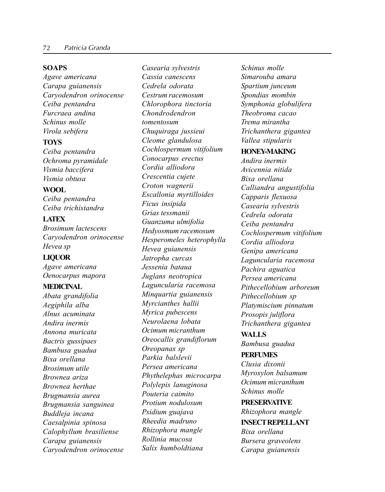#### **SOAPS**

Agave americana Carapa guianensis Caryodendron orinocense Ceiba pentandra Furcraea andina Schinus molle Virola sebifera

### **TOYS**

Ceiba pentandra Ochroma pyramidale Vismia baccifera Vismia obtusa

## WOOL

Ceiba pentandra Ceiba trichistandra

## LATEX

Brosimum lactescens Caryodendron orinocense Hevea sp

## LIQUOR

Agave americana Oenocarpus mapora

#### MEDICINAL

Abata grandifolia Aegiphila alba Alnus acuminata Andira inermis Annona muricata Bactris gussipaes Bambusa guadua Bixa orellana Brosimum utile Brownea ariza Brownea herthae Brugmansia aurea Brugmansia sanguinea Buddleja incana Caesalpinia spinosa Calophyllum brasiliense Carapa guianensis Caryodendron orinocense

Casearia sylvestris Cassia canescens Cedrela odorata Cestrum racemosum Chlorophora tinctoria Chondrodendron tomentosum Chuquiraga jussieui Cleome glandulosa Cochlospermum vitifolium Conocarpus erectus Cordia alliodora Crescentia cujete Croton wagnerii Escallonia myrtilloides Ficus insipida Grias tessmanii Guanzuma ulmifolia Hedyosmum racemosum Hesperomeles heterophylla Hevea guianensis Jatropha curcas Jessenia bataua Juglans neotropica Laguncularia racemosa Minquartia guianensis Myrcianthes hallii Myrica pubescens Neurolaena lobata Ocimum micranthum Oreocallis grandiflorum Oreopanax sp Parkia balslevii Persea americana Phythelephas microcarpa Polylepis lanuginosa Pouteria caimito Protium nodulosum Psidium guajava Rheedia madruno Rhizophora mangle Rollinia mucosa Salix humboldtiana

Schinus molle Simarouba amara Spartium junceum Spondias mombin Symphonia globulifera Theobroma cacao Trema mirantha Trichanthera gigantea Vallea stipularis

#### HONEY-MAKING

Andira inermis Avicennia nitida Bixa orellana Calliandra angustifolia Capparis flexuosa Casearia sylvestris Cedrela odorata Ceiba pentandra Cochlospermum vitifolium Cordia alliodora Genipa americana Laguncularia racemosa Pachira aguatica Persea americana Pithecellobium arboreum Pithecellobium sp Platymiscium pinnatum Prosopis juliflora Trichanthera gigantea

## WALLS<sub>1</sub>

Bambusa guadua

## PERFUMES

Clusia dixonii Myroxylon balsamum Ocimum micranthum Schinus molle

PRESERVATIVE Rhizophora mangle

INSECTREPELLANT Bixa orellana Bursera graveolens Carapa guianensis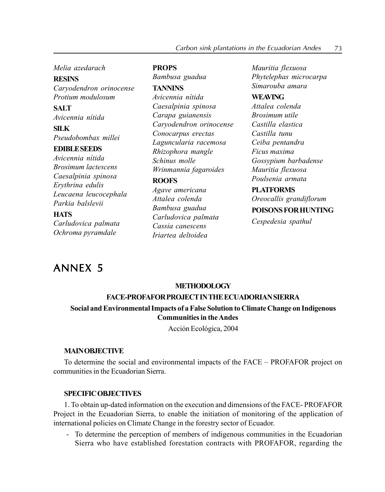### Melia azedarach

**RESINS** Caryodendron orinocense Protium modulosum

**SALT** Avicennia nítida

SILK Pseudobombax millei

#### EDIBLESEEDS

Avicennia nítida Brosimum lactescens Caesalpinia spinosa Erythrina edulis Leucaena leucocephala Parkia balslevii

### **HATS**

Carludovica palmata Ochroma pyramdale

## **PROPS**

Bambusa guadua

## TANNINS

Avicennia nítida Caesalpinia spinosa Carapa guianensis Caryodendron orinocense Conocarpus erectas Laguncularia racemosa Rhizophora mangle Schinus molle Wrinmannia fagaroides

#### ROOFS

Agave americana Attalea colenda Bambusa guadua Carludovica palmata Cassia canescens Iriartea deltoidea

Mauritia flexuosa Phytelephas microcarpa Simarouba amara

## **WEAVING**

Attalea colenda Brosimum utile Castilla elastica Castilla tunu Ceiba pentandra Ficus maxima Gossypium barbadense Mauritia flexuosa Poulsenia armata

## PLATFORMS

Oreocallis grandiflorum

## POISONSFORHUNTING

Cespedesia spathul

# ANNEX 5

#### **METHODOLOGY**

#### FACE-PROFAFORPROJECTINTHEECUADORIANSIERRA

## Social and Environmental Impacts of a False Solution to Climate Change on Indigenous Communities in theAndes

Acción Ecológica, 2004

### **MAINORIECTIVE**

To determine the social and environmental impacts of the FACE – PROFAFOR project on communities in the Ecuadorian Sierra.

## SPECIFICOBJECTIVES

1. To obtain up-dated information on the execution and dimensions of the FACE- PROFAFOR Project in the Ecuadorian Sierra, to enable the initiation of monitoring of the application of international policies on Climate Change in the forestry sector of Ecuador.

- To determine the perception of members of indigenous communities in the Ecuadorian Sierra who have established forestation contracts with PROFAFOR, regarding the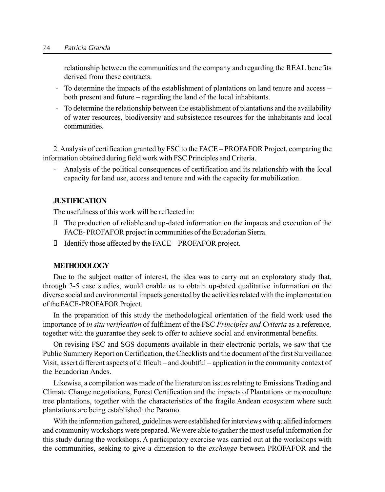relationship between the communities and the company and regarding the REAL benefits derived from these contracts.

- To determine the impacts of the establishment of plantations on land tenure and access both present and future – regarding the land of the local inhabitants.
- To determine the relationship between the establishment of plantations and the availability of water resources, biodiversity and subsistence resources for the inhabitants and local communities.

2. Analysis of certification granted by FSC to the FACE – PROFAFOR Project, comparing the information obtained during field work with FSC Principles and Criteria.

- Analysis of the political consequences of certification and its relationship with the local capacity for land use, access and tenure and with the capacity for mobilization.

#### JUSTIFICATION

The usefulness of this work will be reflected in:

 The production of reliable and up-dated information on the impacts and execution of the FACE- PROFAFOR project in communities of the Ecuadorian Sierra.

Identify those affected by the FACE – PROFAFOR project.

### METHODOLOGY

Due to the subject matter of interest, the idea was to carry out an exploratory study that, through 3-5 case studies, would enable us to obtain up-dated qualitative information on the diverse social and environmental impacts generated by the activities related with the implementation of the FACE-PROFAFOR Project.

In the preparation of this study the methodological orientation of the field work used the importance of in situ verification of fulfilment of the FSC Principles and Criteria as a reference, together with the guarantee they seek to offer to achieve social and environmental benefits.

On revising FSC and SGS documents available in their electronic portals, we saw that the Public Summery Report on Certification, the Checklists and the document of the first Surveillance Visit, assert different aspects of difficult – and doubtful – application in the community context of the Ecuadorian Andes.

Likewise, a compilation was made of the literature on issues relating to Emissions Trading and Climate Change negotiations, Forest Certification and the impacts of Plantations or monoculture tree plantations, together with the characteristics of the fragile Andean ecosystem where such plantations are being established: the Paramo.

With the information gathered, guidelines were established for interviews with qualified informers and community workshops were prepared.We were able to gather the most useful information for this study during the workshops. A participatory exercise was carried out at the workshops with the communities, seeking to give a dimension to the exchange between PROFAFOR and the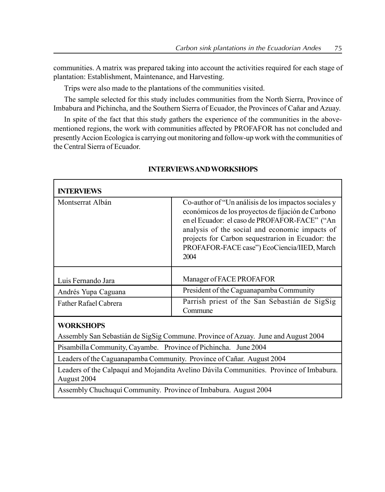communities. A matrix was prepared taking into account the activities required for each stage of plantation: Establishment, Maintenance, and Harvesting.

Trips were also made to the plantations of the communities visited.

The sample selected for this study includes communities from the North Sierra, Province of Imbabura and Pichincha, and the Southern Sierra of Ecuador, the Provinces of Cañar and Azuay.

In spite of the fact that this study gathers the experience of the communities in the abovementioned regions, the work with communities affected by PROFAFOR has not concluded and presentlyAccion Ecologica is carrying out monitoring and follow-up work with the communities of the Central Sierra of Ecuador.

| <b>INTERVIEWS</b>            |                                                                                                                                                                                                                                                                                                                           |
|------------------------------|---------------------------------------------------------------------------------------------------------------------------------------------------------------------------------------------------------------------------------------------------------------------------------------------------------------------------|
| Montserrat Albán             | Co-author of "Un análisis de los impactos sociales y<br>económicos de los proyectos de fijación de Carbono<br>en el Ecuador: el caso de PROFAFOR-FACE" ("An<br>analysis of the social and economic impacts of<br>projects for Carbon sequestrarion in Ecuador: the<br>PROFAFOR-FACE case") EcoCiencia/IIED, March<br>2004 |
| Luis Fernando Jara           | Manager of FACE PROFAFOR                                                                                                                                                                                                                                                                                                  |
| Andrés Yupa Caguana          | President of the Caguanapamba Community                                                                                                                                                                                                                                                                                   |
| <b>Father Rafael Cabrera</b> | Parrish priest of the San Sebastián de SigSig<br>Commune                                                                                                                                                                                                                                                                  |

### INTERVIEWSANDWORKSHOPS

## **WORKSHOPS**

г

Assembly San Sebastián de SigSig Commune. Province of Azuay. June and August 2004

Pisambilla Community, Cayambe. Province of Pichincha. June 2004

Leaders of the Caguanapamba Community. Province of Cañar. August 2004

Leaders of the Calpaquí and Mojandita Avelino Dávila Communities. Province of Imbabura. August 2004

Assembly ChuchuquÌ Community. Province of Imbabura. August 2004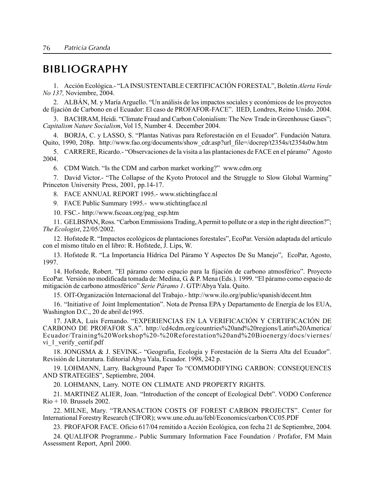# **BIBLIOGRAPHY**

1. Acción Ecológica.- "LA INSUSTENTABLE CERTIFICACIÓN FORESTAL", Boletín Alerta Verde *No 137.* Noviembre, 2004.

2. ALBÁN, M. y María Arguello. "Un análisis de los impactos sociales y económicos de los proyectos de fijación de Carbono en el Ecuador: El caso de PROFAFOR-FACE". IIED, Londres, Reino Unido. 2004.

3. BACHRAM, Heidi. "Climate Fraud and Carbon Colonialism: The New Trade in Greenhouse Gases"; Capitalism Nature Socialism, Vol 15, Number 4. December 2004.

4. BORJA, C. y LASSO, S. "Plantas Nativas para Reforestación en el Ecuador". Fundación Natura. Quito, 1990, 208p. http://www.fao.org/documents/show cdr.asp?url file=/docrep/t2354s/t2354s0w.htm

5. CARRERE, Ricardo. "Observaciones de la visita a las plantaciones de FACE en el páramo" Agosto 2004.

6. CDM Watch. "Is the CDM and carbon market working?" www.cdm.org

7. David Victor - "The Collapse of the Kyoto Protocol and the Struggle to Slow Global Warming" Princeton University Press, 2001, pp.14-17.

8. FACE ANNUAL REPORT 1995.- www.stichtingface.nl

9. FACE Public Summary 1995 .- www.stichtingface.nl

10. FSC.- http://www.fscoax.org/pag\_esp.htm

11. GELBSPAN, Ross. "Carbon Emmissions Trading, A permit to pollute or a step in the right direction?"; The Ecologist, 22/05/2002.

12. Hofstede R. "Impactos ecológicos de plantaciones forestales", EcoPar. Versión adaptada del artículo con el mismo título en el libro: R. Hofstede, J. Lips, W.

13. Hofstede R. "La Importancia Hídrica Del Páramo Y Aspectos De Su Manejo", EcoPar, Agosto, 1997.

14. Hofstede, Robert. "El páramo como espacio para la fijación de carbono atmosférico". Proyecto EcoPar. Versión no modificada tomada de: Medina, G. & P. Mena (Eds.). 1999. "El páramo como espacio de mitigación de carbono atmosférico" Serie Páramo 1. GTP/Abya Yala. Quito.

15. OIT-Organización Internacional del Trabajo.- http://www.ilo.org/public/spanish/decent.htm

16. "Initiative of Joint Implementation". Nota de Prensa EPA y Departamento de Energía de los EUA, Washington D.C., 20 de abril de 1995.

17. JARA, Luis Fernando. "EXPERIENCIAS EN LA VERIFICACIÓN Y CERTIFICACIÓN DE CARBONO DE PROFAFOR S.A". http://cd4cdm.org/countries%20and%20regions/Latin%20America/ Ecuador/Training%20Workshop%20-%20Reforestation%20and%20Bioenergy/docs/viernes/ vi\_1\_verify\_certif.pdf

18. JONGSMA & J. SEVINK.- "Geografía, Ecología y Forestación de la Sierra Alta del Ecuador". Revisión de Literatura. Editorial Abya Yala, Ecuador. 1998, 242 p.

19. LOHMANN, Larry. Background Paper To "COMMODIFYING CARBON: CONSEQUENCES AND STRATEGIES", Septiembre, 2004.

20. LOHMANN, Larry. NOTE ON CLIMATE AND PROPERTY RIGHTS.

21. MARTINEZ ALIER, Joan. "Introduction of the concept of Ecological Debt". VODO Conference  $\mathrm{Rio}$  + 10. Brussels 2002.

22. MILNE, Mary. "TRANSACTION COSTS OF FOREST CARBON PROJECTS". Center for International Forestry Research (CIFOR); www.une.edu.au/febl/Economics/carbon/CC05.PDF

23. PROFAFOR FACE. Oficio 617/04 remitido a Acción Ecológica, con fecha 21 de Septiembre, 2004.

24. QUALIFOR Programme.- Public Summary Information Face Foundation / Profafor, FM Main Assessment Report, April 2000.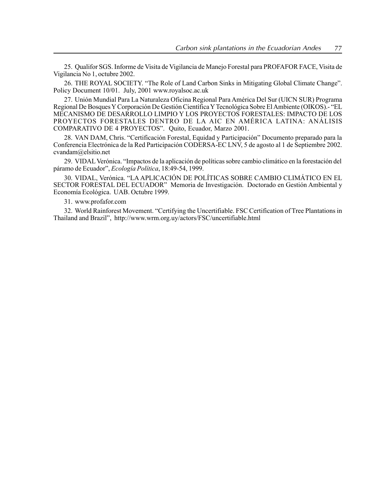25. Qualifor SGS. Informe de Visita de Vigilancia de Manejo Forestal para PROFAFOR FACE, Visita de Vigilancia No 1, octubre 2002.

26. THE ROYAL SOCIETY, "The Role of Land Carbon Sinks in Mitigating Global Climate Change". Policy Document 10/01. July, 2001 www.royalsoc.ac.uk

27. Unión Mundial Para La Naturaleza Oficina Regional Para América Del Sur (UICN SUR) Programa Regional De Bosques Y Corporación De Gestión Científica Y Tecnológica Sobre El Ambiente (OIKOS).- "EL MECANISMO DE DESARROLLO LIMPIO Y LOS PROYECTOS FORESTALES: IMPACTO DE LOS PROYECTOS FORESTALES DENTRO DE LA AIC EN AMÉRICA LATINA: ANÁLISIS COMPARATIVO DE 4 PROYECTOS". Quito, Ecuador, Marzo 2001.

28. VAN DAM, Chris. "Certificación Forestal, Equidad y Participación" Documento preparado para la Conferencia Electrónica de la Red Participación CODERSA-EC LNV, 5 de agosto al 1 de Septiembre 2002. cvandam@elsitio.net

29. VIDAL Verónica. "Impactos de la aplicación de políticas sobre cambio climático en la forestación del páramo de Ecuador", Ecología Política, 18:49-54, 1999.

30. VIDAL. Verónica. "LA APLICACIÓN DE POLÍTICAS SOBRE CAMBIO CLIMÁTICO EN EL SECTOR FORÉSTAL DEL ECUADOR" Memoria de Investigación. Doctorado en Gestión Ambiental y Economía Ecológica. UAB. Octubre 1999.

31. www.profafor.com

32. World Rainforest Movement. "Certifying the Uncertifiable. FSC Certification of Tree Plantations in Thailand and Brazil", http://www.wrm.org.uv/actors/FSC/uncertifiable.html